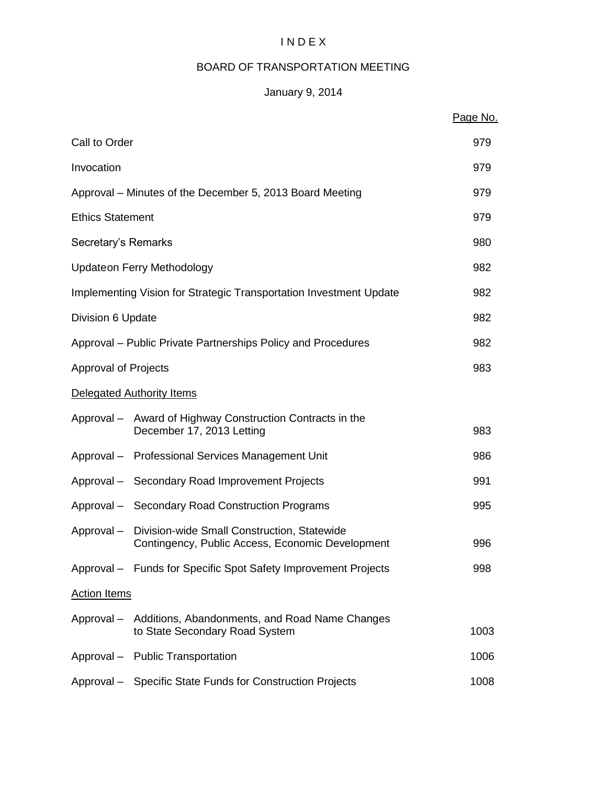# I N D E X

# BOARD OF TRANSPORTATION MEETING

# January 9, 2014

|                             |                                                                                                 | Page No. |
|-----------------------------|-------------------------------------------------------------------------------------------------|----------|
| Call to Order               |                                                                                                 | 979      |
| Invocation                  |                                                                                                 | 979      |
|                             | Approval – Minutes of the December 5, 2013 Board Meeting                                        | 979      |
| <b>Ethics Statement</b>     |                                                                                                 | 979      |
| Secretary's Remarks         |                                                                                                 | 980      |
|                             | <b>Updateon Ferry Methodology</b>                                                               | 982      |
|                             | Implementing Vision for Strategic Transportation Investment Update                              | 982      |
| Division 6 Update           |                                                                                                 | 982      |
|                             | Approval – Public Private Partnerships Policy and Procedures                                    | 982      |
| <b>Approval of Projects</b> |                                                                                                 | 983      |
|                             | Delegated Authority Items                                                                       |          |
|                             | Approval – Award of Highway Construction Contracts in the<br>December 17, 2013 Letting          | 983      |
|                             | Approval - Professional Services Management Unit                                                | 986      |
|                             | Approval - Secondary Road Improvement Projects                                                  | 991      |
|                             | Approval - Secondary Road Construction Programs                                                 | 995      |
| Approval-                   | Division-wide Small Construction, Statewide<br>Contingency, Public Access, Economic Development | 996      |
|                             | Approval - Funds for Specific Spot Safety Improvement Projects                                  | 998      |
| <b>Action Items</b>         |                                                                                                 |          |
|                             | Approval – Additions, Abandonments, and Road Name Changes<br>to State Secondary Road System     | 1003     |
|                             | Approval - Public Transportation                                                                | 1006     |
|                             | Approval - Specific State Funds for Construction Projects                                       | 1008     |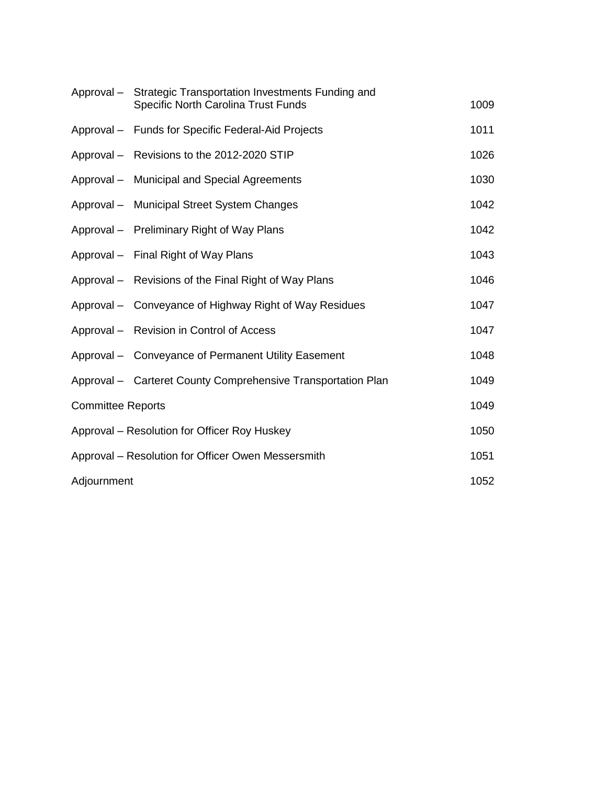|                          | Approval - Strategic Transportation Investments Funding and<br>Specific North Carolina Trust Funds | 1009 |
|--------------------------|----------------------------------------------------------------------------------------------------|------|
|                          | Approval - Funds for Specific Federal-Aid Projects                                                 | 1011 |
|                          | Approval - Revisions to the 2012-2020 STIP                                                         | 1026 |
|                          | Approval - Municipal and Special Agreements                                                        | 1030 |
|                          | Approval - Municipal Street System Changes                                                         | 1042 |
|                          | Approval - Preliminary Right of Way Plans                                                          | 1042 |
|                          | Approval - Final Right of Way Plans                                                                | 1043 |
|                          | Approval - Revisions of the Final Right of Way Plans                                               | 1046 |
|                          | Approval – Conveyance of Highway Right of Way Residues                                             | 1047 |
|                          | Approval - Revision in Control of Access                                                           | 1047 |
|                          | Approval - Conveyance of Permanent Utility Easement                                                | 1048 |
|                          | Approval - Carteret County Comprehensive Transportation Plan                                       | 1049 |
| <b>Committee Reports</b> |                                                                                                    | 1049 |
|                          | Approval – Resolution for Officer Roy Huskey                                                       | 1050 |
|                          | Approval - Resolution for Officer Owen Messersmith                                                 | 1051 |
| Adjournment              |                                                                                                    | 1052 |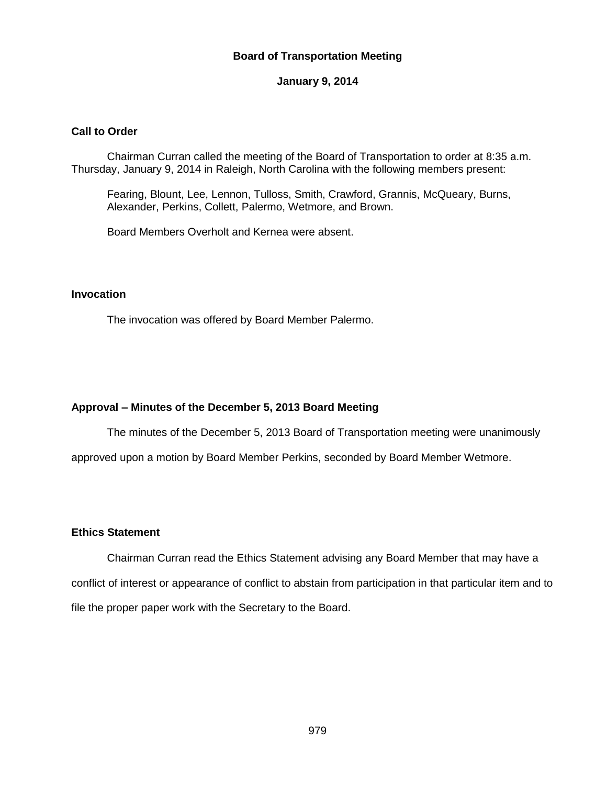## **Board of Transportation Meeting**

#### **January 9, 2014**

## **Call to Order**

Chairman Curran called the meeting of the Board of Transportation to order at 8:35 a.m. Thursday, January 9, 2014 in Raleigh, North Carolina with the following members present:

Fearing, Blount, Lee, Lennon, Tulloss, Smith, Crawford, Grannis, McQueary, Burns, Alexander, Perkins, Collett, Palermo, Wetmore, and Brown.

Board Members Overholt and Kernea were absent.

## **Invocation**

The invocation was offered by Board Member Palermo.

## **Approval – Minutes of the December 5, 2013 Board Meeting**

The minutes of the December 5, 2013 Board of Transportation meeting were unanimously approved upon a motion by Board Member Perkins, seconded by Board Member Wetmore.

#### **Ethics Statement**

Chairman Curran read the Ethics Statement advising any Board Member that may have a conflict of interest or appearance of conflict to abstain from participation in that particular item and to file the proper paper work with the Secretary to the Board.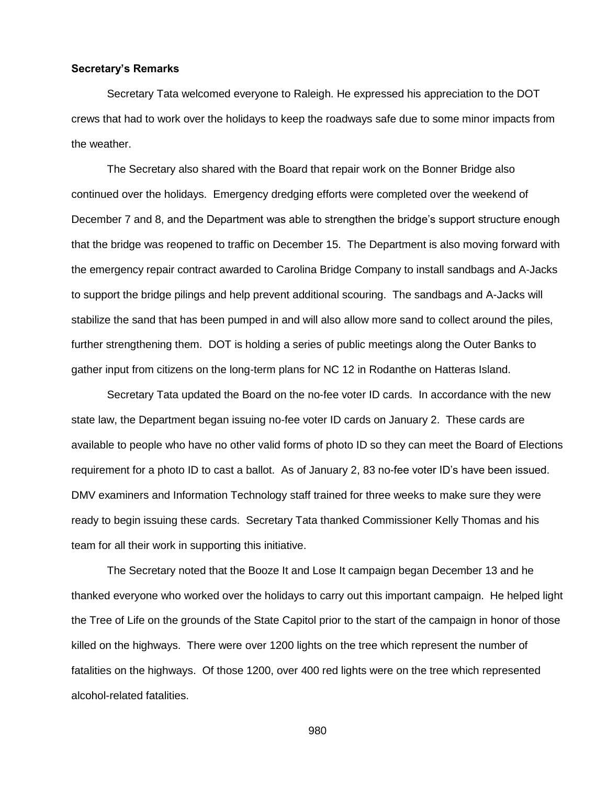#### **Secretary's Remarks**

Secretary Tata welcomed everyone to Raleigh. He expressed his appreciation to the DOT crews that had to work over the holidays to keep the roadways safe due to some minor impacts from the weather.

The Secretary also shared with the Board that repair work on the Bonner Bridge also continued over the holidays. Emergency dredging efforts were completed over the weekend of December 7 and 8, and the Department was able to strengthen the bridge's support structure enough that the bridge was reopened to traffic on December 15. The Department is also moving forward with the emergency repair contract awarded to Carolina Bridge Company to install sandbags and A-Jacks to support the bridge pilings and help prevent additional scouring. The sandbags and A-Jacks will stabilize the sand that has been pumped in and will also allow more sand to collect around the piles, further strengthening them. DOT is holding a series of public meetings along the Outer Banks to gather input from citizens on the long-term plans for NC 12 in Rodanthe on Hatteras Island.

Secretary Tata updated the Board on the no-fee voter ID cards. In accordance with the new state law, the Department began issuing no-fee voter ID cards on January 2. These cards are available to people who have no other valid forms of photo ID so they can meet the Board of Elections requirement for a photo ID to cast a ballot. As of January 2, 83 no-fee voter ID's have been issued. DMV examiners and Information Technology staff trained for three weeks to make sure they were ready to begin issuing these cards. Secretary Tata thanked Commissioner Kelly Thomas and his team for all their work in supporting this initiative.

The Secretary noted that the Booze It and Lose It campaign began December 13 and he thanked everyone who worked over the holidays to carry out this important campaign. He helped light the Tree of Life on the grounds of the State Capitol prior to the start of the campaign in honor of those killed on the highways. There were over 1200 lights on the tree which represent the number of fatalities on the highways. Of those 1200, over 400 red lights were on the tree which represented alcohol-related fatalities.

980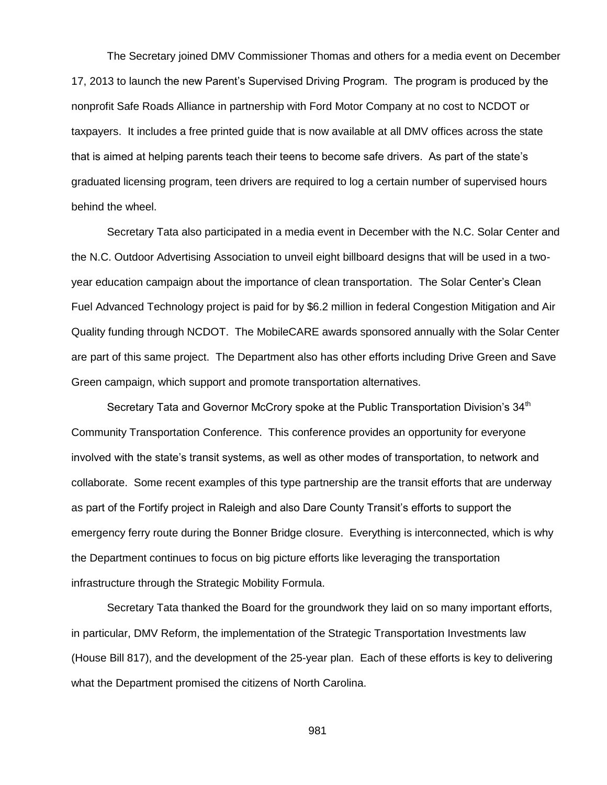The Secretary joined DMV Commissioner Thomas and others for a media event on December 17, 2013 to launch the new Parent's Supervised Driving Program. The program is produced by the nonprofit Safe Roads Alliance in partnership with Ford Motor Company at no cost to NCDOT or taxpayers. It includes a free printed guide that is now available at all DMV offices across the state that is aimed at helping parents teach their teens to become safe drivers. As part of the state's graduated licensing program, teen drivers are required to log a certain number of supervised hours behind the wheel.

Secretary Tata also participated in a media event in December with the N.C. Solar Center and the N.C. Outdoor Advertising Association to unveil eight billboard designs that will be used in a twoyear education campaign about the importance of clean transportation. The Solar Center's Clean Fuel Advanced Technology project is paid for by \$6.2 million in federal Congestion Mitigation and Air Quality funding through NCDOT. The MobileCARE awards sponsored annually with the Solar Center are part of this same project. The Department also has other efforts including Drive Green and Save Green campaign, which support and promote transportation alternatives.

Secretary Tata and Governor McCrory spoke at the Public Transportation Division's 34<sup>th</sup> Community Transportation Conference. This conference provides an opportunity for everyone involved with the state's transit systems, as well as other modes of transportation, to network and collaborate. Some recent examples of this type partnership are the transit efforts that are underway as part of the Fortify project in Raleigh and also Dare County Transit's efforts to support the emergency ferry route during the Bonner Bridge closure. Everything is interconnected, which is why the Department continues to focus on big picture efforts like leveraging the transportation infrastructure through the Strategic Mobility Formula.

Secretary Tata thanked the Board for the groundwork they laid on so many important efforts, in particular, DMV Reform, the implementation of the Strategic Transportation Investments law (House Bill 817), and the development of the 25-year plan. Each of these efforts is key to delivering what the Department promised the citizens of North Carolina.

981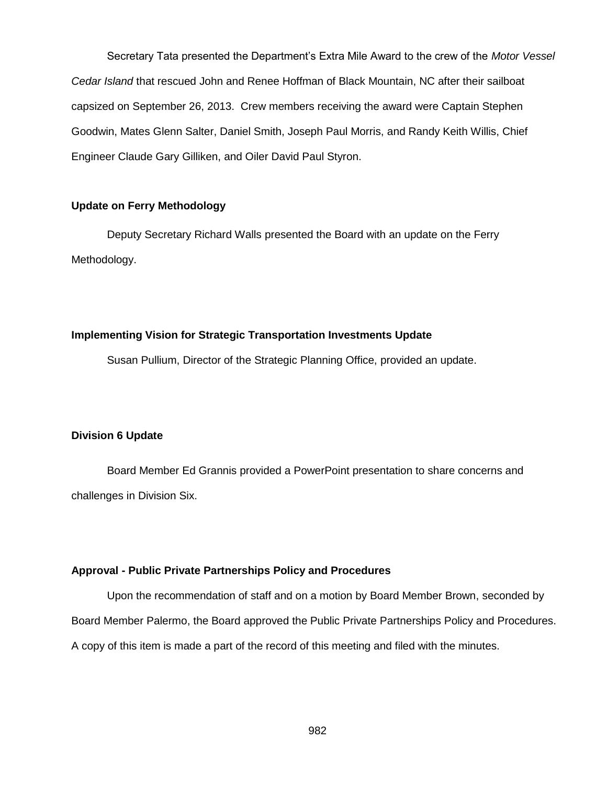Secretary Tata presented the Department's Extra Mile Award to the crew of the *Motor Vessel Cedar Island* that rescued John and Renee Hoffman of Black Mountain, NC after their sailboat capsized on September 26, 2013. Crew members receiving the award were Captain Stephen Goodwin, Mates Glenn Salter, Daniel Smith, Joseph Paul Morris, and Randy Keith Willis, Chief Engineer Claude Gary Gilliken, and Oiler David Paul Styron.

## **Update on Ferry Methodology**

Deputy Secretary Richard Walls presented the Board with an update on the Ferry Methodology.

#### **Implementing Vision for Strategic Transportation Investments Update**

Susan Pullium, Director of the Strategic Planning Office, provided an update.

#### **Division 6 Update**

Board Member Ed Grannis provided a PowerPoint presentation to share concerns and challenges in Division Six.

#### **Approval - Public Private Partnerships Policy and Procedures**

Upon the recommendation of staff and on a motion by Board Member Brown, seconded by Board Member Palermo, the Board approved the Public Private Partnerships Policy and Procedures. A copy of this item is made a part of the record of this meeting and filed with the minutes.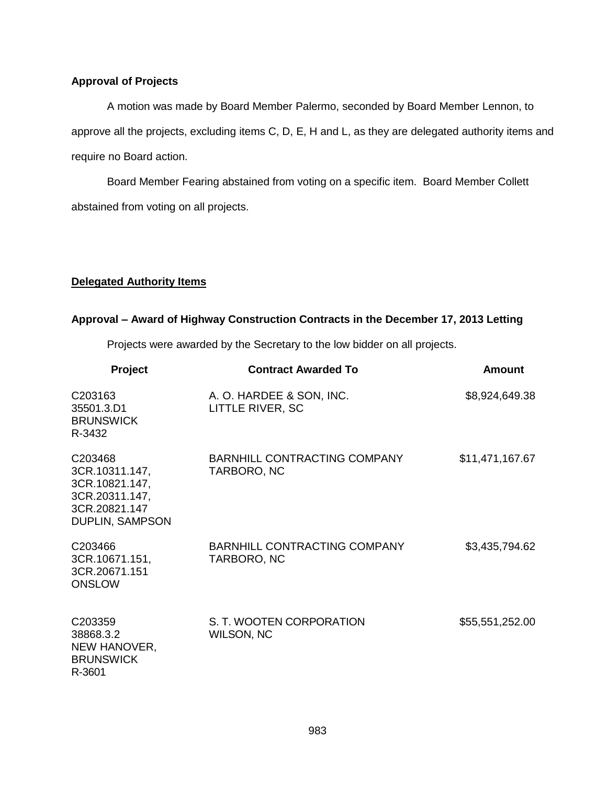## **Approval of Projects**

A motion was made by Board Member Palermo, seconded by Board Member Lennon, to approve all the projects, excluding items C, D, E, H and L, as they are delegated authority items and require no Board action.

Board Member Fearing abstained from voting on a specific item. Board Member Collett abstained from voting on all projects.

## **Delegated Authority Items**

## **Approval – Award of Highway Construction Contracts in the December 17, 2013 Letting**

Projects were awarded by the Secretary to the low bidder on all projects.

| <b>Project</b>                                                                                    | <b>Contract Awarded To</b>                   | <b>Amount</b>   |
|---------------------------------------------------------------------------------------------------|----------------------------------------------|-----------------|
| C203163<br>35501.3.D1<br><b>BRUNSWICK</b><br>R-3432                                               | A. O. HARDEE & SON, INC.<br>LITTLE RIVER, SC | \$8,924,649.38  |
| C203468<br>3CR.10311.147,<br>3CR.10821.147,<br>3CR.20311.147,<br>3CR.20821.147<br>DUPLIN, SAMPSON | BARNHILL CONTRACTING COMPANY<br>TARBORO, NC  | \$11,471,167.67 |
| C203466<br>3CR.10671.151,<br>3CR.20671.151<br><b>ONSLOW</b>                                       | BARNHILL CONTRACTING COMPANY<br>TARBORO, NC  | \$3,435,794.62  |
| C203359<br>38868.3.2<br>NEW HANOVER,<br><b>BRUNSWICK</b><br>R-3601                                | S. T. WOOTEN CORPORATION<br>WILSON, NC       | \$55,551,252.00 |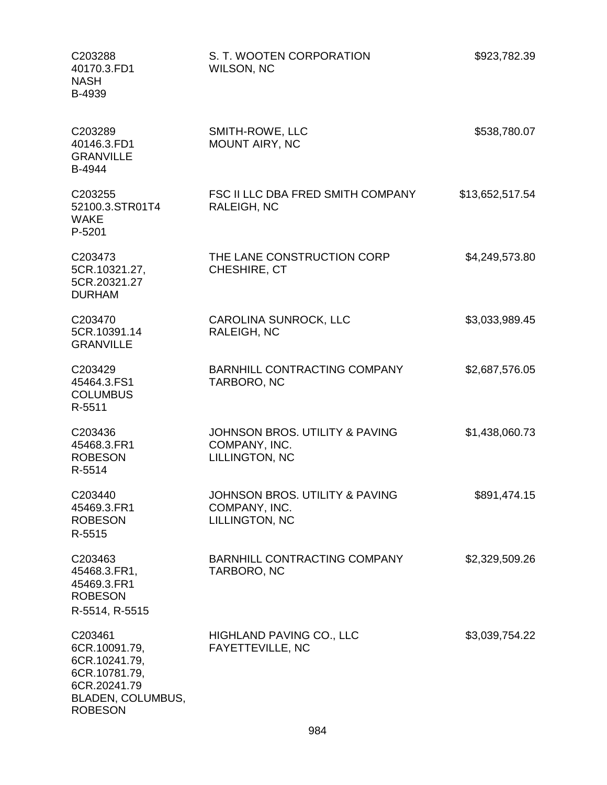| C203288<br>40170.3.FD1<br><b>NASH</b><br>B-4939                                                                   | S. T. WOOTEN CORPORATION<br>WILSON, NC                            | \$923,782.39    |
|-------------------------------------------------------------------------------------------------------------------|-------------------------------------------------------------------|-----------------|
| C203289<br>40146.3.FD1<br><b>GRANVILLE</b><br>B-4944                                                              | SMITH-ROWE, LLC<br>MOUNT AIRY, NC                                 | \$538,780.07    |
| C203255<br>52100.3.STR01T4<br><b>WAKE</b><br>P-5201                                                               | FSC II LLC DBA FRED SMITH COMPANY<br>RALEIGH, NC                  | \$13,652,517.54 |
| C203473<br>5CR.10321.27,<br>5CR.20321.27<br><b>DURHAM</b>                                                         | THE LANE CONSTRUCTION CORP<br>CHESHIRE, CT                        | \$4,249,573.80  |
| C203470<br>5CR.10391.14<br><b>GRANVILLE</b>                                                                       | <b>CAROLINA SUNROCK, LLC</b><br>RALEIGH, NC                       | \$3,033,989.45  |
| C203429<br>45464.3.FS1<br><b>COLUMBUS</b><br>R-5511                                                               | <b>BARNHILL CONTRACTING COMPANY</b><br>TARBORO, NC                | \$2,687,576.05  |
| C203436<br>45468.3.FR1<br><b>ROBESON</b><br>R-5514                                                                | JOHNSON BROS, UTILITY & PAVING<br>COMPANY, INC.<br>LILLINGTON, NC | \$1,438,060.73  |
| C203440<br>45469.3.FR1<br><b>ROBESON</b><br>R-5515                                                                | JOHNSON BROS. UTILITY & PAVING<br>COMPANY, INC.<br>LILLINGTON, NC | \$891,474.15    |
| C203463<br>45468.3.FR1,<br>45469.3.FR1<br><b>ROBESON</b><br>R-5514, R-5515                                        | BARNHILL CONTRACTING COMPANY<br>TARBORO, NC                       | \$2,329,509.26  |
| C203461<br>6CR.10091.79,<br>6CR.10241.79,<br>6CR.10781.79,<br>6CR.20241.79<br>BLADEN, COLUMBUS,<br><b>ROBESON</b> | HIGHLAND PAVING CO., LLC<br><b>FAYETTEVILLE, NC</b>               | \$3,039,754.22  |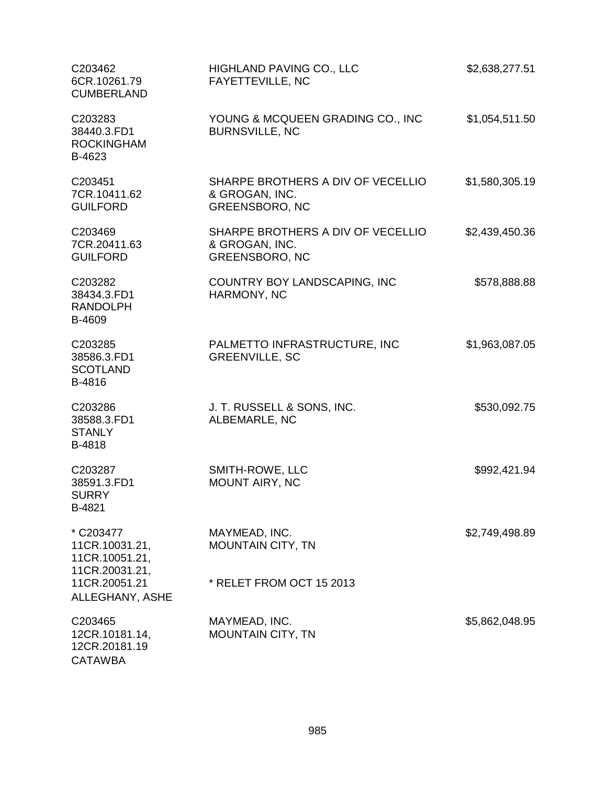| C203462<br>6CR.10261.79<br><b>CUMBERLAND</b>            | HIGHLAND PAVING CO., LLC<br>FAYETTEVILLE, NC                                 | \$2,638,277.51 |
|---------------------------------------------------------|------------------------------------------------------------------------------|----------------|
| C203283<br>38440.3.FD1<br><b>ROCKINGHAM</b><br>B-4623   | YOUNG & MCQUEEN GRADING CO., INC<br><b>BURNSVILLE, NC</b>                    | \$1,054,511.50 |
| C203451<br>7CR.10411.62<br><b>GUILFORD</b>              | SHARPE BROTHERS A DIV OF VECELLIO<br>& GROGAN, INC.<br><b>GREENSBORO, NC</b> | \$1,580,305.19 |
| C203469<br>7CR.20411.63<br><b>GUILFORD</b>              | SHARPE BROTHERS A DIV OF VECELLIO<br>& GROGAN, INC.<br><b>GREENSBORO, NC</b> | \$2,439,450.36 |
| C203282<br>38434.3.FD1<br><b>RANDOLPH</b><br>B-4609     | COUNTRY BOY LANDSCAPING, INC<br>HARMONY, NC                                  | \$578,888.88   |
| C203285<br>38586.3.FD1<br><b>SCOTLAND</b><br>B-4816     | PALMETTO INFRASTRUCTURE, INC<br><b>GREENVILLE, SC</b>                        | \$1,963,087.05 |
| C203286<br>38588.3.FD1<br><b>STANLY</b><br>B-4818       | J. T. RUSSELL & SONS, INC.<br>ALBEMARLE, NC                                  | \$530,092.75   |
| C203287<br>38591.3.FD1<br><b>SURRY</b><br><b>B-4821</b> | SMITH-ROWE, LLC<br>MOUNT AIRY, NC                                            | \$992,421.94   |
| * C203477<br>11CR.10031.21,<br>11CR.10051.21,           | MAYMEAD, INC.<br><b>MOUNTAIN CITY, TN</b>                                    | \$2,749,498.89 |
| 11CR.20031.21,<br>11CR.20051.21<br>ALLEGHANY, ASHE      | * RELET FROM OCT 15 2013                                                     |                |
| C203465<br>12CR.10181.14,<br>12CR.20181.19              | MAYMEAD, INC.<br><b>MOUNTAIN CITY, TN</b>                                    | \$5,862,048.95 |

**CATAWBA**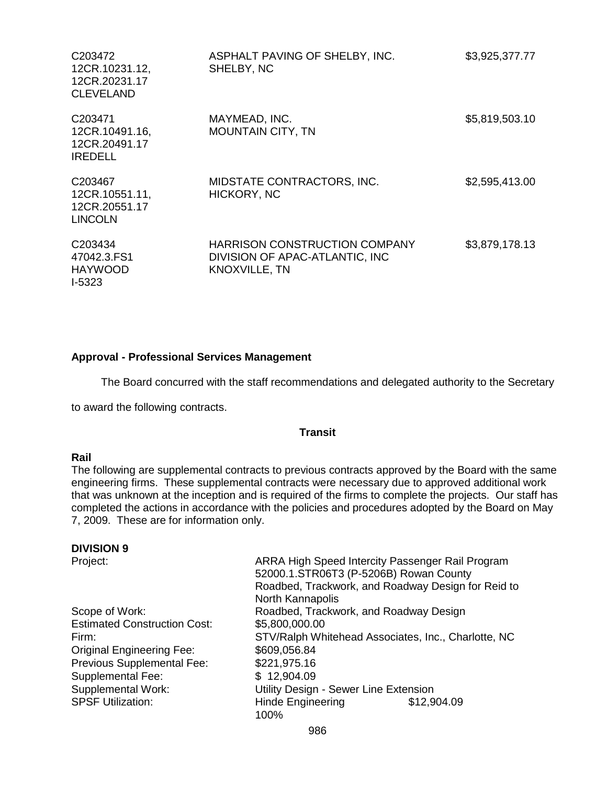| C <sub>203472</sub><br>12CR.10231.12,<br>12CR.20231.17<br><b>CLEVELAND</b> | ASPHALT PAVING OF SHELBY, INC.<br>SHELBY, NC                                                   | \$3,925,377.77 |
|----------------------------------------------------------------------------|------------------------------------------------------------------------------------------------|----------------|
| C <sub>203471</sub><br>12CR.10491.16,<br>12CR.20491.17<br><b>IREDELL</b>   | MAYMEAD, INC.<br><b>MOUNTAIN CITY, TN</b>                                                      | \$5,819,503.10 |
| C <sub>203467</sub><br>12CR.10551.11,<br>12CR.20551.17<br><b>LINCOLN</b>   | MIDSTATE CONTRACTORS, INC.<br>HICKORY, NC                                                      | \$2,595,413.00 |
| C <sub>203434</sub><br>47042.3.FS1<br><b>HAYWOOD</b><br>$1-5323$           | <b>HARRISON CONSTRUCTION COMPANY</b><br>DIVISION OF APAC-ATLANTIC, INC<br><b>KNOXVILLE, TN</b> | \$3,879,178.13 |

## **Approval - Professional Services Management**

The Board concurred with the staff recommendations and delegated authority to the Secretary

to award the following contracts.

#### **Transit**

#### **Rail**

The following are supplemental contracts to previous contracts approved by the Board with the same engineering firms. These supplemental contracts were necessary due to approved additional work that was unknown at the inception and is required of the firms to complete the projects. Our staff has completed the actions in accordance with the policies and procedures adopted by the Board on May 7, 2009. These are for information only.

#### **DIVISION 9**

Estimated Construction Cost: \$5,800,000.00 Original Engineering Fee: \$609,056.84 Previous Supplemental Fee: \$221,975.16 Supplemental Fee: \$ 12,904.09

Project: **ARRA High Speed Intercity Passenger Rail Program** 52000.1.STR06T3 (P-5206B) Rowan County Roadbed, Trackwork, and Roadway Design for Reid to North Kannapolis Scope of Work: Roadbed, Trackwork, and Roadway Design Firm: STV/Ralph Whitehead Associates, Inc., Charlotte, NC Supplemental Work: Utility Design - Sewer Line Extension SPSF Utilization: **Hinde Engineering \$12,904.09** 100%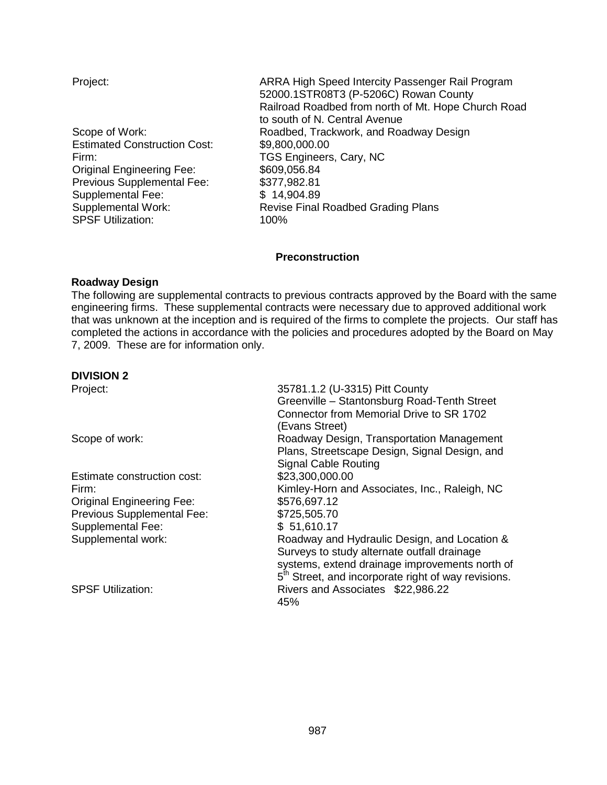| Project:                            | ARRA High Speed Intercity Passenger Rail Program<br>52000.1STR08T3 (P-5206C) Rowan County |
|-------------------------------------|-------------------------------------------------------------------------------------------|
|                                     | Railroad Roadbed from north of Mt. Hope Church Road                                       |
|                                     | to south of N. Central Avenue                                                             |
| Scope of Work:                      | Roadbed, Trackwork, and Roadway Design                                                    |
| <b>Estimated Construction Cost:</b> | \$9,800,000.00                                                                            |
| Firm:                               | TGS Engineers, Cary, NC                                                                   |
| <b>Original Engineering Fee:</b>    | \$609,056.84                                                                              |
| Previous Supplemental Fee:          | \$377,982.81                                                                              |
| Supplemental Fee:                   | \$14,904.89                                                                               |
| Supplemental Work:                  | Revise Final Roadbed Grading Plans                                                        |
| <b>SPSF Utilization:</b>            | 100%                                                                                      |

## **Preconstruction**

#### **Roadway Design**

The following are supplemental contracts to previous contracts approved by the Board with the same engineering firms. These supplemental contracts were necessary due to approved additional work that was unknown at the inception and is required of the firms to complete the projects. Our staff has completed the actions in accordance with the policies and procedures adopted by the Board on May 7, 2009. These are for information only.

## **DIVISION 2**

| Project:                         | 35781.1.2 (U-3315) Pitt County<br>Greenville - Stantonsburg Road-Tenth Street<br>Connector from Memorial Drive to SR 1702<br>(Evans Street)                                                                      |
|----------------------------------|------------------------------------------------------------------------------------------------------------------------------------------------------------------------------------------------------------------|
| Scope of work:                   | Roadway Design, Transportation Management<br>Plans, Streetscape Design, Signal Design, and<br><b>Signal Cable Routing</b>                                                                                        |
| Estimate construction cost:      | \$23,300,000.00                                                                                                                                                                                                  |
| Firm:                            | Kimley-Horn and Associates, Inc., Raleigh, NC                                                                                                                                                                    |
| <b>Original Engineering Fee:</b> | \$576,697.12                                                                                                                                                                                                     |
| Previous Supplemental Fee:       | \$725,505.70                                                                                                                                                                                                     |
| <b>Supplemental Fee:</b>         | \$51,610.17                                                                                                                                                                                                      |
| Supplemental work:               | Roadway and Hydraulic Design, and Location &<br>Surveys to study alternate outfall drainage<br>systems, extend drainage improvements north of<br>5 <sup>th</sup> Street, and incorporate right of way revisions. |
| <b>SPSF Utilization:</b>         | Rivers and Associates \$22,986.22<br>45%                                                                                                                                                                         |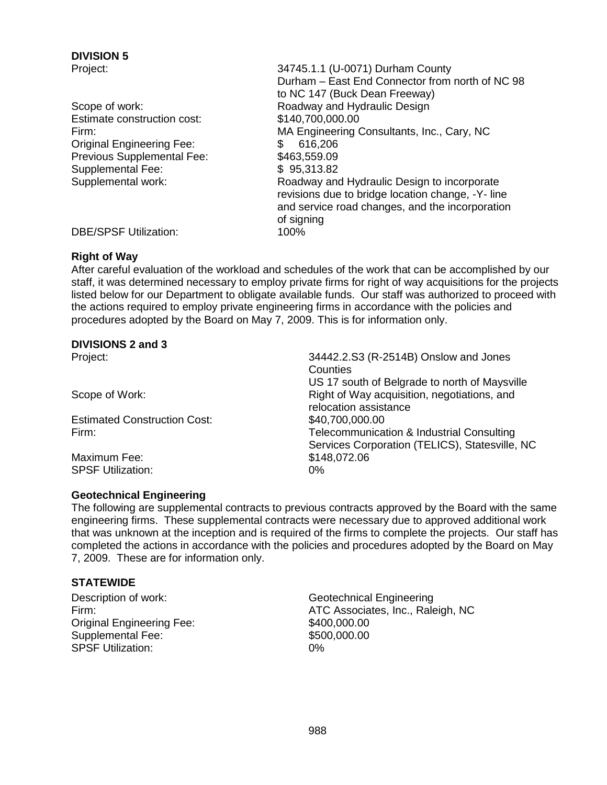# **DIVISION 5**

- Estimate construction cost: \$140,700,000.00 Original Engineering Fee: \$ 616,206 Previous Supplemental Fee: \$463,559.09 Supplemental Fee: \$ 95,313.82
- Project: 34745.1.1 (U-0071) Durham County Durham – East End Connector from north of NC 98 to NC 147 (Buck Dean Freeway) Scope of work: Scope of work: Roadway and Hydraulic Design Firm: MA Engineering Consultants, Inc., Cary, NC Supplemental work: Roadway and Hydraulic Design to incorporate revisions due to bridge location change, -Y- line and service road changes, and the incorporation of signing

DBE/SPSF Utilization: 100%

## **Right of Way**

After careful evaluation of the workload and schedules of the work that can be accomplished by our staff, it was determined necessary to employ private firms for right of way acquisitions for the projects listed below for our Department to obligate available funds. Our staff was authorized to proceed with the actions required to employ private engineering firms in accordance with the policies and procedures adopted by the Board on May 7, 2009. This is for information only.

## **DIVISIONS 2 and 3**

Estimated Construction Cost: \$40,700,000.00

Maximum Fee: \$148,072.06 SPSF Utilization: 0%

# **Geotechnical Engineering**

Project: 34442.2.S3 (R-2514B) Onslow and Jones **Counties** US 17 south of Belgrade to north of Maysville Scope of Work: **Right of Way acquisition, negotiations, and** relocation assistance Firm: Telecommunication & Industrial Consulting Services Corporation (TELICS), Statesville, NC

The following are supplemental contracts to previous contracts approved by the Board with the same engineering firms. These supplemental contracts were necessary due to approved additional work that was unknown at the inception and is required of the firms to complete the projects. Our staff has completed the actions in accordance with the policies and procedures adopted by the Board on May 7, 2009. These are for information only.

## **STATEWIDE**

Original Engineering Fee: \$400,000.00 Supplemental Fee: \$500,000.000 SPSF Utilization: 0%

Description of work: Christian Controller Controller Geotechnical Engineering Firm: **ATC Associates, Inc., Raleigh, NC**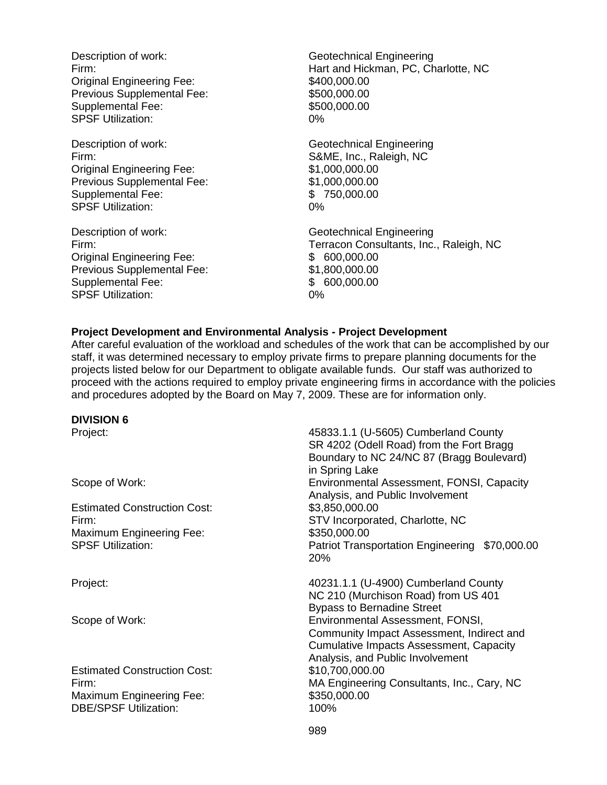Description of work: Geotechnical Engineering Original Engineering Fee: \$400,000.00 Previous Supplemental Fee: \$500,000.000 Supplemental Fee: \$500,000.000 SPSF Utilization: 0%

Description of work: Geotechnical Engineering Firm: S&ME, Inc., Raleigh, NC Original Engineering Fee: \$1,000,000.00 Previous Supplemental Fee: \$1,000,000.000 Supplemental Fee: \$ 750,000.00 SPSF Utilization: 0%

Description of work: Geotechnical Engineering Original Engineering Fee: \$ 600,000.00 Previous Supplemental Fee: \$1,800,000.00 Supplemental Fee:  $$600,000.00$ SPSF Utilization: 0%

Firm: Hart and Hickman, PC, Charlotte, NC

Firm: Terracon Consultants, Inc., Raleigh, NC

#### **Project Development and Environmental Analysis - Project Development**

After careful evaluation of the workload and schedules of the work that can be accomplished by our staff, it was determined necessary to employ private firms to prepare planning documents for the projects listed below for our Department to obligate available funds. Our staff was authorized to proceed with the actions required to employ private engineering firms in accordance with the policies and procedures adopted by the Board on May 7, 2009. These are for information only.

#### **DIVISION 6**

Project: 45833.1.1 (U-5605) Cumberland County SR 4202 (Odell Road) from the Fort Bragg Boundary to NC 24/NC 87 (Bragg Boulevard) in Spring Lake Scope of Work: Environmental Assessment, FONSI, Capacity Analysis, and Public Involvement Estimated Construction Cost: \$3,850,000.00 Firm: STV Incorporated, Charlotte, NC Maximum Engineering Fee: \$350,000.00 SPSF Utilization: Patriot Transportation Engineering \$70,000.00 20% Project: 40231.1.1 (U-4900) Cumberland County NC 210 (Murchison Road) from US 401 Bypass to Bernadine Street Scope of Work: Environmental Assessment, FONSI, Community Impact Assessment, Indirect and Cumulative Impacts Assessment, Capacity Analysis, and Public Involvement Estimated Construction Cost: \$10,700,000.00 Firm: MA Engineering Consultants, Inc., Cary, NC Maximum Engineering Fee: \$350,000.00 DBE/SPSF Utilization: 100%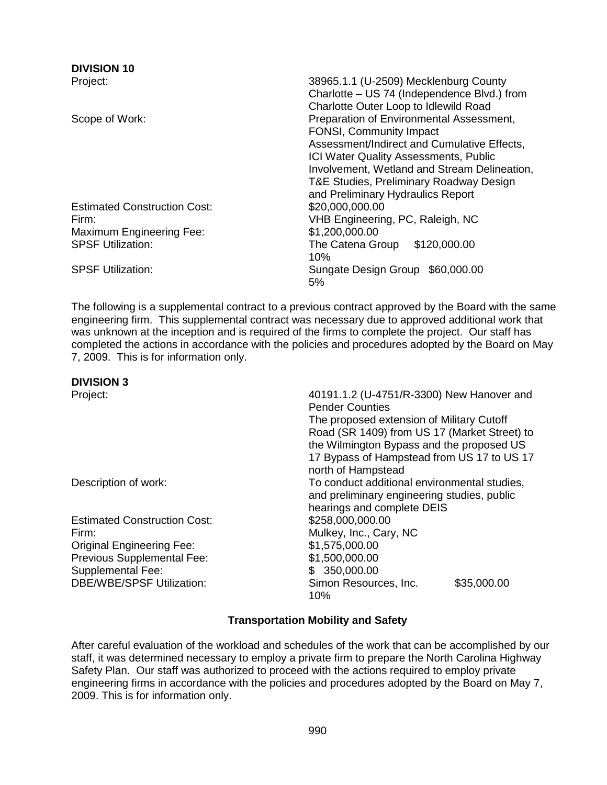## **DIVISION 10**

Estimated Construction Cost: \$20,000,000.00 Maximum Engineering Fee: \$1,200,000.00

Project: 38965.1.1 (U-2509) Mecklenburg County Charlotte – US 74 (Independence Blvd.) from Charlotte Outer Loop to Idlewild Road Scope of Work: **Preparation of Environmental Assessment**, FONSI, Community Impact Assessment/Indirect and Cumulative Effects, ICI Water Quality Assessments, Public Involvement, Wetland and Stream Delineation, T&E Studies, Preliminary Roadway Design and Preliminary Hydraulics Report Firm: VHB Engineering, PC, Raleigh, NC SPSF Utilization: The Catena Group \$120,000.00 10% SPSF Utilization: Sungate Design Group \$60,000.00 5%

The following is a supplemental contract to a previous contract approved by the Board with the same engineering firm. This supplemental contract was necessary due to approved additional work that was unknown at the inception and is required of the firms to complete the project. Our staff has completed the actions in accordance with the policies and procedures adopted by the Board on May 7, 2009. This is for information only.

| 40191.1.2 (U-4751/R-3300) New Hanover and<br><b>Pender Counties</b> |  |  |
|---------------------------------------------------------------------|--|--|
| The proposed extension of Military Cutoff                           |  |  |
| Road (SR 1409) from US 17 (Market Street) to                        |  |  |
| the Wilmington Bypass and the proposed US                           |  |  |
| 17 Bypass of Hampstead from US 17 to US 17                          |  |  |
| north of Hampstead                                                  |  |  |
| To conduct additional environmental studies,                        |  |  |
| and preliminary engineering studies, public                         |  |  |
| hearings and complete DEIS                                          |  |  |
| \$258,000,000.00                                                    |  |  |
| Mulkey, Inc., Cary, NC                                              |  |  |
| \$1,575,000.00                                                      |  |  |
| \$1,500,000.00                                                      |  |  |
| 350,000.00<br>\$.                                                   |  |  |
| Simon Resources, Inc.<br>\$35,000.00<br>10%                         |  |  |
|                                                                     |  |  |

## **Transportation Mobility and Safety**

After careful evaluation of the workload and schedules of the work that can be accomplished by our staff, it was determined necessary to employ a private firm to prepare the North Carolina Highway Safety Plan. Our staff was authorized to proceed with the actions required to employ private engineering firms in accordance with the policies and procedures adopted by the Board on May 7, 2009. This is for information only.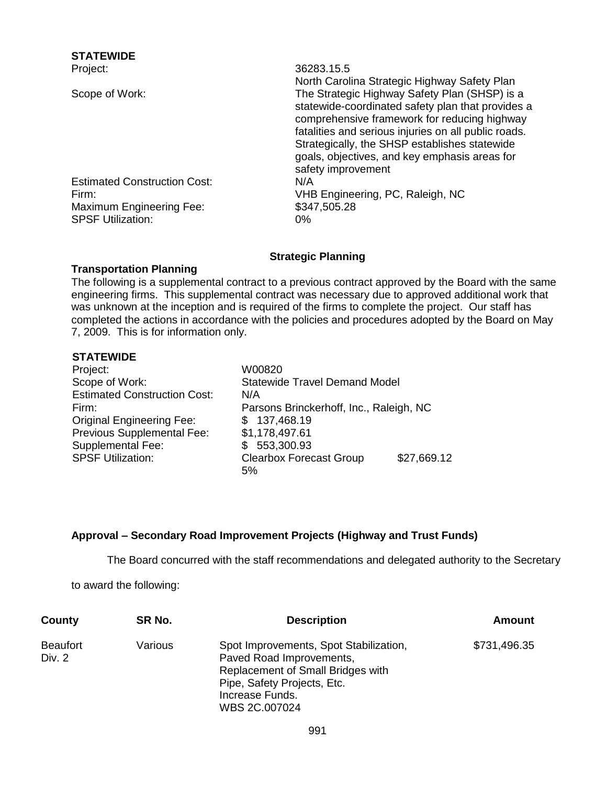| SIAIEWIDE                           |                                                                                                                                                                                                                                                                                                                                    |
|-------------------------------------|------------------------------------------------------------------------------------------------------------------------------------------------------------------------------------------------------------------------------------------------------------------------------------------------------------------------------------|
| Project:                            | 36283.15.5                                                                                                                                                                                                                                                                                                                         |
|                                     | North Carolina Strategic Highway Safety Plan                                                                                                                                                                                                                                                                                       |
| Scope of Work:                      | The Strategic Highway Safety Plan (SHSP) is a<br>statewide-coordinated safety plan that provides a<br>comprehensive framework for reducing highway<br>fatalities and serious injuries on all public roads.<br>Strategically, the SHSP establishes statewide<br>goals, objectives, and key emphasis areas for<br>safety improvement |
| <b>Estimated Construction Cost:</b> | N/A                                                                                                                                                                                                                                                                                                                                |
| Firm:                               | VHB Engineering, PC, Raleigh, NC                                                                                                                                                                                                                                                                                                   |
| Maximum Engineering Fee:            | \$347,505.28                                                                                                                                                                                                                                                                                                                       |
| <b>SPSF Utilization:</b>            | 0%                                                                                                                                                                                                                                                                                                                                 |
|                                     |                                                                                                                                                                                                                                                                                                                                    |

## **Strategic Planning**

## **Transportation Planning**

The following is a supplemental contract to a previous contract approved by the Board with the same engineering firms. This supplemental contract was necessary due to approved additional work that was unknown at the inception and is required of the firms to complete the project. Our staff has completed the actions in accordance with the policies and procedures adopted by the Board on May 7, 2009. This is for information only.

## **STATEWIDE**

**STATEWIDE**

| Project:                            | W00820                                  |             |
|-------------------------------------|-----------------------------------------|-------------|
| Scope of Work:                      | <b>Statewide Travel Demand Model</b>    |             |
| <b>Estimated Construction Cost:</b> | N/A                                     |             |
| Firm:                               | Parsons Brinckerhoff, Inc., Raleigh, NC |             |
| <b>Original Engineering Fee:</b>    | \$137,468.19                            |             |
| Previous Supplemental Fee:          | \$1,178,497.61                          |             |
| <b>Supplemental Fee:</b>            | 553,300.93                              |             |
| <b>SPSF Utilization:</b>            | <b>Clearbox Forecast Group</b>          | \$27,669.12 |
|                                     | 5%                                      |             |

## **Approval – Secondary Road Improvement Projects (Highway and Trust Funds)**

The Board concurred with the staff recommendations and delegated authority to the Secretary

to award the following:

| County                    | SR No.  | <b>Description</b>                                                                                                                                                         | Amount       |
|---------------------------|---------|----------------------------------------------------------------------------------------------------------------------------------------------------------------------------|--------------|
| <b>Beaufort</b><br>Div. 2 | Various | Spot Improvements, Spot Stabilization,<br>Paved Road Improvements,<br>Replacement of Small Bridges with<br>Pipe, Safety Projects, Etc.<br>Increase Funds.<br>WBS 2C.007024 | \$731,496.35 |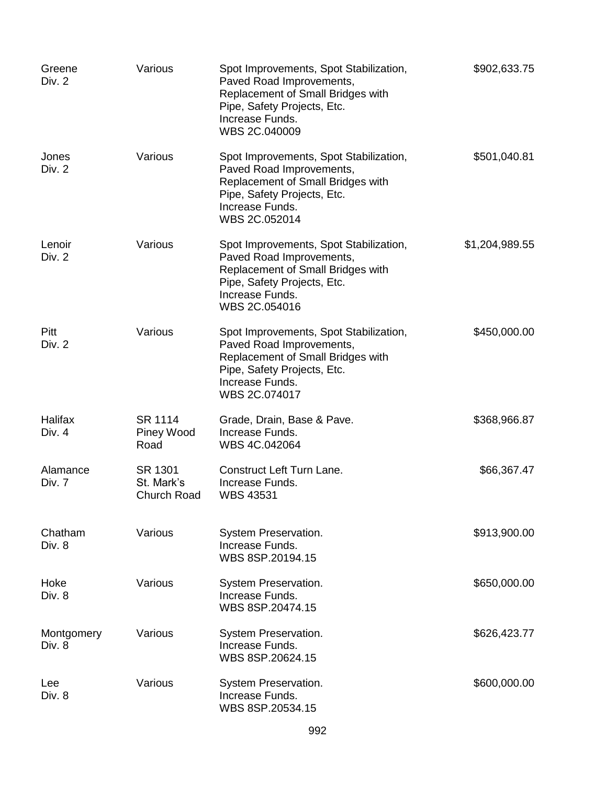| Greene<br>Div. 2     | Various                              | Spot Improvements, Spot Stabilization,<br>Paved Road Improvements,<br>Replacement of Small Bridges with<br>Pipe, Safety Projects, Etc.<br>Increase Funds.<br>WBS 2C.040009 | \$902,633.75   |
|----------------------|--------------------------------------|----------------------------------------------------------------------------------------------------------------------------------------------------------------------------|----------------|
| Jones<br>Div. 2      | Various                              | Spot Improvements, Spot Stabilization,<br>Paved Road Improvements,<br>Replacement of Small Bridges with<br>Pipe, Safety Projects, Etc.<br>Increase Funds.<br>WBS 2C.052014 | \$501,040.81   |
| Lenoir<br>Div. 2     | Various                              | Spot Improvements, Spot Stabilization,<br>Paved Road Improvements,<br>Replacement of Small Bridges with<br>Pipe, Safety Projects, Etc.<br>Increase Funds.<br>WBS 2C.054016 | \$1,204,989.55 |
| Pitt<br>Div. 2       | Various                              | Spot Improvements, Spot Stabilization,<br>Paved Road Improvements,<br>Replacement of Small Bridges with<br>Pipe, Safety Projects, Etc.<br>Increase Funds.<br>WBS 2C.074017 | \$450,000.00   |
| Halifax<br>Div. 4    | SR 1114<br>Piney Wood<br>Road        | Grade, Drain, Base & Pave.<br>Increase Funds.<br>WBS 4C.042064                                                                                                             | \$368,966.87   |
| Alamance<br>Div. 7   | SR 1301<br>St. Mark's<br>Church Road | <b>Construct Left Turn Lane.</b><br>Increase Funds.<br><b>WBS 43531</b>                                                                                                    | \$66,367.47    |
| Chatham<br>Div. 8    | Various                              | System Preservation.<br>Increase Funds.<br>WBS 8SP.20194.15                                                                                                                | \$913,900.00   |
| Hoke<br>Div. 8       | Various                              | System Preservation.<br>Increase Funds.<br>WBS 8SP.20474.15                                                                                                                | \$650,000.00   |
| Montgomery<br>Div. 8 | Various                              | System Preservation.<br>Increase Funds.<br>WBS 8SP.20624.15                                                                                                                | \$626,423.77   |
| Lee<br>Div. 8        | Various                              | System Preservation.<br>Increase Funds.<br>WBS 8SP.20534.15                                                                                                                | \$600,000.00   |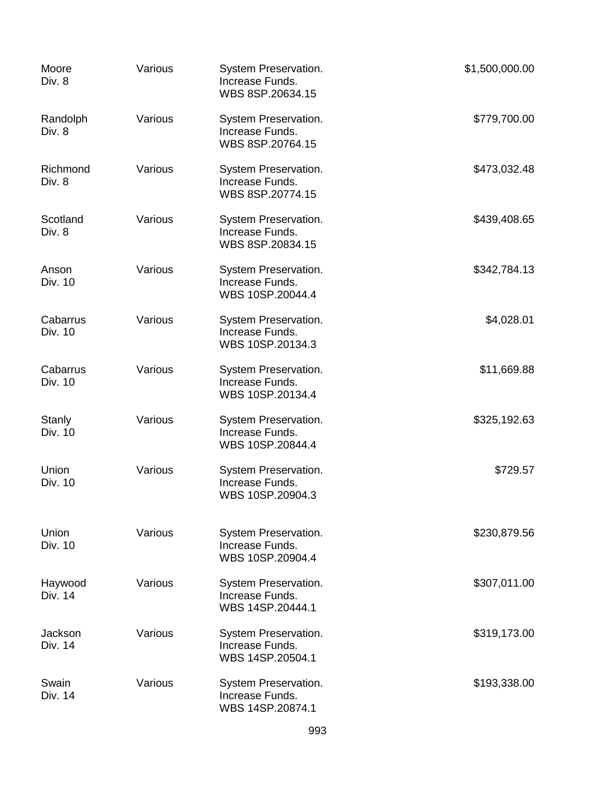| Moore<br>Div. 8     | Various | System Preservation.<br>Increase Funds.<br>WBS 8SP.20634.15 | \$1,500,000.00 |
|---------------------|---------|-------------------------------------------------------------|----------------|
| Randolph<br>Div. 8  | Various | System Preservation.<br>Increase Funds.<br>WBS 8SP.20764.15 | \$779,700.00   |
| Richmond<br>Div. 8  | Various | System Preservation.<br>Increase Funds.<br>WBS 8SP.20774.15 | \$473,032.48   |
| Scotland<br>Div. 8  | Various | System Preservation.<br>Increase Funds.<br>WBS 8SP.20834.15 | \$439,408.65   |
| Anson<br>Div. 10    | Various | System Preservation.<br>Increase Funds.<br>WBS 10SP.20044.4 | \$342,784.13   |
| Cabarrus<br>Div. 10 | Various | System Preservation.<br>Increase Funds.<br>WBS 10SP.20134.3 | \$4,028.01     |
| Cabarrus<br>Div. 10 | Various | System Preservation.<br>Increase Funds.<br>WBS 10SP.20134.4 | \$11,669.88    |
| Stanly<br>Div. 10   | Various | System Preservation.<br>Increase Funds.<br>WBS 10SP.20844.4 | \$325,192.63   |
| Union<br>Div. 10    | Various | System Preservation.<br>Increase Funds.<br>WBS 10SP.20904.3 | \$729.57       |
| Union<br>Div. 10    | Various | System Preservation.<br>Increase Funds.<br>WBS 10SP.20904.4 | \$230,879.56   |
| Haywood<br>Div. 14  | Various | System Preservation.<br>Increase Funds.<br>WBS 14SP.20444.1 | \$307,011.00   |
| Jackson<br>Div. 14  | Various | System Preservation.<br>Increase Funds.<br>WBS 14SP.20504.1 | \$319,173.00   |
| Swain<br>Div. 14    | Various | System Preservation.<br>Increase Funds.<br>WBS 14SP.20874.1 | \$193,338.00   |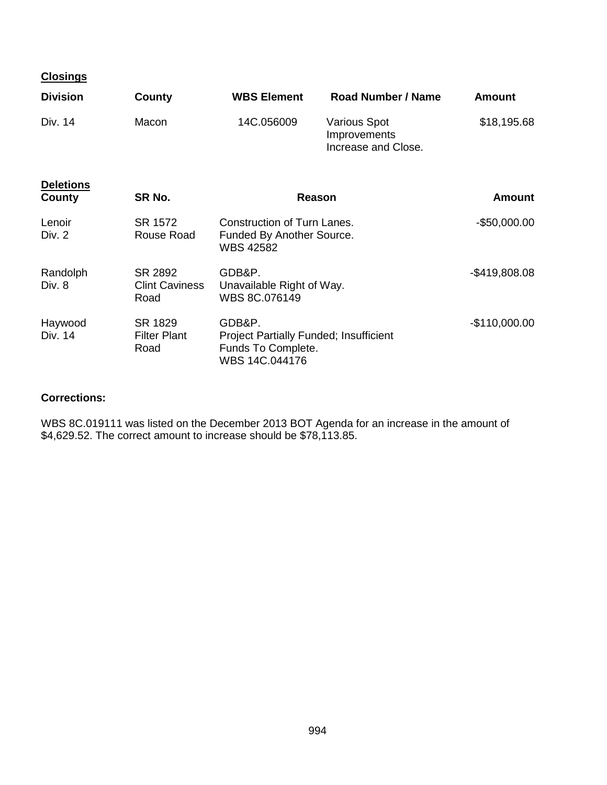| <b>Closings</b>    |                                          |                                                                                                 |                                                            |                |
|--------------------|------------------------------------------|-------------------------------------------------------------------------------------------------|------------------------------------------------------------|----------------|
| <b>Division</b>    | County                                   | <b>WBS Element</b>                                                                              | <b>Road Number / Name</b>                                  | <b>Amount</b>  |
| Div. 14            | Macon                                    | 14C.056009                                                                                      | <b>Various Spot</b><br>Improvements<br>Increase and Close. | \$18,195.68    |
| <b>Deletions</b>   |                                          |                                                                                                 |                                                            |                |
| County             | SR No.                                   |                                                                                                 | Reason                                                     | Amount         |
| Lenoir<br>Div. 2   | SR 1572<br>Rouse Road                    | Construction of Turn Lanes.<br>Funded By Another Source.<br><b>WBS 42582</b>                    |                                                            | -\$50,000.00   |
| Randolph<br>Div. 8 | SR 2892<br><b>Clint Caviness</b><br>Road | GDB&P.<br>Unavailable Right of Way.<br>WBS 8C.076149                                            |                                                            | $-$419,808.08$ |
| Haywood<br>Div. 14 | SR 1829<br><b>Filter Plant</b><br>Road   | GDB&P.<br><b>Project Partially Funded; Insufficient</b><br>Funds To Complete.<br>WBS 14C.044176 |                                                            | $-$110,000.00$ |

## **Corrections:**

WBS 8C.019111 was listed on the December 2013 BOT Agenda for an increase in the amount of \$4,629.52. The correct amount to increase should be \$78,113.85.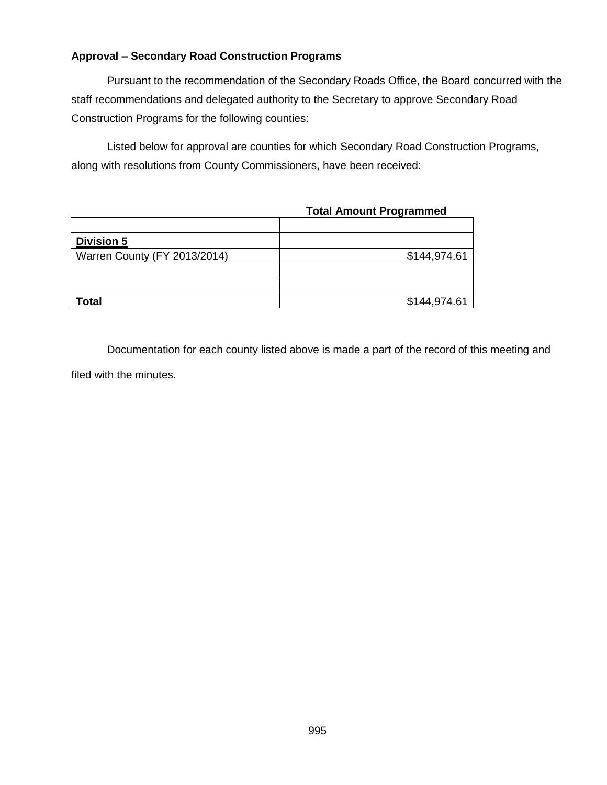## **Approval – Secondary Road Construction Programs**

Pursuant to the recommendation of the Secondary Roads Office, the Board concurred with the staff recommendations and delegated authority to the Secretary to approve Secondary Road Construction Programs for the following counties:

Listed below for approval are counties for which Secondary Road Construction Programs, along with resolutions from County Commissioners, have been received:

|  |  |  | <b>Total Amount Programmed</b> |
|--|--|--|--------------------------------|
|--|--|--|--------------------------------|

| <b>Division 5</b>            |              |
|------------------------------|--------------|
| Warren County (FY 2013/2014) | \$144,974.61 |
|                              |              |
|                              |              |
| <b>Total</b>                 | \$144,974.61 |

Documentation for each county listed above is made a part of the record of this meeting and filed with the minutes.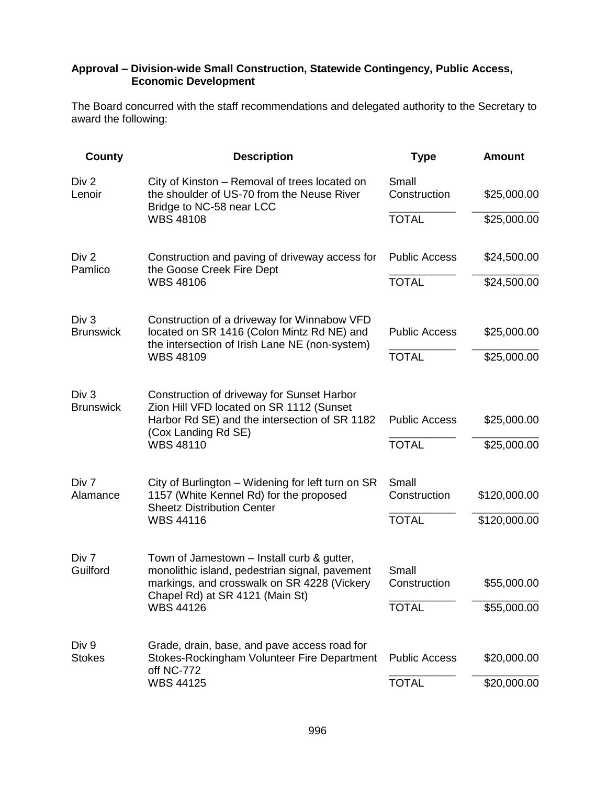## **Approval – Division-wide Small Construction, Statewide Contingency, Public Access, Economic Development**

The Board concurred with the staff recommendations and delegated authority to the Secretary to award the following:

| <b>County</b>                        | <b>Description</b>                                                                                                                | <b>Type</b>           | <b>Amount</b> |
|--------------------------------------|-----------------------------------------------------------------------------------------------------------------------------------|-----------------------|---------------|
| Div 2<br>Lenoir                      | City of Kinston - Removal of trees located on<br>the shoulder of US-70 from the Neuse River<br>Bridge to NC-58 near LCC           | Small<br>Construction | \$25,000.00   |
|                                      | <b>WBS 48108</b>                                                                                                                  | <b>TOTAL</b>          | \$25,000.00   |
| Div <sub>2</sub><br>Pamlico          | Construction and paving of driveway access for<br>the Goose Creek Fire Dept                                                       | <b>Public Access</b>  | \$24,500.00   |
|                                      | <b>WBS 48106</b>                                                                                                                  | <b>TOTAL</b>          | \$24,500.00   |
| Div <sub>3</sub><br><b>Brunswick</b> | Construction of a driveway for Winnabow VFD<br>located on SR 1416 (Colon Mintz Rd NE) and                                         | <b>Public Access</b>  | \$25,000.00   |
|                                      | the intersection of Irish Lane NE (non-system)                                                                                    |                       |               |
|                                      | <b>WBS 48109</b>                                                                                                                  | <b>TOTAL</b>          | \$25,000.00   |
| Div <sub>3</sub><br><b>Brunswick</b> | Construction of driveway for Sunset Harbor<br>Zion Hill VFD located on SR 1112 (Sunset                                            |                       |               |
|                                      | Harbor Rd SE) and the intersection of SR 1182<br>(Cox Landing Rd SE)                                                              | <b>Public Access</b>  | \$25,000.00   |
|                                      | <b>WBS 48110</b>                                                                                                                  | <b>TOTAL</b>          | \$25,000.00   |
| Div 7<br>Alamance                    | City of Burlington - Widening for left turn on SR<br>1157 (White Kennel Rd) for the proposed<br><b>Sheetz Distribution Center</b> | Small<br>Construction | \$120,000.00  |
|                                      |                                                                                                                                   |                       |               |
|                                      | <b>WBS 44116</b>                                                                                                                  | <b>TOTAL</b>          | \$120,000.00  |
| Div 7<br>Guilford                    | Town of Jamestown - Install curb & gutter,<br>monolithic island, pedestrian signal, pavement                                      | Small                 |               |
|                                      | markings, and crosswalk on SR 4228 (Vickery<br>Chapel Rd) at SR 4121 (Main St)                                                    | Construction          | \$55,000.00   |
|                                      | <b>WBS 44126</b>                                                                                                                  | <b>TOTAL</b>          | \$55,000.00   |
| Div 9                                | Grade, drain, base, and pave access road for                                                                                      |                       |               |
| <b>Stokes</b>                        | Stokes-Rockingham Volunteer Fire Department<br>off NC-772                                                                         | <b>Public Access</b>  | \$20,000.00   |
|                                      | <b>WBS 44125</b>                                                                                                                  | <b>TOTAL</b>          | \$20,000.00   |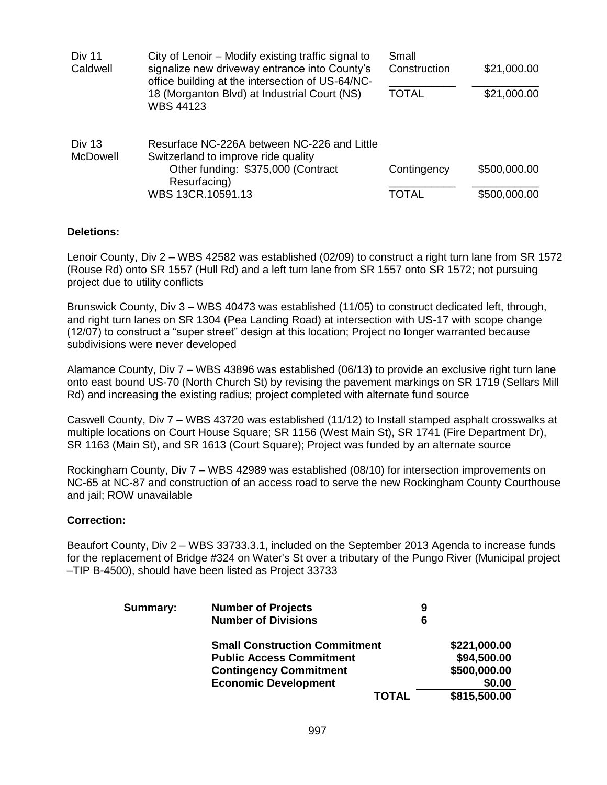| <b>Div 11</b><br>Caldwell | City of Lenoir – Modify existing traffic signal to<br>signalize new driveway entrance into County's<br>office building at the intersection of US-64/NC- | Small<br>Construction | \$21,000.00  |
|---------------------------|---------------------------------------------------------------------------------------------------------------------------------------------------------|-----------------------|--------------|
|                           | 18 (Morganton Blvd) at Industrial Court (NS)<br><b>WBS 44123</b>                                                                                        | <b>TOTAL</b>          | \$21,000.00  |
| Div 13<br><b>McDowell</b> | Resurface NC-226A between NC-226 and Little<br>Switzerland to improve ride quality<br>Other funding: \$375,000 (Contract                                | Contingency           | \$500,000.00 |
|                           | Resurfacing)<br>WBS 13CR.10591.13                                                                                                                       | TOTAL                 | \$500,000.00 |

## **Deletions:**

Lenoir County, Div 2 – WBS 42582 was established (02/09) to construct a right turn lane from SR 1572 (Rouse Rd) onto SR 1557 (Hull Rd) and a left turn lane from SR 1557 onto SR 1572; not pursuing project due to utility conflicts

Brunswick County, Div 3 – WBS 40473 was established (11/05) to construct dedicated left, through, and right turn lanes on SR 1304 (Pea Landing Road) at intersection with US-17 with scope change (12/07) to construct a "super street" design at this location; Project no longer warranted because subdivisions were never developed

Alamance County, Div 7 – WBS 43896 was established (06/13) to provide an exclusive right turn lane onto east bound US-70 (North Church St) by revising the pavement markings on SR 1719 (Sellars Mill Rd) and increasing the existing radius; project completed with alternate fund source

Caswell County, Div 7 – WBS 43720 was established (11/12) to Install stamped asphalt crosswalks at multiple locations on Court House Square; SR 1156 (West Main St), SR 1741 (Fire Department Dr), SR 1163 (Main St), and SR 1613 (Court Square); Project was funded by an alternate source

Rockingham County, Div 7 – WBS 42989 was established (08/10) for intersection improvements on NC-65 at NC-87 and construction of an access road to serve the new Rockingham County Courthouse and jail; ROW unavailable

## **Correction:**

Beaufort County, Div 2 – WBS 33733.3.1, included on the September 2013 Agenda to increase funds for the replacement of Bridge #324 on Water's St over a tributary of the Pungo River (Municipal project –TIP B-4500), should have been listed as Project 33733

| <b>Summary:</b> | <b>Number of Projects</b>            | 9 |              |
|-----------------|--------------------------------------|---|--------------|
|                 | <b>Number of Divisions</b>           | 6 |              |
|                 | <b>Small Construction Commitment</b> |   | \$221,000.00 |
|                 | <b>Public Access Commitment</b>      |   | \$94,500.00  |
|                 | <b>Contingency Commitment</b>        |   | \$500,000.00 |
|                 | <b>Economic Development</b>          |   | \$0.00       |
|                 | <b>TOTAL</b>                         |   | \$815,500.00 |
|                 |                                      |   |              |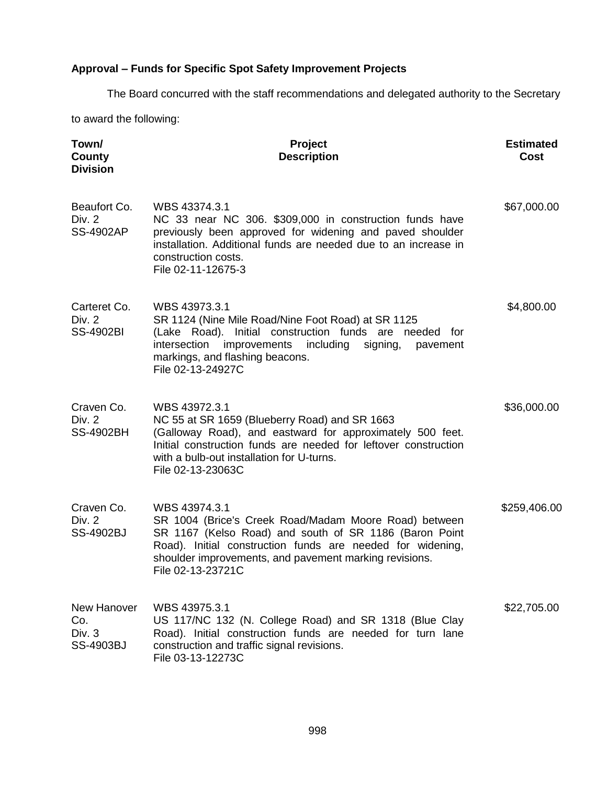# **Approval – Funds for Specific Spot Safety Improvement Projects**

The Board concurred with the staff recommendations and delegated authority to the Secretary

to award the following:

| Town/<br>County<br><b>Division</b>         | <b>Project</b><br><b>Description</b>                                                                                                                                                                                                                                          | <b>Estimated</b><br>Cost |
|--------------------------------------------|-------------------------------------------------------------------------------------------------------------------------------------------------------------------------------------------------------------------------------------------------------------------------------|--------------------------|
| Beaufort Co.<br>Div. 2<br><b>SS-4902AP</b> | WBS 43374.3.1<br>NC 33 near NC 306. \$309,000 in construction funds have<br>previously been approved for widening and paved shoulder<br>installation. Additional funds are needed due to an increase in<br>construction costs.<br>File 02-11-12675-3                          | \$67,000.00              |
| Carteret Co.<br>Div. 2<br><b>SS-4902BI</b> | WBS 43973.3.1<br>SR 1124 (Nine Mile Road/Nine Foot Road) at SR 1125<br>(Lake Road). Initial construction funds are needed for<br>improvements<br>including<br>intersection<br>signing,<br>pavement<br>markings, and flashing beacons.<br>File 02-13-24927C                    | \$4,800.00               |
| Craven Co.<br>Div. 2<br><b>SS-4902BH</b>   | WBS 43972.3.1<br>NC 55 at SR 1659 (Blueberry Road) and SR 1663<br>(Galloway Road), and eastward for approximately 500 feet.<br>Initial construction funds are needed for leftover construction<br>with a bulb-out installation for U-turns.<br>File 02-13-23063C              | \$36,000.00              |
| Craven Co.<br>Div. 2<br><b>SS-4902BJ</b>   | WBS 43974.3.1<br>SR 1004 (Brice's Creek Road/Madam Moore Road) between<br>SR 1167 (Kelso Road) and south of SR 1186 (Baron Point<br>Road). Initial construction funds are needed for widening,<br>shoulder improvements, and pavement marking revisions.<br>File 02-13-23721C | \$259,406.00             |
| New Hanover<br>Co.<br>Div. 3<br>SS-4903BJ  | WBS 43975.3.1<br>US 117/NC 132 (N. College Road) and SR 1318 (Blue Clay<br>Road). Initial construction funds are needed for turn lane<br>construction and traffic signal revisions.<br>File 03-13-12273C                                                                      | \$22,705.00              |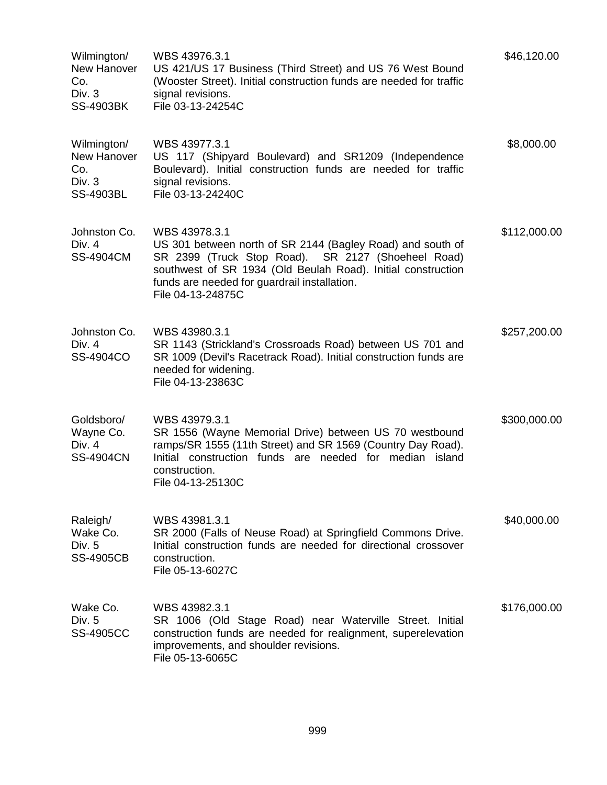| Wilmington/<br>New Hanover<br>Co.<br>Div. 3<br><b>SS-4903BK</b> | WBS 43976.3.1<br>US 421/US 17 Business (Third Street) and US 76 West Bound<br>(Wooster Street). Initial construction funds are needed for traffic<br>signal revisions.<br>File 03-13-24254C                                                                            | \$46,120.00  |
|-----------------------------------------------------------------|------------------------------------------------------------------------------------------------------------------------------------------------------------------------------------------------------------------------------------------------------------------------|--------------|
| Wilmington/<br>New Hanover<br>Co.<br>Div. 3<br>SS-4903BL        | WBS 43977.3.1<br>US 117 (Shipyard Boulevard) and SR1209 (Independence<br>Boulevard). Initial construction funds are needed for traffic<br>signal revisions.<br>File 03-13-24240C                                                                                       | \$8,000.00   |
| Johnston Co.<br>Div. 4<br><b>SS-4904CM</b>                      | WBS 43978.3.1<br>US 301 between north of SR 2144 (Bagley Road) and south of<br>SR 2399 (Truck Stop Road). SR 2127 (Shoeheel Road)<br>southwest of SR 1934 (Old Beulah Road). Initial construction<br>funds are needed for guardrail installation.<br>File 04-13-24875C | \$112,000.00 |
| Johnston Co.<br>Div. 4<br>SS-4904CO                             | WBS 43980.3.1<br>SR 1143 (Strickland's Crossroads Road) between US 701 and<br>SR 1009 (Devil's Racetrack Road). Initial construction funds are<br>needed for widening.<br>File 04-13-23863C                                                                            | \$257,200.00 |
| Goldsboro/<br>Wayne Co.<br>Div. 4<br><b>SS-4904CN</b>           | WBS 43979.3.1<br>SR 1556 (Wayne Memorial Drive) between US 70 westbound<br>ramps/SR 1555 (11th Street) and SR 1569 (Country Day Road).<br>Initial construction funds are needed for median island<br>construction.<br>File 04-13-25130C                                | \$300,000.00 |
| Raleigh/<br>Wake Co.<br>Div. 5<br><b>SS-4905CB</b>              | WBS 43981.3.1<br>SR 2000 (Falls of Neuse Road) at Springfield Commons Drive.<br>Initial construction funds are needed for directional crossover<br>construction.<br>File 05-13-6027C                                                                                   | \$40,000.00  |
| Wake Co.<br>Div. $5$<br><b>SS-4905CC</b>                        | WBS 43982.3.1<br>SR 1006 (Old Stage Road) near Waterville Street. Initial<br>construction funds are needed for realignment, superelevation<br>improvements, and shoulder revisions.<br>File 05-13-6065C                                                                | \$176,000.00 |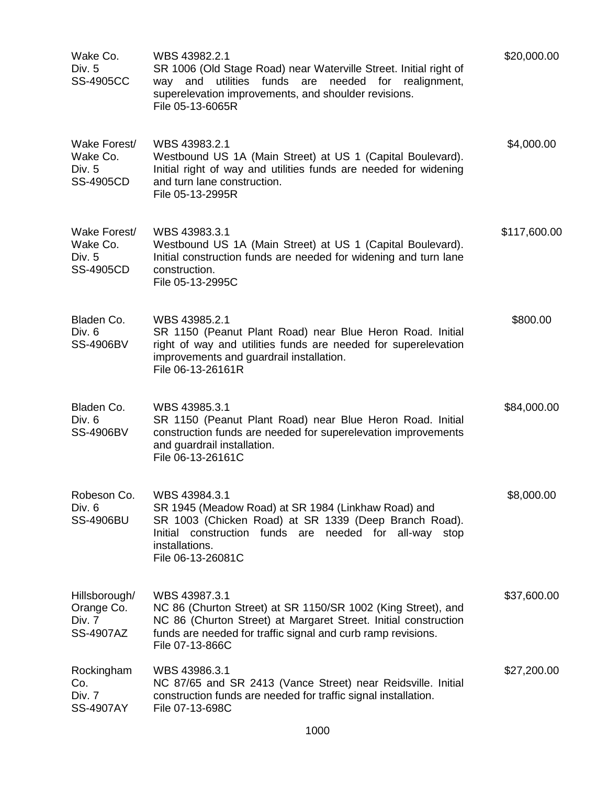| Wake Co.<br>Div. 5<br><b>SS-4905CC</b>                    | WBS 43982.2.1<br>SR 1006 (Old Stage Road) near Waterville Street. Initial right of<br>utilities funds are<br>needed<br>for realignment,<br>and<br>way<br>superelevation improvements, and shoulder revisions.<br>File 05-13-6065R   | \$20,000.00  |
|-----------------------------------------------------------|-------------------------------------------------------------------------------------------------------------------------------------------------------------------------------------------------------------------------------------|--------------|
| Wake Forest/<br>Wake Co.<br>Div. 5<br><b>SS-4905CD</b>    | WBS 43983.2.1<br>Westbound US 1A (Main Street) at US 1 (Capital Boulevard).<br>Initial right of way and utilities funds are needed for widening<br>and turn lane construction.<br>File 05-13-2995R                                  | \$4,000.00   |
| Wake Forest/<br>Wake Co.<br>Div. 5<br><b>SS-4905CD</b>    | WBS 43983.3.1<br>Westbound US 1A (Main Street) at US 1 (Capital Boulevard).<br>Initial construction funds are needed for widening and turn lane<br>construction.<br>File 05-13-2995C                                                | \$117,600.00 |
| Bladen Co.<br>Div. 6<br><b>SS-4906BV</b>                  | WBS 43985.2.1<br>SR 1150 (Peanut Plant Road) near Blue Heron Road. Initial<br>right of way and utilities funds are needed for superelevation<br>improvements and guardrail installation.<br>File 06-13-26161R                       | \$800.00     |
| Bladen Co.<br>Div. 6<br><b>SS-4906BV</b>                  | WBS 43985.3.1<br>SR 1150 (Peanut Plant Road) near Blue Heron Road. Initial<br>construction funds are needed for superelevation improvements<br>and guardrail installation.<br>File 06-13-26161C                                     | \$84,000.00  |
| Robeson Co.<br>Div. 6<br><b>SS-4906BU</b>                 | WBS 43984.3.1<br>SR 1945 (Meadow Road) at SR 1984 (Linkhaw Road) and<br>SR 1003 (Chicken Road) at SR 1339 (Deep Branch Road).<br>Initial construction funds are needed for all-way<br>stop<br>installations.<br>File 06-13-26081C   | \$8,000.00   |
| Hillsborough/<br>Orange Co.<br>Div. 7<br><b>SS-4907AZ</b> | WBS 43987.3.1<br>NC 86 (Churton Street) at SR 1150/SR 1002 (King Street), and<br>NC 86 (Churton Street) at Margaret Street. Initial construction<br>funds are needed for traffic signal and curb ramp revisions.<br>File 07-13-866C | \$37,600.00  |
| Rockingham<br>Co.<br>Div. 7<br><b>SS-4907AY</b>           | WBS 43986.3.1<br>NC 87/65 and SR 2413 (Vance Street) near Reidsville. Initial<br>construction funds are needed for traffic signal installation.<br>File 07-13-698C                                                                  | \$27,200.00  |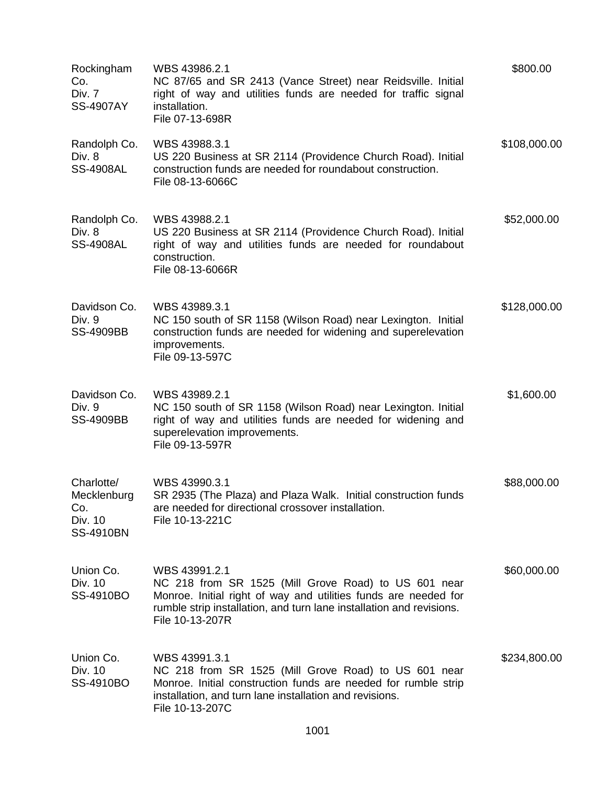| Rockingham<br>Co.<br>Div. 7<br><b>SS-4907AY</b>                 | WBS 43986.2.1<br>NC 87/65 and SR 2413 (Vance Street) near Reidsville. Initial<br>right of way and utilities funds are needed for traffic signal<br>installation.<br>File 07-13-698R                                                 | \$800.00     |
|-----------------------------------------------------------------|-------------------------------------------------------------------------------------------------------------------------------------------------------------------------------------------------------------------------------------|--------------|
| Randolph Co.<br>Div. 8<br><b>SS-4908AL</b>                      | WBS 43988.3.1<br>US 220 Business at SR 2114 (Providence Church Road). Initial<br>construction funds are needed for roundabout construction.<br>File 08-13-6066C                                                                     | \$108,000.00 |
| Randolph Co.<br>Div. 8<br><b>SS-4908AL</b>                      | WBS 43988.2.1<br>US 220 Business at SR 2114 (Providence Church Road). Initial<br>right of way and utilities funds are needed for roundabout<br>construction.<br>File 08-13-6066R                                                    | \$52,000.00  |
| Davidson Co.<br>Div. 9<br><b>SS-4909BB</b>                      | WBS 43989.3.1<br>NC 150 south of SR 1158 (Wilson Road) near Lexington. Initial<br>construction funds are needed for widening and superelevation<br>improvements.<br>File 09-13-597C                                                 | \$128,000.00 |
| Davidson Co.<br>Div. 9<br><b>SS-4909BB</b>                      | WBS 43989.2.1<br>NC 150 south of SR 1158 (Wilson Road) near Lexington. Initial<br>right of way and utilities funds are needed for widening and<br>superelevation improvements.<br>File 09-13-597R                                   | \$1,600.00   |
| Charlotte/<br>Mecklenburg<br>Co.<br>Div. 10<br><b>SS-4910BN</b> | WBS 43990.3.1<br>SR 2935 (The Plaza) and Plaza Walk. Initial construction funds<br>are needed for directional crossover installation.<br>File 10-13-221C                                                                            | \$88,000.00  |
| Union Co.<br>Div. 10<br>SS-4910BO                               | WBS 43991.2.1<br>NC 218 from SR 1525 (Mill Grove Road) to US 601 near<br>Monroe. Initial right of way and utilities funds are needed for<br>rumble strip installation, and turn lane installation and revisions.<br>File 10-13-207R | \$60,000.00  |
| Union Co.<br>Div. 10<br>SS-4910BO                               | WBS 43991.3.1<br>NC 218 from SR 1525 (Mill Grove Road) to US 601 near<br>Monroe. Initial construction funds are needed for rumble strip<br>installation, and turn lane installation and revisions.<br>File 10-13-207C               | \$234,800.00 |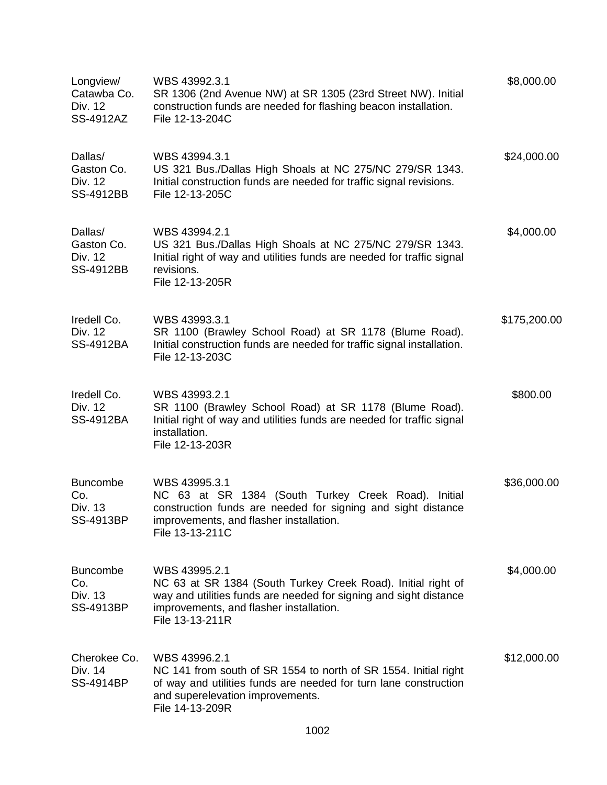| Longview/<br>Catawba Co.<br>Div. 12<br>SS-4912AZ      | WBS 43992.3.1<br>SR 1306 (2nd Avenue NW) at SR 1305 (23rd Street NW). Initial<br>construction funds are needed for flashing beacon installation.<br>File 12-13-204C                                              | \$8,000.00   |
|-------------------------------------------------------|------------------------------------------------------------------------------------------------------------------------------------------------------------------------------------------------------------------|--------------|
| Dallas/<br>Gaston Co.<br>Div. 12<br><b>SS-4912BB</b>  | WBS 43994.3.1<br>US 321 Bus./Dallas High Shoals at NC 275/NC 279/SR 1343.<br>Initial construction funds are needed for traffic signal revisions.<br>File 12-13-205C                                              | \$24,000.00  |
| Dallas/<br>Gaston Co.<br>Div. 12<br>SS-4912BB         | WBS 43994.2.1<br>US 321 Bus./Dallas High Shoals at NC 275/NC 279/SR 1343.<br>Initial right of way and utilities funds are needed for traffic signal<br>revisions.<br>File 12-13-205R                             | \$4,000.00   |
| Iredell Co.<br>Div. 12<br>SS-4912BA                   | WBS 43993.3.1<br>SR 1100 (Brawley School Road) at SR 1178 (Blume Road).<br>Initial construction funds are needed for traffic signal installation.<br>File 12-13-203C                                             | \$175,200.00 |
| Iredell Co.<br>Div. 12<br>SS-4912BA                   | WBS 43993.2.1<br>SR 1100 (Brawley School Road) at SR 1178 (Blume Road).<br>Initial right of way and utilities funds are needed for traffic signal<br>installation.<br>File 12-13-203R                            | \$800.00     |
| <b>Buncombe</b><br>Co.<br>Div. 13<br><b>SS-4913BP</b> | WBS 43995.3.1<br>NC 63 at SR 1384 (South Turkey Creek Road). Initial<br>construction funds are needed for signing and sight distance<br>improvements, and flasher installation.<br>File 13-13-211C               | \$36,000.00  |
| <b>Buncombe</b><br>Co.<br>Div. 13<br><b>SS-4913BP</b> | WBS 43995.2.1<br>NC 63 at SR 1384 (South Turkey Creek Road). Initial right of<br>way and utilities funds are needed for signing and sight distance<br>improvements, and flasher installation.<br>File 13-13-211R | \$4,000.00   |
| Cherokee Co.<br>Div. 14<br>SS-4914BP                  | WBS 43996.2.1<br>NC 141 from south of SR 1554 to north of SR 1554. Initial right<br>of way and utilities funds are needed for turn lane construction<br>and superelevation improvements.<br>File 14-13-209R      | \$12,000.00  |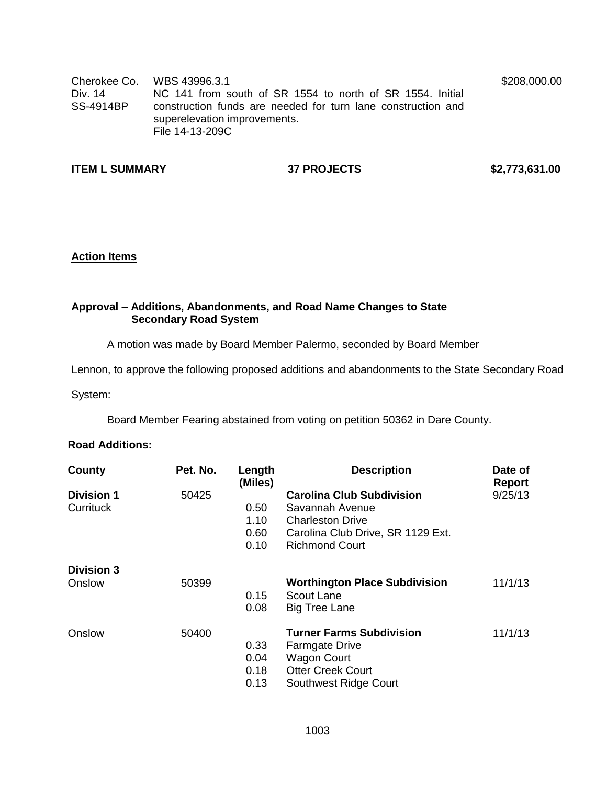Cherokee Co. WBS 43996.3.1 Div. 14 SS-4914BP NC 141 from south of SR 1554 to north of SR 1554. Initial construction funds are needed for turn lane construction and superelevation improvements. File 14-13-209C

**ITEM L SUMMARY 37 PROJECTS \$2,773,631.00**

\$208,000.00

## **Action Items**

## **Approval – Additions, Abandonments, and Road Name Changes to State Secondary Road System**

A motion was made by Board Member Palermo, seconded by Board Member

Lennon, to approve the following proposed additions and abandonments to the State Secondary Road

System:

Board Member Fearing abstained from voting on petition 50362 in Dare County.

## **Road Additions:**

| County                         | Pet. No. | Length<br>(Miles)            | <b>Description</b>                                                                                                                  | Date of<br>Report |
|--------------------------------|----------|------------------------------|-------------------------------------------------------------------------------------------------------------------------------------|-------------------|
| <b>Division 1</b><br>Currituck | 50425    | 0.50<br>1.10                 | <b>Carolina Club Subdivision</b><br>Savannah Avenue<br><b>Charleston Drive</b>                                                      | 9/25/13           |
|                                |          | 0.60<br>0.10                 | Carolina Club Drive, SR 1129 Ext.<br><b>Richmond Court</b>                                                                          |                   |
| <b>Division 3</b><br>Onslow    | 50399    |                              | <b>Worthington Place Subdivision</b>                                                                                                | 11/1/13           |
|                                |          | 0.15<br>0.08                 | Scout Lane<br><b>Big Tree Lane</b>                                                                                                  |                   |
| Onslow                         | 50400    | 0.33<br>0.04<br>0.18<br>0.13 | <b>Turner Farms Subdivision</b><br><b>Farmgate Drive</b><br><b>Wagon Court</b><br><b>Otter Creek Court</b><br>Southwest Ridge Court | 11/1/13           |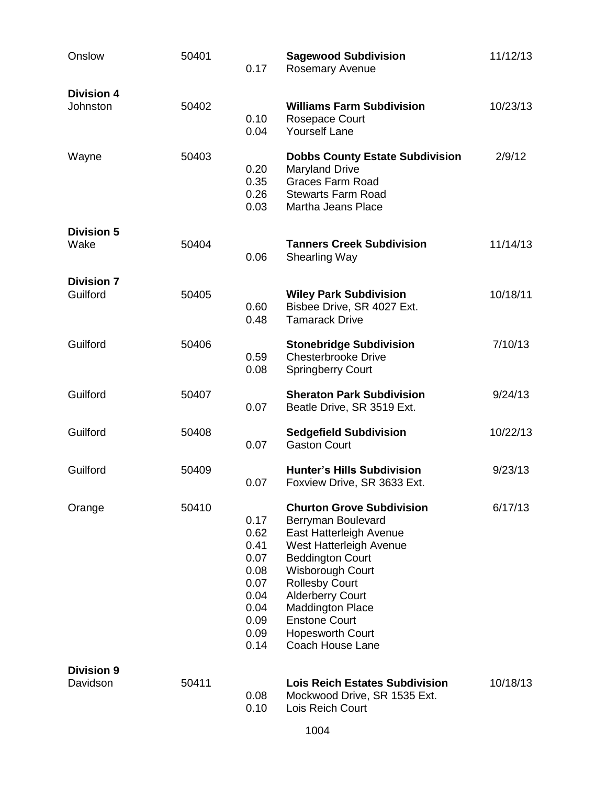| Onslow                        | 50401 | 0.17                                                                                 | <b>Sagewood Subdivision</b><br><b>Rosemary Avenue</b>                                                                                                                                                                                                                                                             | 11/12/13 |
|-------------------------------|-------|--------------------------------------------------------------------------------------|-------------------------------------------------------------------------------------------------------------------------------------------------------------------------------------------------------------------------------------------------------------------------------------------------------------------|----------|
| <b>Division 4</b><br>Johnston | 50402 | 0.10<br>0.04                                                                         | <b>Williams Farm Subdivision</b><br>Rosepace Court<br><b>Yourself Lane</b>                                                                                                                                                                                                                                        | 10/23/13 |
| Wayne                         | 50403 | 0.20<br>0.35<br>0.26<br>0.03                                                         | <b>Dobbs County Estate Subdivision</b><br><b>Maryland Drive</b><br><b>Graces Farm Road</b><br><b>Stewarts Farm Road</b><br>Martha Jeans Place                                                                                                                                                                     | 2/9/12   |
| <b>Division 5</b><br>Wake     | 50404 | 0.06                                                                                 | <b>Tanners Creek Subdivision</b><br><b>Shearling Way</b>                                                                                                                                                                                                                                                          | 11/14/13 |
| <b>Division 7</b><br>Guilford | 50405 | 0.60<br>0.48                                                                         | <b>Wiley Park Subdivision</b><br>Bisbee Drive, SR 4027 Ext.<br><b>Tamarack Drive</b>                                                                                                                                                                                                                              | 10/18/11 |
| Guilford                      | 50406 | 0.59<br>0.08                                                                         | <b>Stonebridge Subdivision</b><br><b>Chesterbrooke Drive</b><br><b>Springberry Court</b>                                                                                                                                                                                                                          | 7/10/13  |
| Guilford                      | 50407 | 0.07                                                                                 | <b>Sheraton Park Subdivision</b><br>Beatle Drive, SR 3519 Ext.                                                                                                                                                                                                                                                    | 9/24/13  |
| Guilford                      | 50408 | 0.07                                                                                 | <b>Sedgefield Subdivision</b><br><b>Gaston Court</b>                                                                                                                                                                                                                                                              | 10/22/13 |
| Guilford                      | 50409 | 0.07                                                                                 | <b>Hunter's Hills Subdivision</b><br>Foxview Drive, SR 3633 Ext.                                                                                                                                                                                                                                                  | 9/23/13  |
| Orange                        | 50410 | 0.17<br>0.62<br>0.41<br>0.07<br>0.08<br>0.07<br>0.04<br>0.04<br>0.09<br>0.09<br>0.14 | <b>Churton Grove Subdivision</b><br>Berryman Boulevard<br>East Hatterleigh Avenue<br>West Hatterleigh Avenue<br><b>Beddington Court</b><br>Wisborough Court<br><b>Rollesby Court</b><br><b>Alderberry Court</b><br><b>Maddington Place</b><br><b>Enstone Court</b><br><b>Hopesworth Court</b><br>Coach House Lane | 6/17/13  |
| <b>Division 9</b><br>Davidson | 50411 | 0.08<br>0.10                                                                         | <b>Lois Reich Estates Subdivision</b><br>Mockwood Drive, SR 1535 Ext.<br>Lois Reich Court                                                                                                                                                                                                                         | 10/18/13 |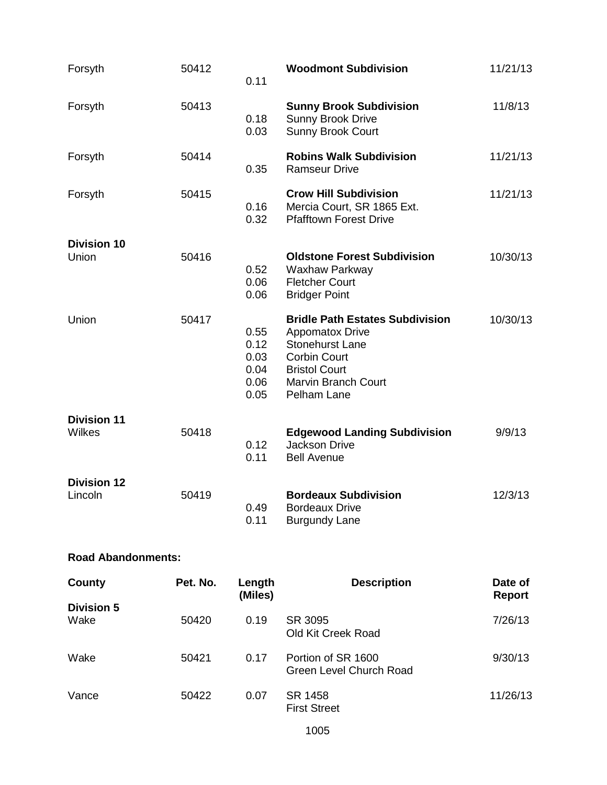| Forsyth                       | 50412 | 0.11                                         | <b>Woodmont Subdivision</b>                                                                                                                                                            | 11/21/13 |
|-------------------------------|-------|----------------------------------------------|----------------------------------------------------------------------------------------------------------------------------------------------------------------------------------------|----------|
| Forsyth                       | 50413 | 0.18<br>0.03                                 | <b>Sunny Brook Subdivision</b><br>Sunny Brook Drive<br><b>Sunny Brook Court</b>                                                                                                        | 11/8/13  |
| Forsyth                       | 50414 | 0.35                                         | <b>Robins Walk Subdivision</b><br><b>Ramseur Drive</b>                                                                                                                                 | 11/21/13 |
| Forsyth                       | 50415 | 0.16<br>0.32                                 | <b>Crow Hill Subdivision</b><br>Mercia Court, SR 1865 Ext.<br><b>Pfafftown Forest Drive</b>                                                                                            | 11/21/13 |
| <b>Division 10</b><br>Union   | 50416 | 0.52<br>0.06<br>0.06                         | <b>Oldstone Forest Subdivision</b><br>Waxhaw Parkway<br><b>Fletcher Court</b><br><b>Bridger Point</b>                                                                                  | 10/30/13 |
| Union                         | 50417 | 0.55<br>0.12<br>0.03<br>0.04<br>0.06<br>0.05 | <b>Bridle Path Estates Subdivision</b><br><b>Appomatox Drive</b><br><b>Stonehurst Lane</b><br><b>Corbin Court</b><br><b>Bristol Court</b><br><b>Marvin Branch Court</b><br>Pelham Lane | 10/30/13 |
| <b>Division 11</b><br>Wilkes  | 50418 | 0.12<br>0.11                                 | <b>Edgewood Landing Subdivision</b><br><b>Jackson Drive</b><br><b>Bell Avenue</b>                                                                                                      | 9/9/13   |
| <b>Division 12</b><br>Lincoln | 50419 | 0.49<br>0.11                                 | <b>Bordeaux Subdivision</b><br><b>Bordeaux Drive</b><br><b>Burgundy Lane</b>                                                                                                           | 12/3/13  |

# **Road Abandonments:**

| County                    | Pet. No. | Length<br>(Miles) | <b>Description</b>                            | Date of<br><b>Report</b> |
|---------------------------|----------|-------------------|-----------------------------------------------|--------------------------|
| <b>Division 5</b><br>Wake | 50420    | 0.19              | SR 3095<br>Old Kit Creek Road                 | 7/26/13                  |
| Wake                      | 50421    | 0.17              | Portion of SR 1600<br>Green Level Church Road | 9/30/13                  |
| Vance                     | 50422    | 0.07              | SR 1458<br><b>First Street</b>                | 11/26/13                 |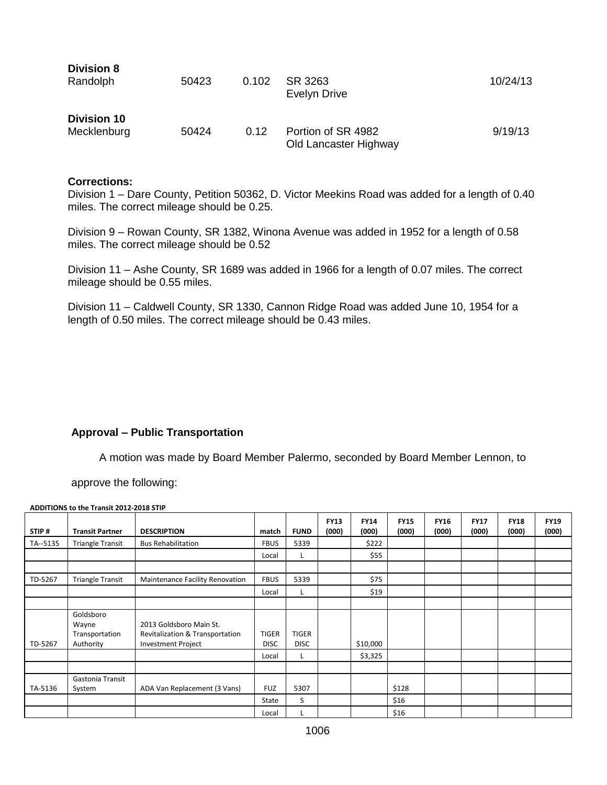| <b>Division 8</b><br>Randolph     | 50423 | 0.102 | SR 3263<br>Evelyn Drive                     | 10/24/13 |
|-----------------------------------|-------|-------|---------------------------------------------|----------|
| <b>Division 10</b><br>Mecklenburg | 50424 | 0.12  | Portion of SR 4982<br>Old Lancaster Highway | 9/19/13  |

## **Corrections:**

**Division 8**

Division 1 – Dare County, Petition 50362, D. Victor Meekins Road was added for a length of 0.40 miles. The correct mileage should be 0.25.

Division 9 – Rowan County, SR 1382, Winona Avenue was added in 1952 for a length of 0.58 miles. The correct mileage should be 0.52

Division 11 – Ashe County, SR 1689 was added in 1966 for a length of 0.07 miles. The correct mileage should be 0.55 miles.

Division 11 – Caldwell County, SR 1330, Cannon Ridge Road was added June 10, 1954 for a length of 0.50 miles. The correct mileage should be 0.43 miles.

## **Approval – Public Transportation**

A motion was made by Board Member Palermo, seconded by Board Member Lennon, to

approve the following:

**ADDITIONS to the Transit 2012-2018 STIP**

| STIP#    | <b>Transit Partner</b>                            | <b>DESCRIPTION</b>                                                                      | match                       | <b>FUND</b>                 | <b>FY13</b><br>(000) | <b>FY14</b><br>(000) | <b>FY15</b><br>(000) | <b>FY16</b><br>(000) | <b>FY17</b><br>(000) | <b>FY18</b><br>(000) | <b>FY19</b><br>(000) |
|----------|---------------------------------------------------|-----------------------------------------------------------------------------------------|-----------------------------|-----------------------------|----------------------|----------------------|----------------------|----------------------|----------------------|----------------------|----------------------|
| TA--5135 | <b>Triangle Transit</b>                           | <b>Bus Rehabilitation</b>                                                               | <b>FBUS</b>                 | 5339                        |                      | \$222                |                      |                      |                      |                      |                      |
|          |                                                   |                                                                                         | Local                       | ч.                          |                      | \$55                 |                      |                      |                      |                      |                      |
|          |                                                   |                                                                                         |                             |                             |                      |                      |                      |                      |                      |                      |                      |
| TD-5267  | <b>Triangle Transit</b>                           | Maintenance Facility Renovation                                                         | <b>FBUS</b>                 | 5339                        |                      | \$75                 |                      |                      |                      |                      |                      |
|          |                                                   |                                                                                         | Local                       |                             |                      | \$19                 |                      |                      |                      |                      |                      |
|          |                                                   |                                                                                         |                             |                             |                      |                      |                      |                      |                      |                      |                      |
| TD-5267  | Goldsboro<br>Wayne<br>Transportation<br>Authority | 2013 Goldsboro Main St.<br>Revitalization & Transportation<br><b>Investment Project</b> | <b>TIGER</b><br><b>DISC</b> | <b>TIGER</b><br><b>DISC</b> |                      | \$10,000             |                      |                      |                      |                      |                      |
|          |                                                   |                                                                                         | Local                       | L.                          |                      | \$3,325              |                      |                      |                      |                      |                      |
|          |                                                   |                                                                                         |                             |                             |                      |                      |                      |                      |                      |                      |                      |
| TA-5136  | Gastonia Transit<br>System                        | ADA Van Replacement (3 Vans)                                                            | <b>FUZ</b>                  | 5307                        |                      |                      | \$128                |                      |                      |                      |                      |
|          |                                                   |                                                                                         | State                       | S                           |                      |                      | \$16                 |                      |                      |                      |                      |
|          |                                                   |                                                                                         | Local                       |                             |                      |                      | \$16                 |                      |                      |                      |                      |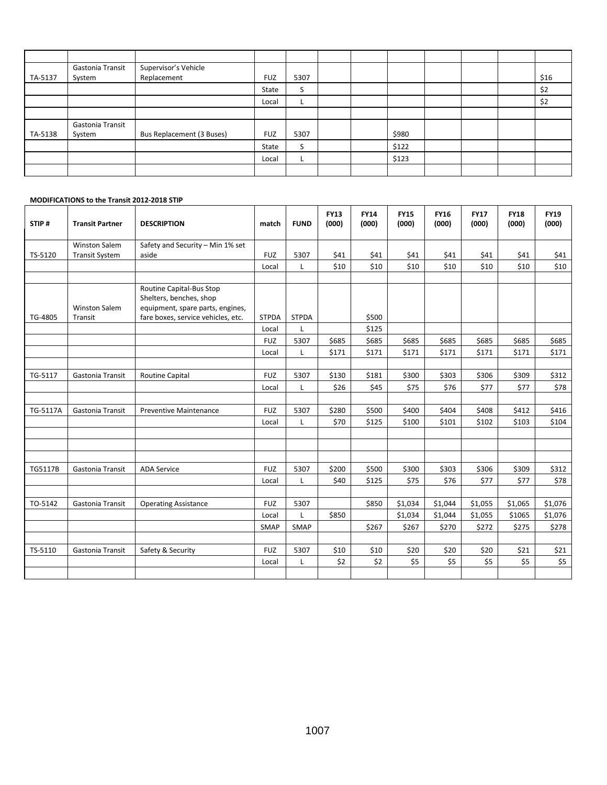|         | Gastonia Transit | Supervisor's Vehicle      |            |      |  |       |  |      |
|---------|------------------|---------------------------|------------|------|--|-------|--|------|
| TA-5137 | System           | Replacement               | <b>FUZ</b> | 5307 |  |       |  | \$16 |
|         |                  |                           | State      | C    |  |       |  | \$2  |
|         |                  |                           | Local      | ┕    |  |       |  | \$2  |
|         |                  |                           |            |      |  |       |  |      |
|         | Gastonia Transit |                           |            |      |  |       |  |      |
| TA-5138 | System           | Bus Replacement (3 Buses) | <b>FUZ</b> | 5307 |  | \$980 |  |      |
|         |                  |                           | State      | C    |  | \$122 |  |      |
|         |                  |                           | Local      | L.   |  | \$123 |  |      |
|         |                  |                           |            |      |  |       |  |      |

#### **MODIFICATIONS to the Transit 2012-2018 STIP**

| STIP#    | <b>Transit Partner</b>          | <b>DESCRIPTION</b>                                                                                                            | match        | <b>FUND</b>  | <b>FY13</b><br>(000) | <b>FY14</b><br>(000) | <b>FY15</b><br>(000) | <b>FY16</b><br>(000) | <b>FY17</b><br>(000) | <b>FY18</b><br>(000) | <b>FY19</b><br>(000) |
|----------|---------------------------------|-------------------------------------------------------------------------------------------------------------------------------|--------------|--------------|----------------------|----------------------|----------------------|----------------------|----------------------|----------------------|----------------------|
|          | <b>Winston Salem</b>            | Safety and Security - Min 1% set                                                                                              |              |              |                      |                      |                      |                      |                      |                      |                      |
| TS-5120  | <b>Transit System</b>           | aside                                                                                                                         | <b>FUZ</b>   | 5307         | \$41                 | \$41                 | \$41                 | \$41                 | \$41                 | \$41                 | \$41                 |
|          |                                 |                                                                                                                               | Local        | L            | \$10                 | \$10                 | \$10                 | \$10                 | \$10                 | \$10                 | \$10                 |
| TG-4805  | <b>Winston Salem</b><br>Transit | Routine Capital-Bus Stop<br>Shelters, benches, shop<br>equipment, spare parts, engines,<br>fare boxes, service vehicles, etc. | <b>STPDA</b> | <b>STPDA</b> |                      | \$500                |                      |                      |                      |                      |                      |
|          |                                 |                                                                                                                               | Local        | Г            |                      | \$125                |                      |                      |                      |                      |                      |
|          |                                 |                                                                                                                               | <b>FUZ</b>   | 5307         | \$685                | \$685                | \$685                | \$685                | \$685                | \$685                | \$685                |
|          |                                 |                                                                                                                               | Local        | L            | \$171                | \$171                | \$171                | \$171                | \$171                | \$171                | \$171                |
|          |                                 |                                                                                                                               |              |              |                      |                      |                      |                      |                      |                      |                      |
| TG-5117  | Gastonia Transit                | Routine Capital                                                                                                               | <b>FUZ</b>   | 5307         | \$130                | \$181                | \$300                | \$303                | \$306                | \$309                | \$312                |
|          |                                 |                                                                                                                               | Local        | L            | \$26                 | \$45                 | \$75                 | \$76                 | \$77                 | \$77                 | \$78                 |
|          |                                 |                                                                                                                               |              |              |                      |                      |                      |                      |                      |                      |                      |
| TG-5117A | Gastonia Transit                | <b>Preventive Maintenance</b>                                                                                                 | <b>FUZ</b>   | 5307         | \$280                | \$500                | \$400                | \$404                | \$408                | \$412                | \$416                |
|          |                                 |                                                                                                                               | Local        | L            | \$70                 | \$125                | \$100                | \$101                | \$102                | \$103                | \$104                |
|          |                                 |                                                                                                                               |              |              |                      |                      |                      |                      |                      |                      |                      |
|          |                                 |                                                                                                                               |              |              |                      |                      |                      |                      |                      |                      |                      |
| TG5117B  | Gastonia Transit                | <b>ADA Service</b>                                                                                                            | <b>FUZ</b>   | 5307         | \$200                | \$500                | \$300                | \$303                | \$306                | \$309                | \$312                |
|          |                                 |                                                                                                                               | Local        | L            | \$40                 | \$125                | \$75                 | \$76                 | \$77                 | \$77                 | \$78                 |
| TO-5142  | Gastonia Transit                | <b>Operating Assistance</b>                                                                                                   | <b>FUZ</b>   | 5307         |                      | \$850                | \$1,034              | \$1,044              | \$1,055              | \$1,065              | \$1,076              |
|          |                                 |                                                                                                                               | Local        | L            | \$850                |                      | \$1,034              | \$1,044              | \$1,055              | \$1065               | \$1,076              |
|          |                                 |                                                                                                                               | <b>SMAP</b>  | SMAP         |                      | \$267                | \$267                | \$270                | \$272                | \$275                | \$278                |
|          |                                 |                                                                                                                               |              |              |                      |                      |                      |                      |                      |                      |                      |
| TS-5110  | Gastonia Transit                | Safety & Security                                                                                                             | <b>FUZ</b>   | 5307         | \$10                 | \$10                 | \$20                 | \$20                 | \$20                 | \$21                 | \$21                 |
|          |                                 |                                                                                                                               | Local        | L            | \$2                  | \$2                  | \$5                  | \$5                  | \$5                  | \$5                  | \$5                  |
|          |                                 |                                                                                                                               |              |              |                      |                      |                      |                      |                      |                      |                      |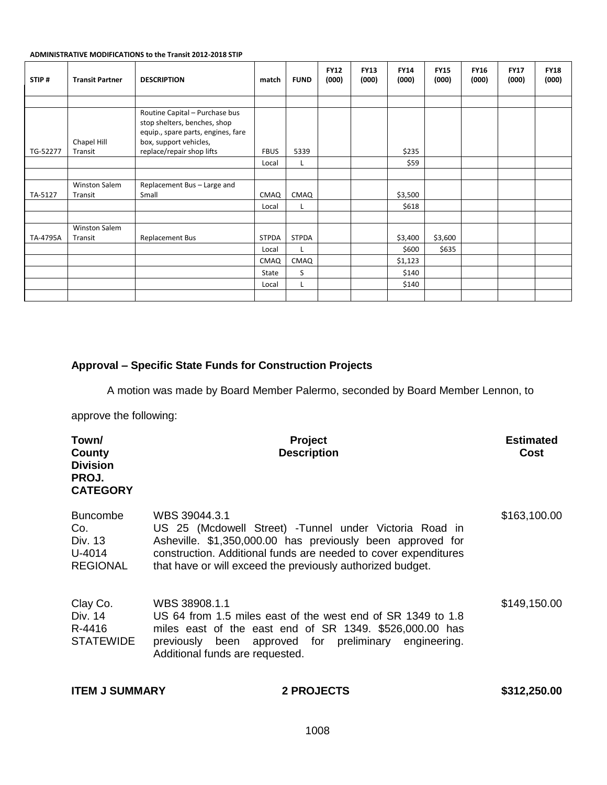#### **ADMINISTRATIVE MODIFICATIONS to the Transit 2012-2018 STIP**

| STIP#    | <b>Transit Partner</b>          | <b>DESCRIPTION</b>                                                                                                                                          | match        | <b>FUND</b>  | <b>FY12</b><br>(000) | <b>FY13</b><br>(000) | <b>FY14</b><br>(000) | <b>FY15</b><br>(000) | <b>FY16</b><br>(000) | <b>FY17</b><br>(000) | <b>FY18</b><br>(000) |
|----------|---------------------------------|-------------------------------------------------------------------------------------------------------------------------------------------------------------|--------------|--------------|----------------------|----------------------|----------------------|----------------------|----------------------|----------------------|----------------------|
|          |                                 |                                                                                                                                                             |              |              |                      |                      |                      |                      |                      |                      |                      |
| TG-52277 | Chapel Hill<br>Transit          | Routine Capital - Purchase bus<br>stop shelters, benches, shop<br>equip., spare parts, engines, fare<br>box, support vehicles,<br>replace/repair shop lifts | <b>FBUS</b>  | 5339         |                      |                      | \$235                |                      |                      |                      |                      |
|          |                                 |                                                                                                                                                             | Local        | L.           |                      |                      | \$59                 |                      |                      |                      |                      |
|          |                                 |                                                                                                                                                             |              |              |                      |                      |                      |                      |                      |                      |                      |
| TA-5127  | <b>Winston Salem</b><br>Transit | Replacement Bus - Large and<br>Small                                                                                                                        | CMAQ         | CMAQ         |                      |                      | \$3,500              |                      |                      |                      |                      |
|          |                                 |                                                                                                                                                             | Local        | L            |                      |                      | \$618                |                      |                      |                      |                      |
|          |                                 |                                                                                                                                                             |              |              |                      |                      |                      |                      |                      |                      |                      |
| TA-4795A | <b>Winston Salem</b><br>Transit | Replacement Bus                                                                                                                                             | <b>STPDA</b> | <b>STPDA</b> |                      |                      | \$3,400              | \$3,600              |                      |                      |                      |
|          |                                 |                                                                                                                                                             | Local        | L            |                      |                      | \$600                | \$635                |                      |                      |                      |
|          |                                 |                                                                                                                                                             | CMAQ         | CMAQ         |                      |                      | \$1,123              |                      |                      |                      |                      |
|          |                                 |                                                                                                                                                             | State        | S            |                      |                      | \$140                |                      |                      |                      |                      |
|          |                                 |                                                                                                                                                             | Local        | L            |                      |                      | \$140                |                      |                      |                      |                      |
|          |                                 |                                                                                                                                                             |              |              |                      |                      |                      |                      |                      |                      |                      |

## **Approval – Specific State Funds for Construction Projects**

A motion was made by Board Member Palermo, seconded by Board Member Lennon, to

approve the following:

| Town/<br>County<br><b>Division</b><br>PROJ.<br><b>CATEGORY</b> | Project<br><b>Description</b>                                                                                                                                                                                                                                           | <b>Estimated</b><br>Cost |
|----------------------------------------------------------------|-------------------------------------------------------------------------------------------------------------------------------------------------------------------------------------------------------------------------------------------------------------------------|--------------------------|
| <b>Buncombe</b><br>Co.<br>Div. 13<br>U-4014<br><b>REGIONAL</b> | WBS 39044.3.1<br>US 25 (Mcdowell Street) - Tunnel under Victoria Road in<br>Asheville. \$1,350,000.00 has previously been approved for<br>construction. Additional funds are needed to cover expenditures<br>that have or will exceed the previously authorized budget. | \$163,100.00             |
| Clay Co.<br>Div. 14<br>R-4416<br><b>STATEWIDE</b>              | WBS 38908.1.1<br>US 64 from 1.5 miles east of the west end of SR 1349 to 1.8<br>miles east of the east end of SR 1349. \$526,000.00 has<br>been approved for preliminary engineering.<br>previously<br>Additional funds are requested.                                  | \$149,150.00             |

| <b>ITEM J SUMMARY</b> | <b>2 PROJECTS</b> | \$312,250.00 |
|-----------------------|-------------------|--------------|
|                       |                   |              |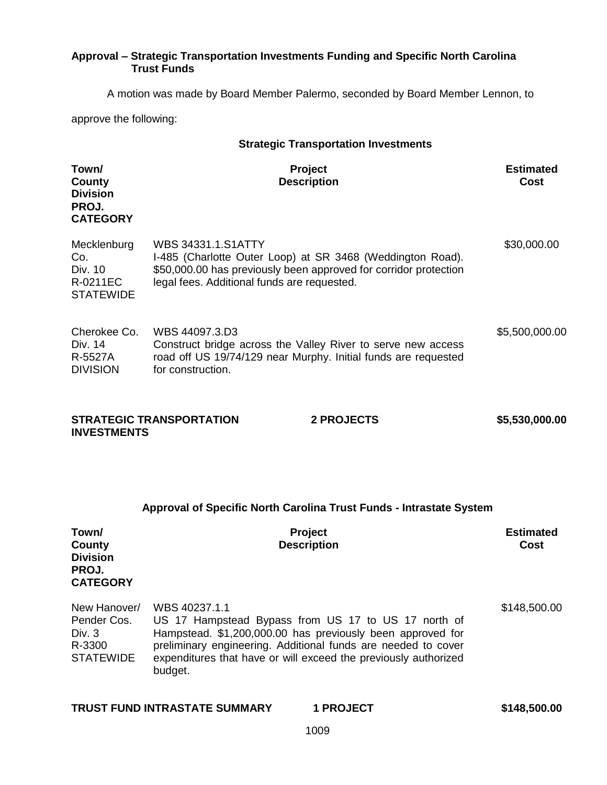## **Approval – Strategic Transportation Investments Funding and Specific North Carolina Trust Funds**

A motion was made by Board Member Palermo, seconded by Board Member Lennon, to

approve the following:

| <b>Strategic Transportation Investments</b>                           |                                                                                                                                                                                                                                                                                   |                          |  |  |
|-----------------------------------------------------------------------|-----------------------------------------------------------------------------------------------------------------------------------------------------------------------------------------------------------------------------------------------------------------------------------|--------------------------|--|--|
| Town/<br><b>County</b><br><b>Division</b><br>PROJ.<br><b>CATEGORY</b> | Project<br><b>Description</b>                                                                                                                                                                                                                                                     | <b>Estimated</b><br>Cost |  |  |
| Mecklenburg<br>Co.<br>Div. 10<br>R-0211EC<br><b>STATEWIDE</b>         | <b>WBS 34331.1.S1ATTY</b><br>I-485 (Charlotte Outer Loop) at SR 3468 (Weddington Road).<br>\$50,000.00 has previously been approved for corridor protection<br>legal fees. Additional funds are requested.                                                                        | \$30,000.00              |  |  |
| Cherokee Co.<br>Div. 14<br>R-5527A<br><b>DIVISION</b>                 | WBS 44097.3.D3<br>Construct bridge across the Valley River to serve new access<br>road off US 19/74/129 near Murphy. Initial funds are requested<br>for construction.                                                                                                             | \$5,500,000.00           |  |  |
| <b>INVESTMENTS</b>                                                    | <b>STRATEGIC TRANSPORTATION</b><br><b>2 PROJECTS</b>                                                                                                                                                                                                                              | \$5,530,000.00           |  |  |
|                                                                       | Approval of Specific North Carolina Trust Funds - Intrastate System                                                                                                                                                                                                               |                          |  |  |
| Town/<br>County<br><b>Division</b><br>PROJ.<br><b>CATEGORY</b>        | Project<br><b>Description</b>                                                                                                                                                                                                                                                     | <b>Estimated</b><br>Cost |  |  |
| New Hanover/<br>Pender Cos.<br>Div. 3<br>R-3300<br><b>STATEWIDE</b>   | WBS 40237.1.1<br>US 17 Hampstead Bypass from US 17 to US 17 north of<br>Hampstead. \$1,200,000.00 has previously been approved for<br>preliminary engineering. Additional funds are needed to cover<br>expenditures that have or will exceed the previously authorized<br>budget. | \$148,500.00             |  |  |

|  | <b>TRUST FUND INTRASTATE SUMMARY</b> |
|--|--------------------------------------|
|  |                                      |

**TRUST FUND INTRASTATE SUMMARY 1 PROJECT \$148,500.00**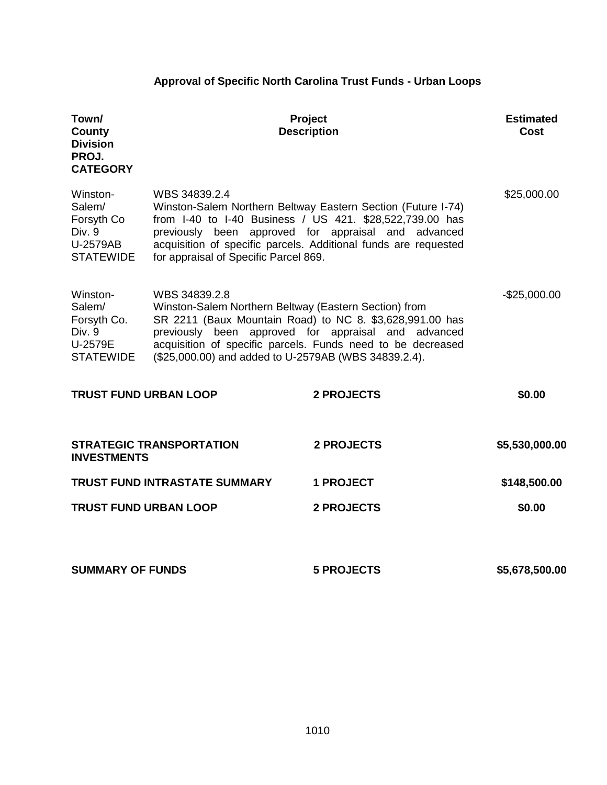# **Approval of Specific North Carolina Trust Funds - Urban Loops**

| Town/<br>County<br><b>Division</b><br>PROJ.<br><b>CATEGORY</b>             |                                                                                                                                                                                                                                                                                                                  | <b>Project</b><br><b>Description</b>                                                                                                                                                                                                               | <b>Estimated</b><br>Cost |
|----------------------------------------------------------------------------|------------------------------------------------------------------------------------------------------------------------------------------------------------------------------------------------------------------------------------------------------------------------------------------------------------------|----------------------------------------------------------------------------------------------------------------------------------------------------------------------------------------------------------------------------------------------------|--------------------------|
| Winston-<br>Salem/<br>Forsyth Co<br>Div. 9<br>U-2579AB<br><b>STATEWIDE</b> | WBS 34839.2.4<br>for appraisal of Specific Parcel 869.                                                                                                                                                                                                                                                           | Winston-Salem Northern Beltway Eastern Section (Future I-74)<br>from I-40 to I-40 Business / US 421. \$28,522,739.00 has<br>previously been approved for appraisal and advanced<br>acquisition of specific parcels. Additional funds are requested | \$25,000.00              |
| Winston-<br>Salem/<br>Forsyth Co.<br>Div. 9<br>U-2579E<br><b>STATEWIDE</b> | WBS 34839.2.8<br>Winston-Salem Northern Beltway (Eastern Section) from<br>SR 2211 (Baux Mountain Road) to NC 8. \$3,628,991.00 has<br>previously been approved for appraisal and advanced<br>acquisition of specific parcels. Funds need to be decreased<br>(\$25,000.00) and added to U-2579AB (WBS 34839.2.4). |                                                                                                                                                                                                                                                    | $-$25,000.00$            |
| <b>TRUST FUND URBAN LOOP</b>                                               |                                                                                                                                                                                                                                                                                                                  | <b>2 PROJECTS</b>                                                                                                                                                                                                                                  | \$0.00                   |
| <b>INVESTMENTS</b>                                                         | <b>STRATEGIC TRANSPORTATION</b>                                                                                                                                                                                                                                                                                  | <b>2 PROJECTS</b>                                                                                                                                                                                                                                  | \$5,530,000.00           |
|                                                                            | <b>TRUST FUND INTRASTATE SUMMARY</b>                                                                                                                                                                                                                                                                             | <b>1 PROJECT</b>                                                                                                                                                                                                                                   | \$148,500.00             |
| <b>TRUST FUND URBAN LOOP</b>                                               |                                                                                                                                                                                                                                                                                                                  | <b>2 PROJECTS</b>                                                                                                                                                                                                                                  | \$0.00                   |
| <b>SUMMARY OF FUNDS</b>                                                    |                                                                                                                                                                                                                                                                                                                  | <b>5 PROJECTS</b>                                                                                                                                                                                                                                  | \$5,678,500.00           |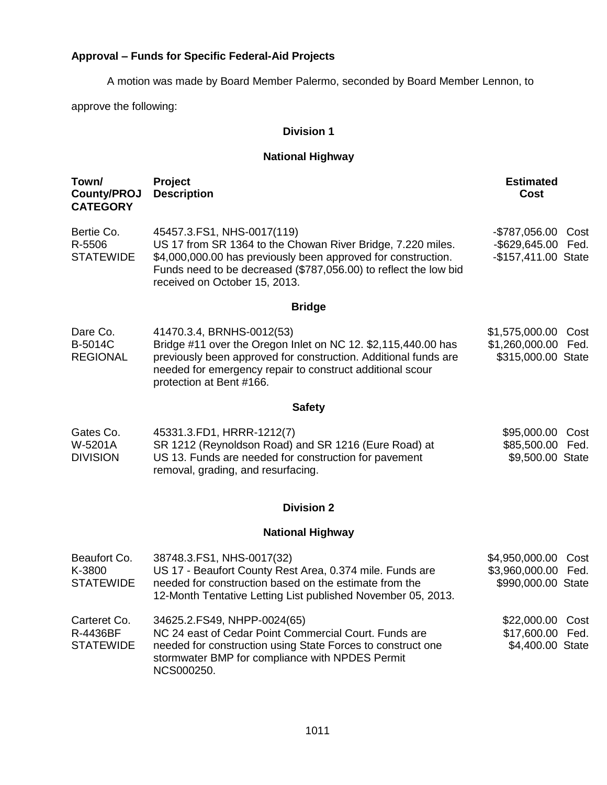# **Approval – Funds for Specific Federal-Aid Projects**

A motion was made by Board Member Palermo, seconded by Board Member Lennon, to

approve the following:

## **Division 1**

# **National Highway**

| Town/<br><b>County/PROJ</b><br><b>CATEGORY</b> | Project<br><b>Description</b>                                                                                                                                                                                                                                   | <b>Estimated</b><br><b>Cost</b>                                        |  |  |  |
|------------------------------------------------|-----------------------------------------------------------------------------------------------------------------------------------------------------------------------------------------------------------------------------------------------------------------|------------------------------------------------------------------------|--|--|--|
| Bertie Co.<br>R-5506<br><b>STATEWIDE</b>       | 45457.3.FS1, NHS-0017(119)<br>US 17 from SR 1364 to the Chowan River Bridge, 7.220 miles.<br>\$4,000,000.00 has previously been approved for construction.<br>Funds need to be decreased (\$787,056.00) to reflect the low bid<br>received on October 15, 2013. | -\$787,056.00 Cost<br>-\$629,645.00 Fed.<br>-\$157,411.00 State        |  |  |  |
| <b>Bridge</b>                                  |                                                                                                                                                                                                                                                                 |                                                                        |  |  |  |
| Dare Co.<br>B-5014C<br><b>REGIONAL</b>         | 41470.3.4, BRNHS-0012(53)<br>Bridge #11 over the Oregon Inlet on NC 12. \$2,115,440.00 has<br>previously been approved for construction. Additional funds are<br>needed for emergency repair to construct additional scour<br>protection at Bent #166.          | \$1,575,000.00 Cost<br>\$1,260,000.00<br>Fed.<br>\$315,000.00 State    |  |  |  |
|                                                | <b>Safety</b>                                                                                                                                                                                                                                                   |                                                                        |  |  |  |
| Gates Co.<br>W-5201A<br><b>DIVISION</b>        | 45331.3.FD1, HRRR-1212(7)<br>SR 1212 (Reynoldson Road) and SR 1216 (Eure Road) at<br>US 13. Funds are needed for construction for pavement<br>removal, grading, and resurfacing.                                                                                | \$95,000.00<br>Cost<br>\$85,500.00<br>Fed.<br>\$9,500.00 State         |  |  |  |
| <b>Division 2</b>                              |                                                                                                                                                                                                                                                                 |                                                                        |  |  |  |
| <b>National Highway</b>                        |                                                                                                                                                                                                                                                                 |                                                                        |  |  |  |
| Beaufort Co.<br>K-3800<br><b>STATEWIDE</b>     | 38748.3.FS1, NHS-0017(32)<br>US 17 - Beaufort County Rest Area, 0.374 mile. Funds are<br>needed for construction based on the estimate from the<br>12-Month Tentative Letting List published November 05, 2013.                                                 | \$4,950,000.00<br>Cost<br>\$3,960,000.00<br>Fed.<br>\$990,000.00 State |  |  |  |
| Carteret Co.<br>R-4436BF<br><b>STATEWIDE</b>   | 34625.2.FS49, NHPP-0024(65)<br>NC 24 east of Cedar Point Commercial Court. Funds are<br>needed for construction using State Forces to construct one<br>stormwater BMP for compliance with NPDES Permit<br>NCS000250.                                            | \$22,000.00<br>Cost<br>\$17,600.00<br>Fed.<br>\$4,400.00 State         |  |  |  |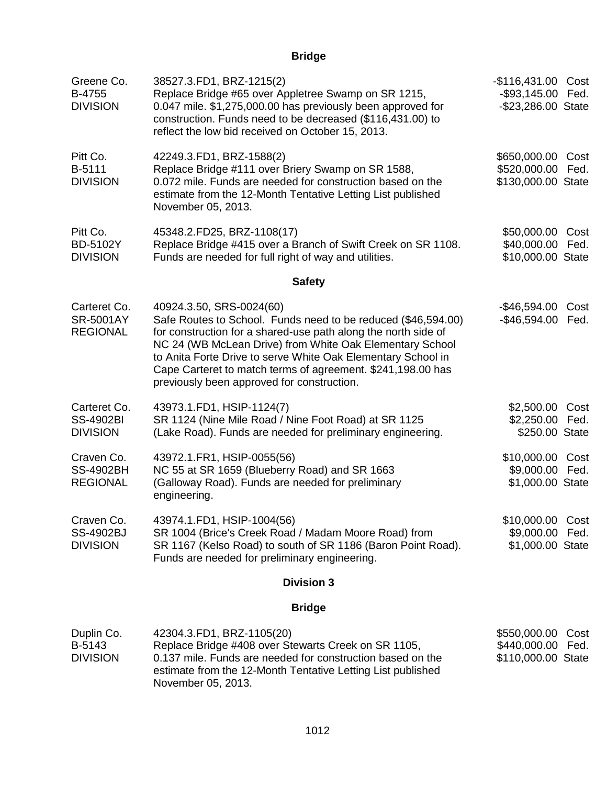**Bridge**

| Greene Co.<br>B-4755<br><b>DIVISION</b>             | 38527.3.FD1, BRZ-1215(2)<br>Replace Bridge #65 over Appletree Swamp on SR 1215,<br>0.047 mile. \$1,275,000.00 has previously been approved for<br>construction. Funds need to be decreased (\$116,431.00) to<br>reflect the low bid received on October 15, 2013.                                                                                                                                    | -\$116,431.00 Cost<br>-\$93,145.00 Fed.<br>-\$23,286.00 State      |  |  |
|-----------------------------------------------------|------------------------------------------------------------------------------------------------------------------------------------------------------------------------------------------------------------------------------------------------------------------------------------------------------------------------------------------------------------------------------------------------------|--------------------------------------------------------------------|--|--|
| Pitt Co.<br>B-5111<br><b>DIVISION</b>               | 42249.3.FD1, BRZ-1588(2)<br>Replace Bridge #111 over Briery Swamp on SR 1588,<br>0.072 mile. Funds are needed for construction based on the<br>estimate from the 12-Month Tentative Letting List published<br>November 05, 2013.                                                                                                                                                                     | \$650,000.00<br>Cost<br>\$520,000.00 Fed.<br>\$130,000.00 State    |  |  |
| Pitt Co.<br>BD-5102Y<br><b>DIVISION</b>             | 45348.2.FD25, BRZ-1108(17)<br>Replace Bridge #415 over a Branch of Swift Creek on SR 1108.<br>Funds are needed for full right of way and utilities.                                                                                                                                                                                                                                                  | \$50,000.00<br>Cost<br>\$40,000.00 Fed.<br>\$10,000.00 State       |  |  |
| <b>Safety</b>                                       |                                                                                                                                                                                                                                                                                                                                                                                                      |                                                                    |  |  |
| Carteret Co.<br><b>SR-5001AY</b><br><b>REGIONAL</b> | 40924.3.50, SRS-0024(60)<br>Safe Routes to School. Funds need to be reduced (\$46,594.00)<br>for construction for a shared-use path along the north side of<br>NC 24 (WB McLean Drive) from White Oak Elementary School<br>to Anita Forte Drive to serve White Oak Elementary School in<br>Cape Carteret to match terms of agreement. \$241,198.00 has<br>previously been approved for construction. | -\$46,594.00<br>Cost<br>-\$46,594.00 Fed.                          |  |  |
| Carteret Co.<br><b>SS-4902BI</b><br><b>DIVISION</b> | 43973.1.FD1, HSIP-1124(7)<br>SR 1124 (Nine Mile Road / Nine Foot Road) at SR 1125<br>(Lake Road). Funds are needed for preliminary engineering.                                                                                                                                                                                                                                                      | \$2,500.00<br>Cost<br>\$2,250.00 Fed.<br>\$250.00 State            |  |  |
| Craven Co.<br><b>SS-4902BH</b><br><b>REGIONAL</b>   | 43972.1.FR1, HSIP-0055(56)<br>NC 55 at SR 1659 (Blueberry Road) and SR 1663<br>(Galloway Road). Funds are needed for preliminary<br>engineering.                                                                                                                                                                                                                                                     | \$10,000.00 Cost<br>\$9,000.00 Fed.<br>\$1,000.00 State            |  |  |
| Craven Co.<br><b>SS-4902BJ</b><br><b>DIVISION</b>   | 43974.1.FD1, HSIP-1004(56)<br>SR 1004 (Brice's Creek Road / Madam Moore Road) from<br>SR 1167 (Kelso Road) to south of SR 1186 (Baron Point Road).<br>Funds are needed for preliminary engineering.                                                                                                                                                                                                  | \$10,000.00 Cost<br>\$9,000.00 Fed.<br>\$1,000.00 State            |  |  |
|                                                     | <b>Division 3</b>                                                                                                                                                                                                                                                                                                                                                                                    |                                                                    |  |  |
|                                                     | <b>Bridge</b>                                                                                                                                                                                                                                                                                                                                                                                        |                                                                    |  |  |
| Duplin Co.<br>B-5143<br><b>DIVISION</b>             | 42304.3.FD1, BRZ-1105(20)<br>Replace Bridge #408 over Stewarts Creek on SR 1105,<br>0.137 mile. Funds are needed for construction based on the<br>estimate from the 12-Month Tentative Letting List published<br>November 05, 2013.                                                                                                                                                                  | \$550,000.00<br>Cost<br>\$440,000.00<br>Fed.<br>\$110,000.00 State |  |  |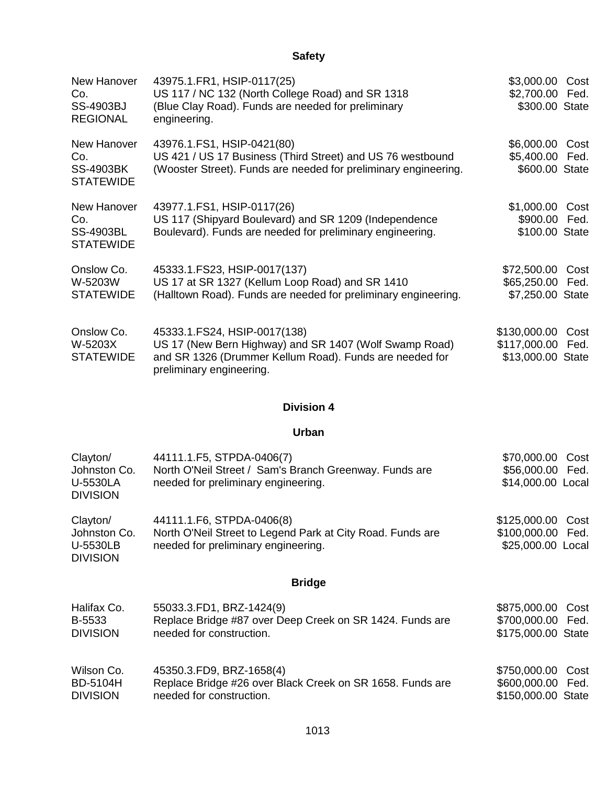| New Hanover<br>Co.<br><b>SS-4903BJ</b><br><b>REGIONAL</b>  | 43975.1.FR1, HSIP-0117(25)<br>US 117 / NC 132 (North College Road) and SR 1318<br>(Blue Clay Road). Funds are needed for preliminary<br>engineering.                          | \$3,000.00 Cost<br>\$2,700.00 Fed.<br>\$300.00 State               |  |
|------------------------------------------------------------|-------------------------------------------------------------------------------------------------------------------------------------------------------------------------------|--------------------------------------------------------------------|--|
| New Hanover<br>Co.<br><b>SS-4903BK</b><br><b>STATEWIDE</b> | 43976.1.FS1, HSIP-0421(80)<br>US 421 / US 17 Business (Third Street) and US 76 westbound<br>(Wooster Street). Funds are needed for preliminary engineering.                   | \$6,000.00 Cost<br>\$5,400.00 Fed.<br>\$600.00 State               |  |
| New Hanover<br>Co.<br><b>SS-4903BL</b><br><b>STATEWIDE</b> | 43977.1.FS1, HSIP-0117(26)<br>US 117 (Shipyard Boulevard) and SR 1209 (Independence<br>Boulevard). Funds are needed for preliminary engineering.                              | \$1,000.00<br>Cost<br>\$900.00 Fed.<br>\$100.00 State              |  |
| Onslow Co.<br>W-5203W<br><b>STATEWIDE</b>                  | 45333.1.FS23, HSIP-0017(137)<br>US 17 at SR 1327 (Kellum Loop Road) and SR 1410<br>(Halltown Road). Funds are needed for preliminary engineering.                             | \$72,500.00 Cost<br>\$65,250.00 Fed.<br>\$7,250.00 State           |  |
| Onslow Co.<br>W-5203X<br><b>STATEWIDE</b>                  | 45333.1.FS24, HSIP-0017(138)<br>US 17 (New Bern Highway) and SR 1407 (Wolf Swamp Road)<br>and SR 1326 (Drummer Kellum Road). Funds are needed for<br>preliminary engineering. | \$130,000.00<br>Cost<br>\$117,000.00<br>Fed.<br>\$13,000.00 State  |  |
|                                                            |                                                                                                                                                                               |                                                                    |  |
|                                                            | <b>Division 4</b>                                                                                                                                                             |                                                                    |  |
|                                                            | Urban                                                                                                                                                                         |                                                                    |  |
| Clayton/<br>Johnston Co.<br>U-5530LA<br><b>DIVISION</b>    | 44111.1.F5, STPDA-0406(7)<br>North O'Neil Street / Sam's Branch Greenway. Funds are<br>needed for preliminary engineering.                                                    | \$70,000.00<br>Cost<br>\$56,000.00 Fed.<br>\$14,000.00 Local       |  |
| Clayton/<br>Johnston Co.<br>U-5530LB<br><b>DIVISION</b>    | 44111.1.F6, STPDA-0406(8)<br>North O'Neil Street to Legend Park at City Road. Funds are<br>needed for preliminary engineering.                                                | \$125,000.00 Cost<br>\$100,000.00 Fed.<br>\$25,000.00 Local        |  |
|                                                            | <b>Bridge</b>                                                                                                                                                                 |                                                                    |  |
| Halifax Co.<br>B-5533<br><b>DIVISION</b>                   | 55033.3.FD1, BRZ-1424(9)<br>Replace Bridge #87 over Deep Creek on SR 1424. Funds are<br>needed for construction.                                                              | \$875,000.00<br>Cost<br>\$700,000.00<br>Fed.<br>\$175,000.00 State |  |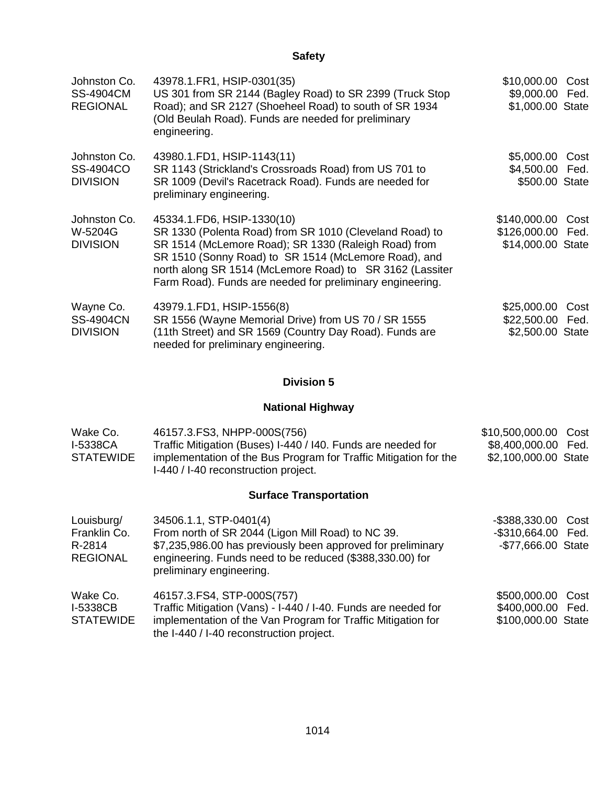| Johnston Co.<br><b>SS-4904CM</b><br><b>REGIONAL</b> | 43978.1.FR1, HSIP-0301(35)<br>US 301 from SR 2144 (Bagley Road) to SR 2399 (Truck Stop<br>Road); and SR 2127 (Shoeheel Road) to south of SR 1934<br>(Old Beulah Road). Funds are needed for preliminary<br>engineering.                                                                                                        | \$10,000.00<br>\$9,000.00 Fed.<br>\$1,000.00 State | Cost         |
|-----------------------------------------------------|--------------------------------------------------------------------------------------------------------------------------------------------------------------------------------------------------------------------------------------------------------------------------------------------------------------------------------|----------------------------------------------------|--------------|
| Johnston Co.<br>SS-4904CO<br><b>DIVISION</b>        | 43980.1.FD1, HSIP-1143(11)<br>SR 1143 (Strickland's Crossroads Road) from US 701 to<br>SR 1009 (Devil's Racetrack Road). Funds are needed for<br>preliminary engineering.                                                                                                                                                      | \$5,000.00<br>\$4,500.00 Fed.<br>\$500.00 State    | Cost         |
| Johnston Co.<br>W-5204G<br><b>DIVISION</b>          | 45334.1.FD6, HSIP-1330(10)<br>SR 1330 (Polenta Road) from SR 1010 (Cleveland Road) to<br>SR 1514 (McLemore Road); SR 1330 (Raleigh Road) from<br>SR 1510 (Sonny Road) to SR 1514 (McLemore Road), and<br>north along SR 1514 (McLemore Road) to SR 3162 (Lassiter<br>Farm Road). Funds are needed for preliminary engineering. | \$140,000.00<br>\$126,000.00<br>\$14,000.00 State  | Cost<br>Fed. |
| Wayne Co.<br><b>SS-4904CN</b><br><b>DIVISION</b>    | 43979.1.FD1, HSIP-1556(8)<br>SR 1556 (Wayne Memorial Drive) from US 70 / SR 1555<br>(11th Street) and SR 1569 (Country Day Road). Funds are<br>needed for preliminary engineering.                                                                                                                                             | \$25,000.00<br>\$22,500.00<br>\$2,500.00 State     | Cost<br>Fed. |

### **Division 5**

## **National Highway**

| Wake Co.<br><b>I-5338CA</b><br><b>STATEWIDE</b>         | 46157.3. FS3, NHPP-000S(756)<br>Traffic Mitigation (Buses) I-440 / I40. Funds are needed for<br>implementation of the Bus Program for Traffic Mitigation for the<br>I-440 / I-40 reconstruction project.                           | \$10,500,000.00<br>\$8,400,000.00 Fed.<br>\$2,100,000.00 State | Cost |
|---------------------------------------------------------|------------------------------------------------------------------------------------------------------------------------------------------------------------------------------------------------------------------------------------|----------------------------------------------------------------|------|
|                                                         | <b>Surface Transportation</b>                                                                                                                                                                                                      |                                                                |      |
| Louisburg/<br>Franklin Co.<br>R-2814<br><b>REGIONAL</b> | 34506.1.1, STP-0401(4)<br>From north of SR 2044 (Ligon Mill Road) to NC 39.<br>\$7,235,986.00 has previously been approved for preliminary<br>engineering. Funds need to be reduced (\$388,330.00) for<br>preliminary engineering. | $-$ \$388,330.00<br>-\$310,664.00 Fed.<br>-\$77,666.00 State   | Cost |
| Wake Co.<br>I-5338CB<br><b>STATEWIDE</b>                | 46157.3.FS4, STP-000S(757)<br>Traffic Mitigation (Vans) - I-440 / I-40. Funds are needed for<br>implementation of the Van Program for Traffic Mitigation for<br>the I-440 / I-40 reconstruction project.                           | \$500,000.00 Cost<br>\$400,000.00 Fed.<br>\$100,000.00 State   |      |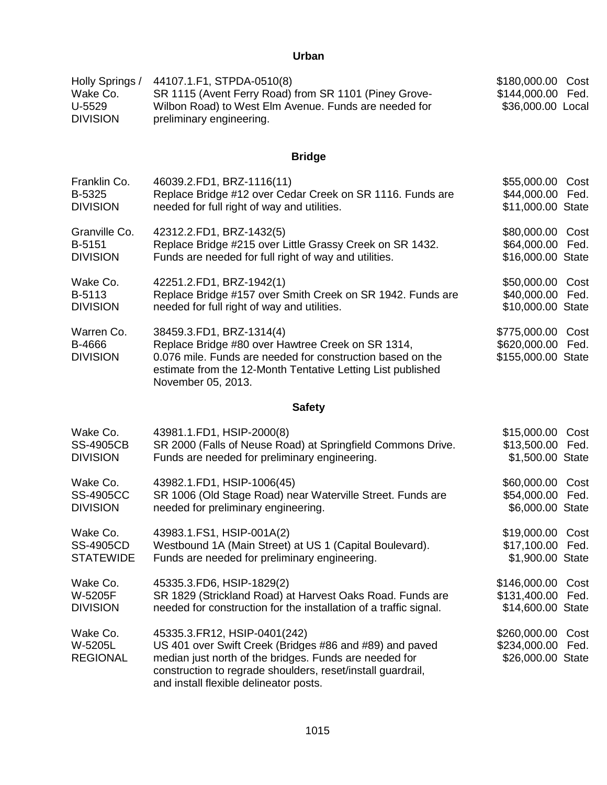## **Urban**

| Holly Springs /           | 44107.1.F1, STPDA-0510(8)                                                         | \$180,000.00 Cost |
|---------------------------|-----------------------------------------------------------------------------------|-------------------|
| Wake Co.                  | SR 1115 (Avent Ferry Road) from SR 1101 (Piney Grove-                             | \$144,000.00 Fed. |
| U-5529<br><b>DIVISION</b> | Wilbon Road) to West Elm Avenue. Funds are needed for<br>preliminary engineering. | \$36,000.00 Local |

## **Bridge**

| Franklin Co.                                    | 46039.2.FD1, BRZ-1116(11)                                                                                                                                                                                                                                    | \$55,000.00 Cost                                        |              |
|-------------------------------------------------|--------------------------------------------------------------------------------------------------------------------------------------------------------------------------------------------------------------------------------------------------------------|---------------------------------------------------------|--------------|
| B-5325                                          | Replace Bridge #12 over Cedar Creek on SR 1116. Funds are                                                                                                                                                                                                    | \$44,000.00 Fed.                                        |              |
| <b>DIVISION</b>                                 | needed for full right of way and utilities.                                                                                                                                                                                                                  | \$11,000.00 State                                       |              |
| Granville Co.                                   | 42312.2.FD1, BRZ-1432(5)                                                                                                                                                                                                                                     | \$80,000.00 Cost                                        | Fed.         |
| B-5151                                          | Replace Bridge #215 over Little Grassy Creek on SR 1432.                                                                                                                                                                                                     | \$64,000.00                                             |              |
| <b>DIVISION</b>                                 | Funds are needed for full right of way and utilities.                                                                                                                                                                                                        | \$16,000.00 State                                       |              |
| Wake Co.                                        | 42251.2.FD1, BRZ-1942(1)                                                                                                                                                                                                                                     | \$50,000.00                                             | Cost         |
| B-5113                                          | Replace Bridge #157 over Smith Creek on SR 1942. Funds are                                                                                                                                                                                                   | \$40,000.00 Fed.                                        |              |
| <b>DIVISION</b>                                 | needed for full right of way and utilities.                                                                                                                                                                                                                  | \$10,000.00 State                                       |              |
| Warren Co.<br>B-4666<br><b>DIVISION</b>         | 38459.3.FD1, BRZ-1314(4)<br>Replace Bridge #80 over Hawtree Creek on SR 1314,<br>0.076 mile. Funds are needed for construction based on the<br>estimate from the 12-Month Tentative Letting List published<br>November 05, 2013.                             | \$775,000.00 Cost<br>\$620,000.00<br>\$155,000.00 State | Fed.         |
|                                                 | <b>Safety</b>                                                                                                                                                                                                                                                |                                                         |              |
| Wake Co.<br><b>SS-4905CB</b><br><b>DIVISION</b> | 43981.1.FD1, HSIP-2000(8)<br>SR 2000 (Falls of Neuse Road) at Springfield Commons Drive.<br>Funds are needed for preliminary engineering.                                                                                                                    | \$15,000.00<br>\$13,500.00<br>\$1,500.00 State          | Cost<br>Fed. |
| Wake Co.<br><b>SS-4905CC</b><br><b>DIVISION</b> | 43982.1.FD1, HSIP-1006(45)<br>SR 1006 (Old Stage Road) near Waterville Street. Funds are<br>needed for preliminary engineering.                                                                                                                              | \$60,000.00<br>\$54,000.00<br>\$6,000.00 State          | Cost<br>Fed. |
| Wake Co.                                        | 43983.1.FS1, HSIP-001A(2)                                                                                                                                                                                                                                    | \$19,000.00                                             | Cost         |
| <b>SS-4905CD</b>                                | Westbound 1A (Main Street) at US 1 (Capital Boulevard).                                                                                                                                                                                                      | \$17,100.00 Fed.                                        |              |
| <b>STATEWIDE</b>                                | Funds are needed for preliminary engineering.                                                                                                                                                                                                                | \$1,900.00 State                                        |              |
| Wake Co.                                        | 45335.3.FD6, HSIP-1829(2)                                                                                                                                                                                                                                    | \$146,000.00 Cost                                       | Fed.         |
| W-5205F                                         | SR 1829 (Strickland Road) at Harvest Oaks Road. Funds are                                                                                                                                                                                                    | \$131,400.00                                            |              |
| <b>DIVISION</b>                                 | needed for construction for the installation of a traffic signal.                                                                                                                                                                                            | \$14,600.00 State                                       |              |
| Wake Co.<br>W-5205L<br><b>REGIONAL</b>          | 45335.3. FR12, HSIP-0401 (242)<br>US 401 over Swift Creek (Bridges #86 and #89) and paved<br>median just north of the bridges. Funds are needed for<br>construction to regrade shoulders, reset/install guardrail,<br>and install flexible delineator posts. | \$260,000.00<br>\$234,000.00<br>\$26,000.00 State       | Cost<br>Fed. |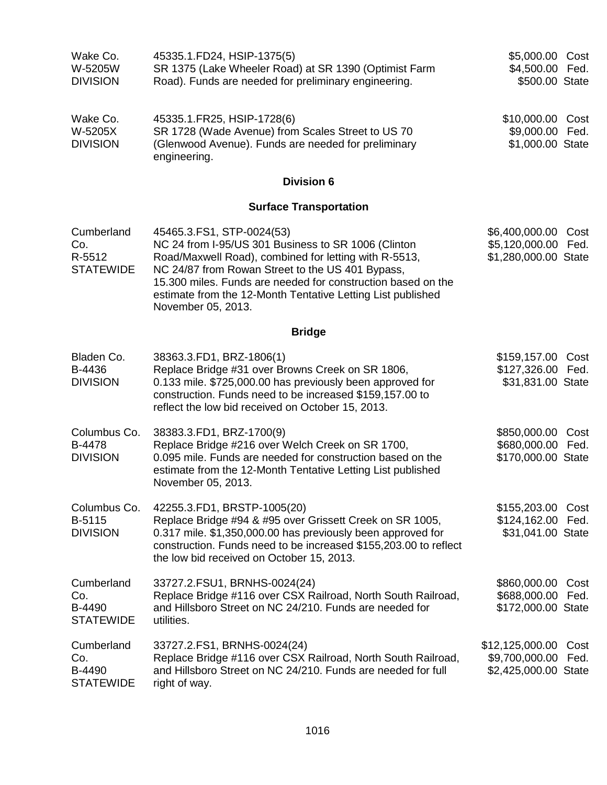| Wake Co.<br>W-5205W<br><b>DIVISION</b>          | 45335.1.FD24, HSIP-1375(5)<br>SR 1375 (Lake Wheeler Road) at SR 1390 (Optimist Farm<br>Road). Funds are needed for preliminary engineering.                                                                                                                                                                                                         | \$5,000.00 Cost<br>\$4,500.00 Fed.<br>\$500.00 State          |              |
|-------------------------------------------------|-----------------------------------------------------------------------------------------------------------------------------------------------------------------------------------------------------------------------------------------------------------------------------------------------------------------------------------------------------|---------------------------------------------------------------|--------------|
| Wake Co.<br>W-5205X<br><b>DIVISION</b>          | 45335.1.FR25, HSIP-1728(6)<br>SR 1728 (Wade Avenue) from Scales Street to US 70<br>(Glenwood Avenue). Funds are needed for preliminary<br>engineering.                                                                                                                                                                                              | \$10,000.00 Cost<br>\$9,000.00<br>\$1,000.00 State            | Fed.         |
|                                                 | <b>Division 6</b>                                                                                                                                                                                                                                                                                                                                   |                                                               |              |
|                                                 | <b>Surface Transportation</b>                                                                                                                                                                                                                                                                                                                       |                                                               |              |
| Cumberland<br>Co.<br>R-5512<br><b>STATEWIDE</b> | 45465.3. FS1, STP-0024(53)<br>NC 24 from I-95/US 301 Business to SR 1006 (Clinton<br>Road/Maxwell Road), combined for letting with R-5513,<br>NC 24/87 from Rowan Street to the US 401 Bypass,<br>15.300 miles. Funds are needed for construction based on the<br>estimate from the 12-Month Tentative Letting List published<br>November 05, 2013. | \$6,400,000.00 Cost<br>\$5,120,000.00<br>\$1,280,000.00 State | Fed.         |
|                                                 | <b>Bridge</b>                                                                                                                                                                                                                                                                                                                                       |                                                               |              |
| Bladen Co.<br>B-4436<br><b>DIVISION</b>         | 38363.3.FD1, BRZ-1806(1)<br>Replace Bridge #31 over Browns Creek on SR 1806,<br>0.133 mile. \$725,000.00 has previously been approved for<br>construction. Funds need to be increased \$159,157.00 to<br>reflect the low bid received on October 15, 2013.                                                                                          | \$159,157.00<br>\$127,326.00 Fed.<br>\$31,831.00 State        | Cost         |
| Columbus Co.<br>B-4478<br><b>DIVISION</b>       | 38383.3.FD1, BRZ-1700(9)<br>Replace Bridge #216 over Welch Creek on SR 1700,<br>0.095 mile. Funds are needed for construction based on the<br>estimate from the 12-Month Tentative Letting List published<br>November 05, 2013.                                                                                                                     | \$850,000.00 Cost<br>\$680,000.00 Fed.<br>\$170,000.00 State  |              |
| Columbus Co.<br>B-5115<br><b>DIVISION</b>       | 42255.3.FD1, BRSTP-1005(20)<br>Replace Bridge #94 & #95 over Grissett Creek on SR 1005,<br>0.317 mile. \$1,350,000.00 has previously been approved for<br>construction. Funds need to be increased \$155,203.00 to reflect<br>the low bid received on October 15, 2013.                                                                             | \$155,203.00<br>\$124,162.00<br>\$31,041.00 State             | Cost<br>Fed. |
| Cumberland<br>Co.<br>B-4490<br><b>STATEWIDE</b> | 33727.2.FSU1, BRNHS-0024(24)<br>Replace Bridge #116 over CSX Railroad, North South Railroad,<br>and Hillsboro Street on NC 24/210. Funds are needed for<br>utilities.                                                                                                                                                                               | \$860,000.00<br>\$688,000.00<br>\$172,000.00 State            | Cost<br>Fed. |
| Cumberland<br>Co.<br>B-4490<br><b>STATEWIDE</b> | 33727.2.FS1, BRNHS-0024(24)<br>Replace Bridge #116 over CSX Railroad, North South Railroad,<br>and Hillsboro Street on NC 24/210. Funds are needed for full<br>right of way.                                                                                                                                                                        | \$12,125,000.00<br>\$9,700,000.00<br>\$2,425,000.00 State     | Cost<br>Fed. |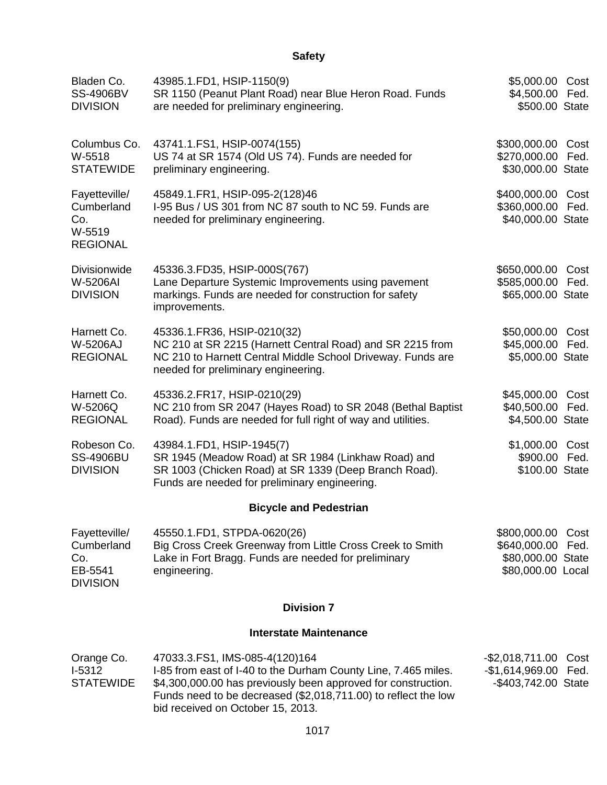| Bladen Co.<br><b>SS-4906BV</b><br><b>DIVISION</b>                | 43985.1.FD1, HSIP-1150(9)<br>SR 1150 (Peanut Plant Road) near Blue Heron Road. Funds<br>are needed for preliminary engineering.                                                                                                                                          | \$5,000.00 Cost<br>\$4,500.00 Fed.<br>\$500.00 State                   |              |
|------------------------------------------------------------------|--------------------------------------------------------------------------------------------------------------------------------------------------------------------------------------------------------------------------------------------------------------------------|------------------------------------------------------------------------|--------------|
| Columbus Co.<br>W-5518<br><b>STATEWIDE</b>                       | 43741.1.FS1, HSIP-0074(155)<br>US 74 at SR 1574 (Old US 74). Funds are needed for<br>preliminary engineering.                                                                                                                                                            | \$300,000.00<br>\$270,000.00<br>\$30,000.00 State                      | Cost<br>Fed. |
| Fayetteville/<br>Cumberland<br>Co.<br>W-5519<br><b>REGIONAL</b>  | 45849.1.FR1, HSIP-095-2(128)46<br>I-95 Bus / US 301 from NC 87 south to NC 59. Funds are<br>needed for preliminary engineering.                                                                                                                                          | \$400,000.00 Cost<br>\$360,000.00<br>\$40,000.00 State                 | Fed.         |
| Divisionwide<br><b>W-5206AI</b><br><b>DIVISION</b>               | 45336.3.FD35, HSIP-000S(767)<br>Lane Departure Systemic Improvements using pavement<br>markings. Funds are needed for construction for safety<br>improvements.                                                                                                           | \$650,000.00<br>\$585,000.00<br>\$65,000.00 State                      | Cost<br>Fed. |
| Harnett Co.<br>W-5206AJ<br><b>REGIONAL</b>                       | 45336.1.FR36, HSIP-0210(32)<br>NC 210 at SR 2215 (Harnett Central Road) and SR 2215 from<br>NC 210 to Harnett Central Middle School Driveway. Funds are<br>needed for preliminary engineering.                                                                           | \$50,000.00 Cost<br>\$45,000.00 Fed.<br>\$5,000.00 State               |              |
| Harnett Co.<br>W-5206Q<br><b>REGIONAL</b>                        | 45336.2.FR17, HSIP-0210(29)<br>NC 210 from SR 2047 (Hayes Road) to SR 2048 (Bethal Baptist<br>Road). Funds are needed for full right of way and utilities.                                                                                                               | \$45,000.00<br>\$40,500.00<br>\$4,500.00 State                         | Cost<br>Fed. |
| Robeson Co.<br><b>SS-4906BU</b><br><b>DIVISION</b>               | 43984.1.FD1, HSIP-1945(7)<br>SR 1945 (Meadow Road) at SR 1984 (Linkhaw Road) and<br>SR 1003 (Chicken Road) at SR 1339 (Deep Branch Road).<br>Funds are needed for preliminary engineering.                                                                               | \$1,000.00 Cost<br>\$900.00 Fed.<br>\$100.00 State                     |              |
|                                                                  | <b>Bicycle and Pedestrian</b>                                                                                                                                                                                                                                            |                                                                        |              |
| Fayetteville/<br>Cumberland<br>Co.<br>EB-5541<br><b>DIVISION</b> | 45550.1.FD1, STPDA-0620(26)<br>Big Cross Creek Greenway from Little Cross Creek to Smith<br>Lake in Fort Bragg. Funds are needed for preliminary<br>engineering.                                                                                                         | \$800,000.00<br>\$640,000.00<br>\$80,000.00 State<br>\$80,000.00 Local | Cost<br>Fed. |
|                                                                  | <b>Division 7</b>                                                                                                                                                                                                                                                        |                                                                        |              |
|                                                                  | <b>Interstate Maintenance</b>                                                                                                                                                                                                                                            |                                                                        |              |
| Orange Co.<br>$I-5312$<br><b>STATEWIDE</b>                       | 47033.3.FS1, IMS-085-4(120)164<br>I-85 from east of I-40 to the Durham County Line, 7.465 miles.<br>\$4,300,000.00 has previously been approved for construction.<br>Funds need to be decreased (\$2,018,711.00) to reflect the low<br>bid received on October 15, 2013. | $-$ \$2,018,711.00<br>$-$1,614,969.00$<br>-\$403,742.00 State          | Cost<br>Fed. |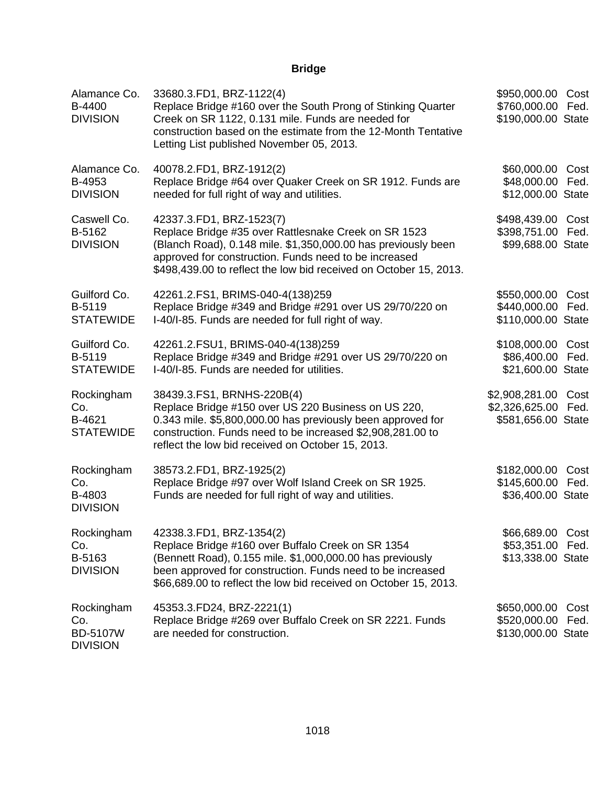# **Bridge**

| Alamance Co.<br>B-4400<br><b>DIVISION</b>               | 33680.3.FD1, BRZ-1122(4)<br>Replace Bridge #160 over the South Prong of Stinking Quarter<br>Creek on SR 1122, 0.131 mile. Funds are needed for<br>construction based on the estimate from the 12-Month Tentative<br>Letting List published November 05, 2013.                   | \$950,000.00<br>\$760,000.00<br>\$190,000.00 State          | Cost<br>Fed. |
|---------------------------------------------------------|---------------------------------------------------------------------------------------------------------------------------------------------------------------------------------------------------------------------------------------------------------------------------------|-------------------------------------------------------------|--------------|
| Alamance Co.<br>B-4953<br><b>DIVISION</b>               | 40078.2.FD1, BRZ-1912(2)<br>Replace Bridge #64 over Quaker Creek on SR 1912. Funds are<br>needed for full right of way and utilities.                                                                                                                                           | \$60,000.00 Cost<br>\$48,000.00<br>\$12,000.00 State        | Fed.         |
| Caswell Co.<br>B-5162<br><b>DIVISION</b>                | 42337.3.FD1, BRZ-1523(7)<br>Replace Bridge #35 over Rattlesnake Creek on SR 1523<br>(Blanch Road), 0.148 mile. \$1,350,000.00 has previously been<br>approved for construction. Funds need to be increased<br>\$498,439.00 to reflect the low bid received on October 15, 2013. | \$498,439.00<br>\$398,751.00<br>\$99,688.00 State           | Cost<br>Fed. |
| Guilford Co.<br>B-5119<br><b>STATEWIDE</b>              | 42261.2.FS1, BRIMS-040-4(138)259<br>Replace Bridge #349 and Bridge #291 over US 29/70/220 on<br>I-40/I-85. Funds are needed for full right of way.                                                                                                                              | \$550,000.00<br>\$440,000.00<br>\$110,000.00 State          | Cost<br>Fed. |
| Guilford Co.<br>B-5119<br><b>STATEWIDE</b>              | 42261.2.FSU1, BRIMS-040-4(138)259<br>Replace Bridge #349 and Bridge #291 over US 29/70/220 on<br>I-40/I-85. Funds are needed for utilities.                                                                                                                                     | \$108,000.00 Cost<br>\$86,400.00<br>\$21,600.00 State       | Fed.         |
| Rockingham<br>Co.<br>B-4621<br><b>STATEWIDE</b>         | 38439.3. FS1, BRNHS-220 B(4)<br>Replace Bridge #150 over US 220 Business on US 220,<br>0.343 mile. \$5,800,000.00 has previously been approved for<br>construction. Funds need to be increased \$2,908,281.00 to<br>reflect the low bid received on October 15, 2013.           | \$2,908,281.00 Cost<br>\$2,326,625.00<br>\$581,656.00 State | Fed.         |
| Rockingham<br>Co.<br>B-4803<br><b>DIVISION</b>          | 38573.2.FD1, BRZ-1925(2)<br>Replace Bridge #97 over Wolf Island Creek on SR 1925.<br>Funds are needed for full right of way and utilities.                                                                                                                                      | \$182,000.00<br>\$145,600.00<br>\$36,400.00 State           | Cost<br>Fed. |
| Rockingham<br>Co.<br>B-5163<br><b>DIVISION</b>          | 42338.3.FD1, BRZ-1354(2)<br>Replace Bridge #160 over Buffalo Creek on SR 1354<br>(Bennett Road), 0.155 mile. \$1,000,000.00 has previously<br>been approved for construction. Funds need to be increased<br>\$66,689.00 to reflect the low bid received on October 15, 2013.    | \$66,689.00 Cost<br>\$53,351.00<br>\$13,338.00 State        | Fed.         |
| Rockingham<br>Co.<br><b>BD-5107W</b><br><b>DIVISION</b> | 45353.3.FD24, BRZ-2221(1)<br>Replace Bridge #269 over Buffalo Creek on SR 2221. Funds<br>are needed for construction.                                                                                                                                                           | \$650,000.00<br>\$520,000.00<br>\$130,000.00 State          | Cost<br>Fed. |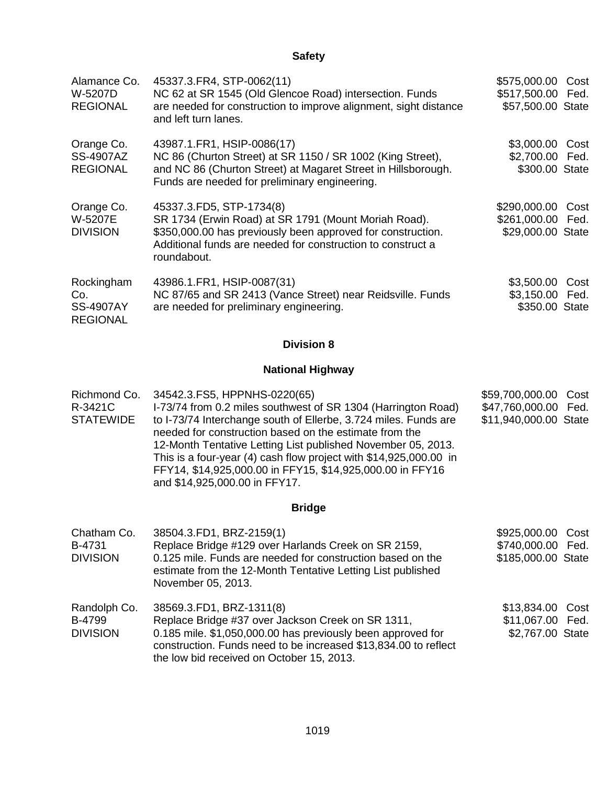| Alamance Co.<br>W-5207D<br><b>REGIONAL</b>               | 45337.3. FR4, STP-0062(11)<br>NC 62 at SR 1545 (Old Glencoe Road) intersection. Funds<br>are needed for construction to improve alignment, sight distance<br>and left turn lanes.                                             | \$575,000.00 Cost<br>\$517,500.00 Fed.<br>\$57,500.00 State |      |
|----------------------------------------------------------|-------------------------------------------------------------------------------------------------------------------------------------------------------------------------------------------------------------------------------|-------------------------------------------------------------|------|
| Orange Co.<br><b>SS-4907AZ</b><br><b>REGIONAL</b>        | 43987.1.FR1, HSIP-0086(17)<br>NC 86 (Churton Street) at SR 1150 / SR 1002 (King Street),<br>and NC 86 (Churton Street) at Magaret Street in Hillsborough.<br>Funds are needed for preliminary engineering.                    | \$3,000.00<br>\$2,700.00 Fed.<br>\$300.00 State             | Cost |
| Orange Co.<br>W-5207E<br><b>DIVISION</b>                 | 45337.3.FD5, STP-1734(8)<br>SR 1734 (Erwin Road) at SR 1791 (Mount Moriah Road).<br>\$350,000.00 has previously been approved for construction.<br>Additional funds are needed for construction to construct a<br>roundabout. | \$290,000.00<br>\$261,000.00 Fed.<br>\$29,000.00 State      | Cost |
| Rockingham<br>Co.<br><b>SS-4907AY</b><br><b>REGIONAL</b> | 43986.1.FR1, HSIP-0087(31)<br>NC 87/65 and SR 2413 (Vance Street) near Reidsville. Funds<br>are needed for preliminary engineering.                                                                                           | \$3,500.00<br>\$3,150.00 Fed.<br>\$350.00 State             | Cost |

## **Division 8**

## **National Highway**

| Richmond Co.     | 34542.3.FS5, HPPNHS-0220(65)                                                                                                                                                                                                                                                                                                                                 | \$59,700,000.00 Cost  |  |
|------------------|--------------------------------------------------------------------------------------------------------------------------------------------------------------------------------------------------------------------------------------------------------------------------------------------------------------------------------------------------------------|-----------------------|--|
| R-3421C          | I-73/74 from 0.2 miles southwest of SR 1304 (Harrington Road)                                                                                                                                                                                                                                                                                                | \$47,760,000.00 Fed.  |  |
| <b>STATEWIDE</b> | to I-73/74 Interchange south of Ellerbe, 3.724 miles. Funds are<br>needed for construction based on the estimate from the<br>12-Month Tentative Letting List published November 05, 2013.<br>This is a four-year (4) cash flow project with \$14,925,000.00 in<br>FFY14, \$14,925,000.00 in FFY15, \$14,925,000.00 in FFY16<br>and \$14,925,000.00 in FFY17. | \$11,940,000.00 State |  |

## **Bridge**

| Chatham Co.     | 38504.3.FD1, BRZ-2159(1)                                                                                                                                                    | \$925,000.00 Cost  |  |
|-----------------|-----------------------------------------------------------------------------------------------------------------------------------------------------------------------------|--------------------|--|
| B-4731          | Replace Bridge #129 over Harlands Creek on SR 2159,                                                                                                                         | \$740,000.00 Fed.  |  |
| <b>DIVISION</b> | 0.125 mile. Funds are needed for construction based on the<br>estimate from the 12-Month Tentative Letting List published<br>November 05, 2013.                             | \$185,000.00 State |  |
| Randolph Co.    | 38569.3.FD1, BRZ-1311(8)                                                                                                                                                    | \$13,834.00 Cost   |  |
| B-4799          | Replace Bridge #37 over Jackson Creek on SR 1311,                                                                                                                           | \$11,067.00 Fed.   |  |
| <b>DIVISION</b> | 0.185 mile. \$1,050,000.00 has previously been approved for<br>construction. Funds need to be increased \$13,834.00 to reflect<br>the low bid received on October 15, 2013. | \$2,767.00 State   |  |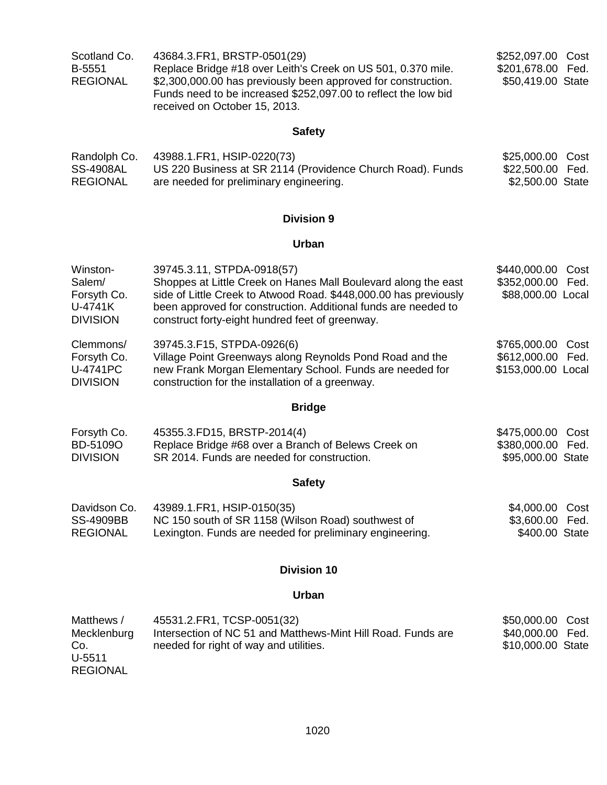| Scotland Co.    | 43684.3.FR1, BRSTP-0501(29)                                    | \$252,097.00 Cost |  |
|-----------------|----------------------------------------------------------------|-------------------|--|
| <b>B-5551</b>   | Replace Bridge #18 over Leith's Creek on US 501, 0.370 mile.   | \$201,678.00 Fed. |  |
| <b>REGIONAL</b> | \$2,300,000.00 has previously been approved for construction.  | \$50,419.00 State |  |
|                 | Funds need to be increased \$252,097.00 to reflect the low bid |                   |  |
|                 | received on October 15, 2013.                                  |                   |  |

| Randolph Co.    | 43988.1.FR1, HSIP-0220(73)                                 | \$25,000.00 Cost |  |
|-----------------|------------------------------------------------------------|------------------|--|
| SS-4908AL       | US 220 Business at SR 2114 (Providence Church Road). Funds | \$22,500.00 Fed. |  |
| <b>REGIONAL</b> | are needed for preliminary engineering.                    | \$2,500.00 State |  |

## **Division 9**

### **Urban**

|                             | <b>Bridge</b>                                                                                                |                      |
|-----------------------------|--------------------------------------------------------------------------------------------------------------|----------------------|
| U-4741PC<br><b>DIVISION</b> | new Frank Morgan Elementary School. Funds are needed for<br>construction for the installation of a greenway. | \$153,000.00 Local   |
| Forsyth Co.                 | Village Point Greenways along Reynolds Pond Road and the                                                     | \$612,000.00 Fed.    |
| Clemmons/                   | 39745.3.F15, STPDA-0926(6)                                                                                   | \$765,000.00 Cost    |
| <b>DIVISION</b>             | construct forty-eight hundred feet of greenway.                                                              |                      |
| U-4741K                     | been approved for construction. Additional funds are needed to                                               |                      |
| Forsyth Co.                 | side of Little Creek to Atwood Road. \$448,000.00 has previously                                             | \$88,000.00 Local    |
| Salem/                      | Shoppes at Little Creek on Hanes Mall Boulevard along the east                                               | \$352,000.00 Fed.    |
| Winston-                    | 39745.3.11, STPDA-0918(57)                                                                                   | \$440,000.00<br>Cost |

| Forsyth Co.     | 45355.3.FD15, BRSTP-2014(4)                         | \$475,000.00 Cost |  |
|-----------------|-----------------------------------------------------|-------------------|--|
| BD-5109O        | Replace Bridge #68 over a Branch of Belews Creek on | \$380,000.00 Fed. |  |
| <b>DIVISION</b> | SR 2014. Funds are needed for construction.         | \$95,000.00 State |  |

# **Safety**

| Davidson Co.     | 43989.1.FR1, HSIP-0150(35)                               | \$4,000.00 Cost |  |
|------------------|----------------------------------------------------------|-----------------|--|
| <b>SS-4909BB</b> | NC 150 south of SR 1158 (Wilson Road) southwest of       | \$3,600.00 Fed. |  |
| <b>REGIONAL</b>  | Lexington. Funds are needed for preliminary engineering. | \$400.00 State  |  |

## **Division 10**

### **Urban**

| Matthews /      | 45531.2.FR1, TCSP-0051(32)                                   | \$50,000.00 Cost  |  |
|-----------------|--------------------------------------------------------------|-------------------|--|
| Mecklenburg     | Intersection of NC 51 and Matthews-Mint Hill Road. Funds are | \$40,000.00 Fed.  |  |
| Co.             | needed for right of way and utilities.                       | \$10,000.00 State |  |
| U-5511          |                                                              |                   |  |
| <b>REGIONAL</b> |                                                              |                   |  |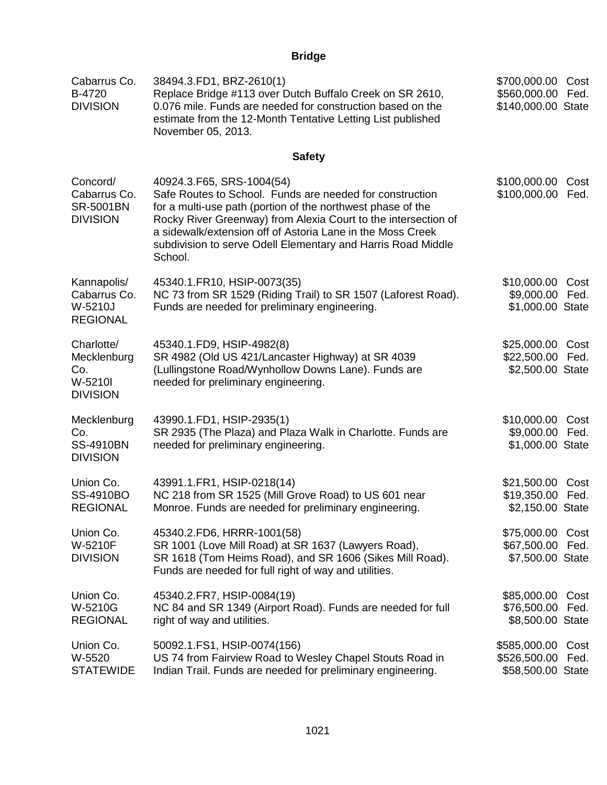# **Bridge**

| Cabarrus Co.<br>B-4720<br><b>DIVISION</b>                       | 38494.3.FD1, BRZ-2610(1)<br>Replace Bridge #113 over Dutch Buffalo Creek on SR 2610,<br>0.076 mile. Funds are needed for construction based on the<br>estimate from the 12-Month Tentative Letting List published<br>November 05, 2013.                                                                                                                         | \$700,000.00<br>\$560,000.00<br>\$140,000.00 State | Cost<br>Fed. |
|-----------------------------------------------------------------|-----------------------------------------------------------------------------------------------------------------------------------------------------------------------------------------------------------------------------------------------------------------------------------------------------------------------------------------------------------------|----------------------------------------------------|--------------|
|                                                                 | <b>Safety</b>                                                                                                                                                                                                                                                                                                                                                   |                                                    |              |
| Concord/<br>Cabarrus Co.<br><b>SR-5001BN</b><br><b>DIVISION</b> | 40924.3.F65, SRS-1004(54)<br>Safe Routes to School. Funds are needed for construction<br>for a multi-use path (portion of the northwest phase of the<br>Rocky River Greenway) from Alexia Court to the intersection of<br>a sidewalk/extension off of Astoria Lane in the Moss Creek<br>subdivision to serve Odell Elementary and Harris Road Middle<br>School. | \$100,000.00<br>\$100,000.00                       | Cost<br>Fed. |
| Kannapolis/<br>Cabarrus Co.<br>W-5210J<br><b>REGIONAL</b>       | 45340.1.FR10, HSIP-0073(35)<br>NC 73 from SR 1529 (Riding Trail) to SR 1507 (Laforest Road).<br>Funds are needed for preliminary engineering.                                                                                                                                                                                                                   | \$10,000.00<br>\$9,000.00<br>\$1,000.00 State      | Cost<br>Fed. |
| Charlotte/<br>Mecklenburg<br>Co.<br>W-5210I<br><b>DIVISION</b>  | 45340.1.FD9, HSIP-4982(8)<br>SR 4982 (Old US 421/Lancaster Highway) at SR 4039<br>(Lullingstone Road/Wynhollow Downs Lane). Funds are<br>needed for preliminary engineering.                                                                                                                                                                                    | \$25,000.00<br>\$22,500.00<br>\$2,500.00 State     | Cost<br>Fed. |
| Mecklenburg<br>Co.<br><b>SS-4910BN</b><br><b>DIVISION</b>       | 43990.1.FD1, HSIP-2935(1)<br>SR 2935 (The Plaza) and Plaza Walk in Charlotte. Funds are<br>needed for preliminary engineering.                                                                                                                                                                                                                                  | \$10,000.00<br>\$9,000.00<br>\$1,000.00 State      | Cost<br>Fed. |
| Union Co.<br>SS-4910BO<br><b>REGIONAL</b>                       | 43991.1.FR1, HSIP-0218(14)<br>NC 218 from SR 1525 (Mill Grove Road) to US 601 near<br>Monroe. Funds are needed for preliminary engineering.                                                                                                                                                                                                                     | \$21,500.00<br>\$19,350.00<br>\$2,150.00 State     | Cost<br>Fed. |
| Union Co.<br>W-5210F<br><b>DIVISION</b>                         | 45340.2.FD6, HRRR-1001(58)<br>SR 1001 (Love Mill Road) at SR 1637 (Lawyers Road),<br>SR 1618 (Tom Heims Road), and SR 1606 (Sikes Mill Road).<br>Funds are needed for full right of way and utilities.                                                                                                                                                          | \$75,000.00<br>\$67,500.00<br>\$7,500.00 State     | Cost<br>Fed. |
| Union Co.<br>W-5210G<br><b>REGIONAL</b>                         | 45340.2.FR7, HSIP-0084(19)<br>NC 84 and SR 1349 (Airport Road). Funds are needed for full<br>right of way and utilities.                                                                                                                                                                                                                                        | \$85,000.00<br>\$76,500.00<br>\$8,500.00 State     | Cost<br>Fed. |
| Union Co.<br>W-5520<br><b>STATEWIDE</b>                         | 50092.1.FS1, HSIP-0074(156)<br>US 74 from Fairview Road to Wesley Chapel Stouts Road in<br>Indian Trail. Funds are needed for preliminary engineering.                                                                                                                                                                                                          | \$585,000.00<br>\$526,500.00<br>\$58,500.00 State  | Cost<br>Fed. |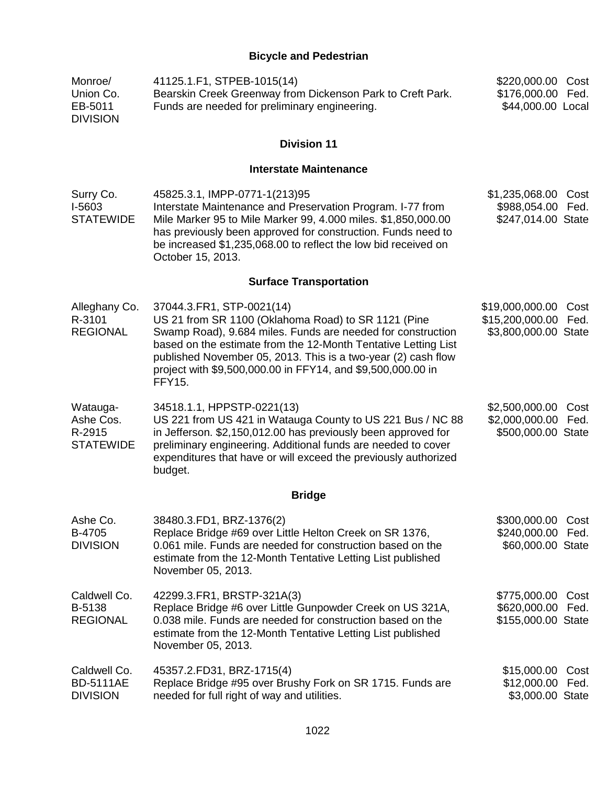## **Bicycle and Pedestrian**

| Monroe/<br>Union Co.<br>EB-5011<br><b>DIVISION</b>  | 41125.1.F1, STPEB-1015(14)<br>Bearskin Creek Greenway from Dickenson Park to Creft Park.<br>Funds are needed for preliminary engineering.                                                                                                                                                                                                                   | \$220,000.00<br>\$176,000.00<br>\$44,000.00 Local           | Cost<br>Fed. |
|-----------------------------------------------------|-------------------------------------------------------------------------------------------------------------------------------------------------------------------------------------------------------------------------------------------------------------------------------------------------------------------------------------------------------------|-------------------------------------------------------------|--------------|
|                                                     | <b>Division 11</b>                                                                                                                                                                                                                                                                                                                                          |                                                             |              |
|                                                     | <b>Interstate Maintenance</b>                                                                                                                                                                                                                                                                                                                               |                                                             |              |
| Surry Co.<br>I-5603<br><b>STATEWIDE</b>             | 45825.3.1, IMPP-0771-1(213)95<br>Interstate Maintenance and Preservation Program. I-77 from<br>Mile Marker 95 to Mile Marker 99, 4.000 miles. \$1,850,000.00<br>has previously been approved for construction. Funds need to<br>be increased \$1,235,068.00 to reflect the low bid received on<br>October 15, 2013.                                         | \$1,235,068.00<br>\$988,054.00<br>\$247,014.00 State        | Cost<br>Fed. |
|                                                     | <b>Surface Transportation</b>                                                                                                                                                                                                                                                                                                                               |                                                             |              |
| Alleghany Co.<br>R-3101<br><b>REGIONAL</b>          | 37044.3.FR1, STP-0021(14)<br>US 21 from SR 1100 (Oklahoma Road) to SR 1121 (Pine<br>Swamp Road), 9.684 miles. Funds are needed for construction<br>based on the estimate from the 12-Month Tentative Letting List<br>published November 05, 2013. This is a two-year (2) cash flow<br>project with \$9,500,000.00 in FFY14, and \$9,500,000.00 in<br>FFY15. | \$19,000,000.00<br>\$15,200,000.00<br>\$3,800,000.00 State  | Cost<br>Fed. |
| Watauga-<br>Ashe Cos.<br>R-2915<br><b>STATEWIDE</b> | 34518.1.1, HPPSTP-0221(13)<br>US 221 from US 421 in Watauga County to US 221 Bus / NC 88<br>in Jefferson. \$2,150,012.00 has previously been approved for<br>preliminary engineering. Additional funds are needed to cover<br>expenditures that have or will exceed the previously authorized<br>budget.                                                    | \$2,500,000.00<br>\$2,000,000.00<br>\$500,000.00 State      | Cost<br>Fed. |
|                                                     | <b>Bridge</b>                                                                                                                                                                                                                                                                                                                                               |                                                             |              |
| Ashe Co.<br>B-4705<br><b>DIVISION</b>               | 38480.3.FD1, BRZ-1376(2)<br>Replace Bridge #69 over Little Helton Creek on SR 1376,<br>0.061 mile. Funds are needed for construction based on the<br>estimate from the 12-Month Tentative Letting List published<br>November 05, 2013.                                                                                                                      | \$300,000.00 Cost<br>\$240,000.00 Fed.<br>\$60,000.00 State |              |
| Caldwell Co.<br>B-5138<br><b>REGIONAL</b>           | 42299.3.FR1, BRSTP-321A(3)<br>Replace Bridge #6 over Little Gunpowder Creek on US 321A,<br>0.038 mile. Funds are needed for construction based on the<br>estimate from the 12-Month Tentative Letting List published<br>November 05, 2013.                                                                                                                  | \$775,000.00<br>\$620,000.00<br>\$155,000.00 State          | Cost<br>Fed. |
| Caldwell Co.<br><b>BD-5111AE</b><br><b>DIVISION</b> | 45357.2.FD31, BRZ-1715(4)<br>Replace Bridge #95 over Brushy Fork on SR 1715. Funds are<br>needed for full right of way and utilities.                                                                                                                                                                                                                       | \$15,000.00<br>\$12,000.00<br>\$3,000.00 State              | Cost<br>Fed. |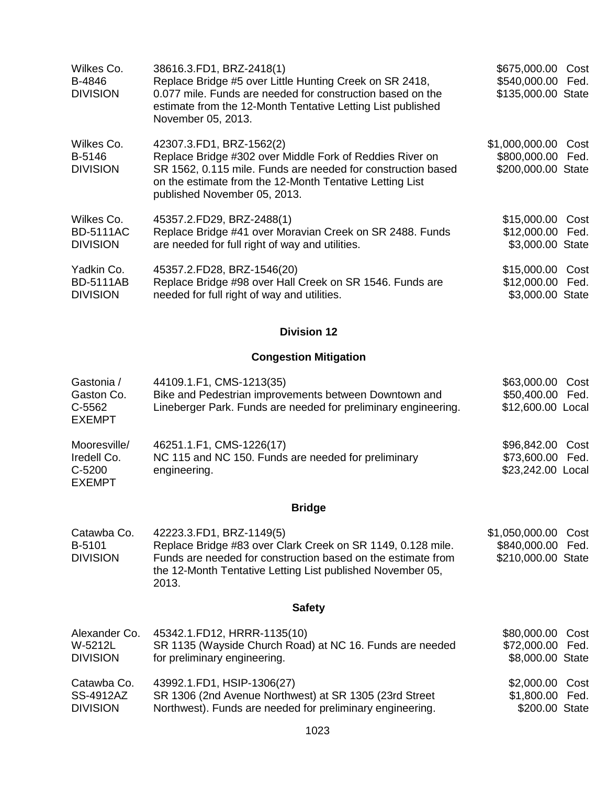| Wilkes Co.       | 38616.3.FD1, BRZ-2418(1)                                                                                                                                 | \$675,000.00 Cost   |  |
|------------------|----------------------------------------------------------------------------------------------------------------------------------------------------------|---------------------|--|
| B-4846           | Replace Bridge #5 over Little Hunting Creek on SR 2418,                                                                                                  | \$540,000.00 Fed.   |  |
| <b>DIVISION</b>  | 0.077 mile. Funds are needed for construction based on the<br>estimate from the 12-Month Tentative Letting List published<br>November 05, 2013.          | \$135,000.00 State  |  |
| Wilkes Co.       | 42307.3.FD1, BRZ-1562(2)                                                                                                                                 | \$1,000,000.00 Cost |  |
| B-5146           | Replace Bridge #302 over Middle Fork of Reddies River on                                                                                                 | \$800,000.00 Fed.   |  |
| <b>DIVISION</b>  | SR 1562, 0.115 mile. Funds are needed for construction based<br>on the estimate from the 12-Month Tentative Letting List<br>published November 05, 2013. | \$200,000.00 State  |  |
| Wilkes Co.       | 45357.2.FD29, BRZ-2488(1)                                                                                                                                | \$15,000.00 Cost    |  |
| <b>BD-5111AC</b> | Replace Bridge #41 over Moravian Creek on SR 2488. Funds                                                                                                 | \$12,000.00 Fed.    |  |
| <b>DIVISION</b>  | are needed for full right of way and utilities.                                                                                                          | \$3,000.00 State    |  |
| Yadkin Co.       | 45357.2.FD28, BRZ-1546(20)                                                                                                                               | \$15,000.00 Cost    |  |
| <b>BD-5111AB</b> | Replace Bridge #98 over Hall Creek on SR 1546. Funds are                                                                                                 | \$12,000.00 Fed.    |  |
| <b>DIVISION</b>  | needed for full right of way and utilities.                                                                                                              | \$3,000.00 State    |  |

## **Division 12**

## **Congestion Mitigation**

| Gastonia /<br>Gaston Co.<br>C-5562<br><b>EXEMPT</b>    | 44109.1.F1, CMS-1213(35)<br>Bike and Pedestrian improvements between Downtown and<br>Lineberger Park. Funds are needed for preliminary engineering. | \$63,000.00 Cost<br>\$50,400.00 Fed.<br>\$12,600.00 Local |
|--------------------------------------------------------|-----------------------------------------------------------------------------------------------------------------------------------------------------|-----------------------------------------------------------|
| Mooresville/<br>Iredell Co.<br>C-5200<br><b>EXEMPT</b> | 46251.1.F1, CMS-1226(17)<br>NC 115 and NC 150. Funds are needed for preliminary<br>engineering.                                                     | \$96,842.00 Cost<br>\$73,600.00 Fed.<br>\$23,242.00 Local |

## **Bridge**

| Catawba Co.     | 42223.3.FD1, BRZ-1149(5)                                                                                                            | \$1,050,000.00 Cost |  |
|-----------------|-------------------------------------------------------------------------------------------------------------------------------------|---------------------|--|
| B-5101          | Replace Bridge #83 over Clark Creek on SR 1149, 0.128 mile.                                                                         | \$840,000.00 Fed.   |  |
| <b>DIVISION</b> | Funds are needed for construction based on the estimate from<br>the 12-Month Tentative Letting List published November 05,<br>2013. | \$210,000.00 State  |  |

# **Safety**

| Alexander Co.   | 45342.1.FD12, HRRR-1135(10)                               | \$80,000.00 Cost |  |
|-----------------|-----------------------------------------------------------|------------------|--|
| W-5212L         | SR 1135 (Wayside Church Road) at NC 16. Funds are needed  | \$72,000.00 Fed. |  |
| <b>DIVISION</b> | for preliminary engineering.                              | \$8,000.00 State |  |
| Catawba Co.     | 43992.1.FD1, HSIP-1306(27)                                | \$2,000.00 Cost  |  |
| SS-4912AZ       | SR 1306 (2nd Avenue Northwest) at SR 1305 (23rd Street    | \$1,800.00 Fed.  |  |
| <b>DIVISION</b> | Northwest). Funds are needed for preliminary engineering. | \$200.00 State   |  |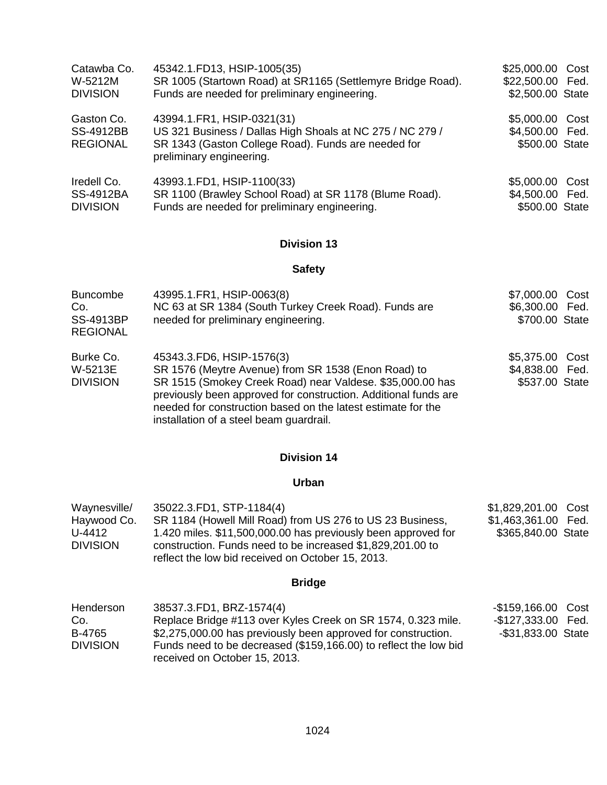| Catawba Co.                         | 45342.1.FD13, HSIP-1005(35)                                                                             | \$25,000.00 Cost                  |  |
|-------------------------------------|---------------------------------------------------------------------------------------------------------|-----------------------------------|--|
| W-5212M                             | SR 1005 (Startown Road) at SR1165 (Settlemyre Bridge Road).                                             | \$22,500.00 Fed.                  |  |
| <b>DIVISION</b>                     | Funds are needed for preliminary engineering.                                                           | \$2,500.00 State                  |  |
| Gaston Co.                          | 43994.1.FR1, HSIP-0321(31)                                                                              | \$5,000.00 Cost                   |  |
| <b>SS-4912BB</b>                    | US 321 Business / Dallas High Shoals at NC 275 / NC 279 /                                               | \$4,500.00 Fed.                   |  |
| <b>REGIONAL</b>                     | SR 1343 (Gaston College Road). Funds are needed for<br>preliminary engineering.                         | \$500.00 State                    |  |
| Iredell Co.                         | 43993.1.FD1, HSIP-1100(33)                                                                              | \$5,000.00 Cost                   |  |
| <b>SS-4912BA</b><br><b>DIVISION</b> | SR 1100 (Brawley School Road) at SR 1178 (Blume Road).<br>Funds are needed for preliminary engineering. | \$4,500.00 Fed.<br>\$500.00 State |  |

## **Division 13**

## **Safety**

| <b>Buncombe</b><br>Co.<br><b>SS-4913BP</b><br><b>REGIONAL</b> | 43995.1.FR1, HSIP-0063(8)<br>NC 63 at SR 1384 (South Turkey Creek Road). Funds are<br>needed for preliminary engineering.                                                                                                                                                                                                   | \$7,000.00 Cost<br>\$6,300.00 Fed.<br>\$700.00 State |
|---------------------------------------------------------------|-----------------------------------------------------------------------------------------------------------------------------------------------------------------------------------------------------------------------------------------------------------------------------------------------------------------------------|------------------------------------------------------|
| Burke Co.<br>W-5213E<br><b>DIVISION</b>                       | 45343.3.FD6, HSIP-1576(3)<br>SR 1576 (Meytre Avenue) from SR 1538 (Enon Road) to<br>SR 1515 (Smokey Creek Road) near Valdese. \$35,000.00 has<br>previously been approved for construction. Additional funds are<br>needed for construction based on the latest estimate for the<br>installation of a steel beam guardrail. | \$5,375.00 Cost<br>\$4,838.00 Fed.<br>\$537.00 State |

### **Division 14**

### **Urban**

| Waynesville/                             | 35022.3.FD1, STP-1184(4)                                                                                                                                                                                                                      | \$1,829,201.00 Cost                       |
|------------------------------------------|-----------------------------------------------------------------------------------------------------------------------------------------------------------------------------------------------------------------------------------------------|-------------------------------------------|
| Haywood Co.<br>U-4412<br><b>DIVISION</b> | SR 1184 (Howell Mill Road) from US 276 to US 23 Business,<br>1.420 miles. \$11,500,000.00 has previously been approved for<br>construction. Funds need to be increased \$1,829,201.00 to<br>reflect the low bid received on October 15, 2013. | \$1,463,361.00 Fed.<br>\$365,840.00 State |
|                                          | <b>Bridge</b>                                                                                                                                                                                                                                 |                                           |
| Henderson                                | 38537.3.FD1, BRZ-1574(4)                                                                                                                                                                                                                      | -\$159,166.00 Cost                        |
| $\sim$                                   | Bonlage Bridge #112 over Kyles Crook on CD 1571 0.222 mile                                                                                                                                                                                    | 0.12722000                                |

| <u>LIGHUGI SULL</u> | $1.31.31.1$ D $1.11.21.1$                                        | יכּטט טט.טטוער     |  |
|---------------------|------------------------------------------------------------------|--------------------|--|
| Co.                 | Replace Bridge #113 over Kyles Creek on SR 1574, 0.323 mile.     | -\$127,333.00 Fed. |  |
| B-4765              | \$2,275,000.00 has previously been approved for construction.    | -\$31,833.00 State |  |
| <b>DIVISION</b>     | Funds need to be decreased (\$159,166.00) to reflect the low bid |                    |  |
|                     | received on October 15, 2013.                                    |                    |  |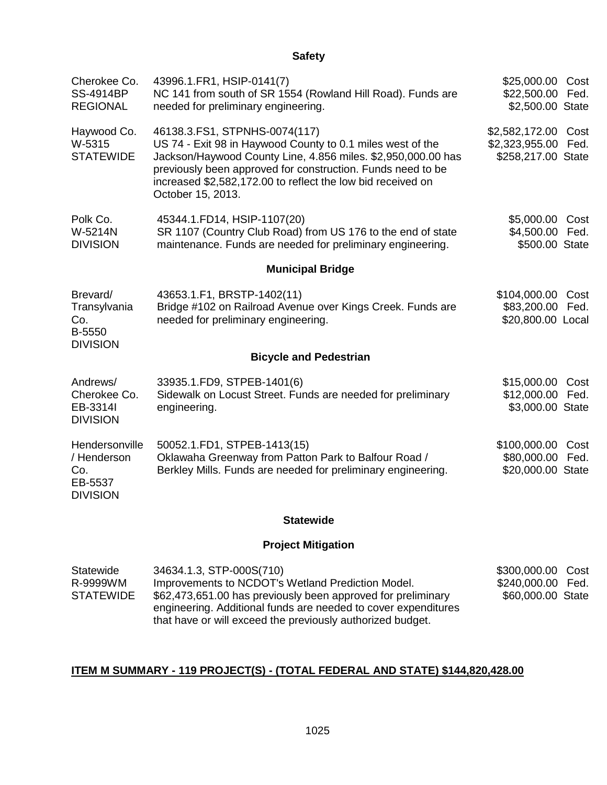| Cherokee Co.<br><b>SS-4914BP</b>                                   | 43996.1.FR1, HSIP-0141(7)                                                                                                                                                                                                                                                                                      | \$25,000.00 Cost                                            |      |
|--------------------------------------------------------------------|----------------------------------------------------------------------------------------------------------------------------------------------------------------------------------------------------------------------------------------------------------------------------------------------------------------|-------------------------------------------------------------|------|
| <b>REGIONAL</b>                                                    | NC 141 from south of SR 1554 (Rowland Hill Road). Funds are<br>needed for preliminary engineering.                                                                                                                                                                                                             | \$22,500.00 Fed.<br>\$2,500.00 State                        |      |
| Haywood Co.<br>W-5315<br><b>STATEWIDE</b>                          | 46138.3.FS1, STPNHS-0074(117)<br>US 74 - Exit 98 in Haywood County to 0.1 miles west of the<br>Jackson/Haywood County Line, 4.856 miles. \$2,950,000.00 has<br>previously been approved for construction. Funds need to be<br>increased \$2,582,172.00 to reflect the low bid received on<br>October 15, 2013. | \$2,582,172.00<br>\$2,323,955.00 Fed.<br>\$258,217.00 State | Cost |
| Polk Co.<br>W-5214N<br><b>DIVISION</b>                             | 45344.1.FD14, HSIP-1107(20)<br>SR 1107 (Country Club Road) from US 176 to the end of state<br>maintenance. Funds are needed for preliminary engineering.                                                                                                                                                       | \$5,000.00 Cost<br>\$4,500.00 Fed.<br>\$500.00 State        |      |
|                                                                    | <b>Municipal Bridge</b>                                                                                                                                                                                                                                                                                        |                                                             |      |
| Brevard/<br>Transylvania<br>Co.<br>B-5550<br><b>DIVISION</b>       | 43653.1.F1, BRSTP-1402(11)<br>Bridge #102 on Railroad Avenue over Kings Creek. Funds are<br>needed for preliminary engineering.                                                                                                                                                                                | \$104,000.00 Cost<br>\$83,200.00 Fed.<br>\$20,800.00 Local  |      |
|                                                                    | <b>Bicycle and Pedestrian</b>                                                                                                                                                                                                                                                                                  |                                                             |      |
| Andrews/<br>Cherokee Co.<br>EB-3314I<br><b>DIVISION</b>            | 33935.1.FD9, STPEB-1401(6)<br>Sidewalk on Locust Street. Funds are needed for preliminary<br>engineering.                                                                                                                                                                                                      | \$15,000.00<br>\$12,000.00 Fed.<br>\$3,000.00 State         | Cost |
| Hendersonville<br>/ Henderson<br>Co.<br>EB-5537<br><b>DIVISION</b> | 50052.1.FD1, STPEB-1413(15)<br>Oklawaha Greenway from Patton Park to Balfour Road /<br>Berkley Mills. Funds are needed for preliminary engineering.                                                                                                                                                            | \$100,000.00 Cost<br>\$80,000.00<br>\$20,000.00 State       | Fed. |
|                                                                    | <b>Statewide</b>                                                                                                                                                                                                                                                                                               |                                                             |      |
|                                                                    | <b>Project Mitigation</b>                                                                                                                                                                                                                                                                                      |                                                             |      |

| Statewide<br>R-9999WM<br><b>STATEWIDE</b> | 34634.1.3, STP-000S(710)<br>Improvements to NCDOT's Wetland Prediction Model.<br>\$62,473,651.00 has previously been approved for preliminary<br>engineering. Additional funds are needed to cover expenditures | \$300,000.00 Cost<br>\$240,000.00 Fed.<br>\$60,000.00 State |  |
|-------------------------------------------|-----------------------------------------------------------------------------------------------------------------------------------------------------------------------------------------------------------------|-------------------------------------------------------------|--|
|                                           | that have or will exceed the previously authorized budget.                                                                                                                                                      |                                                             |  |

# **ITEM M SUMMARY - 119 PROJECT(S) - (TOTAL FEDERAL AND STATE) \$144,820,428.00**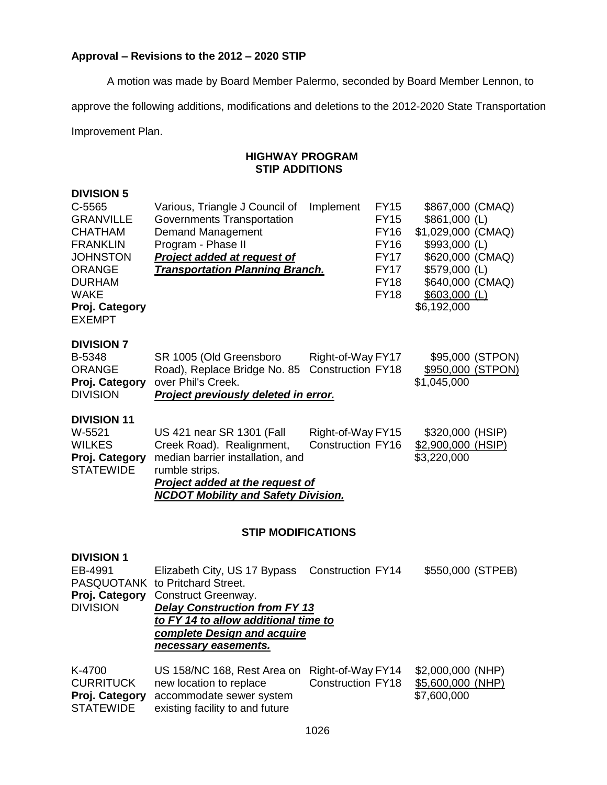### **Approval – Revisions to the 2012 – 2020 STIP**

A motion was made by Board Member Palermo, seconded by Board Member Lennon, to

approve the following additions, modifications and deletions to the 2012-2020 State Transportation

Improvement Plan.

### **HIGHWAY PROGRAM STIP ADDITIONS**

### **DIVISION 5**

| C-5565<br><b>GRANVILLE</b><br><b>CHATHAM</b><br><b>FRANKLIN</b><br><b>JOHNSTON</b><br><b>ORANGE</b><br><b>DURHAM</b><br><b>WAKE</b><br>Proj. Category<br><b>EXEMPT</b> | Various, Triangle J Council of<br>Governments Transportation<br><b>Demand Management</b><br>Program - Phase II<br>Project added at request of<br><b>Transportation Planning Branch.</b>              | Implement                                     | <b>FY15</b><br><b>FY15</b><br><b>FY16</b><br><b>FY16</b><br><b>FY17</b><br><b>FY17</b><br><b>FY18</b><br><b>FY18</b> | \$867,000 (CMAQ)<br>$$861,000$ (L)<br>\$1,029,000 (CMAQ)<br>\$993,000 (L)<br>\$620,000 (CMAQ)<br>$$579,000$ (L)<br>\$640,000 (CMAQ)<br>$$603,000$ (L)<br>\$6,192,000 |
|------------------------------------------------------------------------------------------------------------------------------------------------------------------------|------------------------------------------------------------------------------------------------------------------------------------------------------------------------------------------------------|-----------------------------------------------|----------------------------------------------------------------------------------------------------------------------|----------------------------------------------------------------------------------------------------------------------------------------------------------------------|
| <b>DIVISION 7</b><br>B-5348<br><b>ORANGE</b><br>Proj. Category<br><b>DIVISION</b>                                                                                      | SR 1005 (Old Greensboro<br>Road), Replace Bridge No. 85<br>over Phil's Creek.<br>Project previously deleted in error.                                                                                | Right-of-Way FY17<br><b>Construction FY18</b> |                                                                                                                      | \$95,000 (STPON)<br>\$950,000 (STPON)<br>\$1,045,000                                                                                                                 |
| <b>DIVISION 11</b><br>W-5521<br><b>WILKES</b><br>Proj. Category<br><b>STATEWIDE</b>                                                                                    | US 421 near SR 1301 (Fall<br>Creek Road). Realignment,<br>median barrier installation, and<br>rumble strips.<br><b>Project added at the request of</b><br><b>NCDOT Mobility and Safety Division.</b> | Right-of-Way FY15<br><b>Construction FY16</b> |                                                                                                                      | \$320,000 (HSIP)<br>\$2,900,000 (HSIP)<br>\$3,220,000                                                                                                                |

#### **STIP MODIFICATIONS**

### **DIVISION 1**

| EB-4991<br>Proj. Category<br><b>DIVISION</b> | Elizabeth City, US 17 Bypass Construction FY14<br>PASQUOTANK to Pritchard Street.<br>Construct Greenway.<br><b>Delay Construction from FY 13</b><br>to FY 14 to allow additional time to<br>complete Design and acquire<br>necessary easements. |                          | \$550,000 (STPEB) |
|----------------------------------------------|-------------------------------------------------------------------------------------------------------------------------------------------------------------------------------------------------------------------------------------------------|--------------------------|-------------------|
| K-4700                                       | US 158/NC 168, Rest Area on Right-of-Way FY14                                                                                                                                                                                                   | <b>Construction FY18</b> | \$2,000,000 (NHP) |
| <b>CURRITUCK</b>                             | new location to replace                                                                                                                                                                                                                         |                          | \$5,600,000 (NHP) |
| Proj. Category                               | accommodate sewer system                                                                                                                                                                                                                        |                          | \$7,600,000       |

STATEWIDE existing facility to and future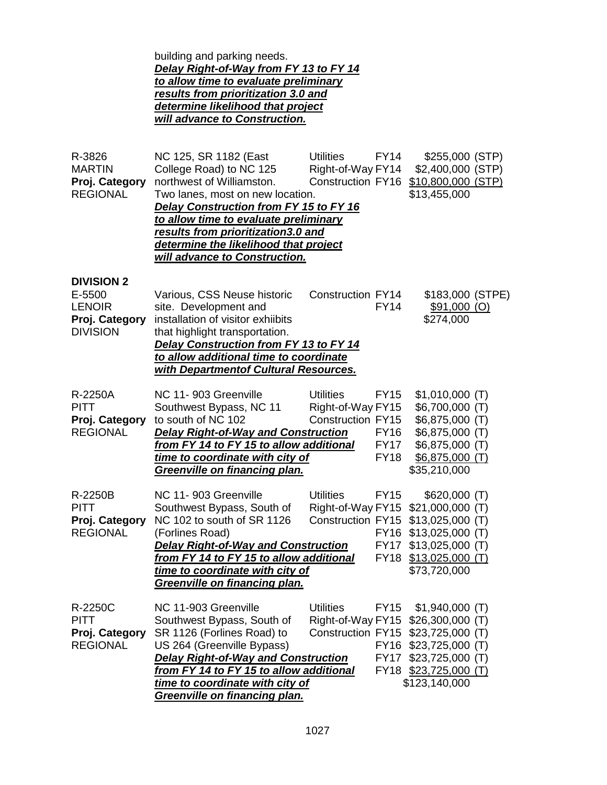building and parking needs. *Delay Right-of-Way from FY 13 to FY 14 to allow time to evaluate preliminary results from prioritization 3.0 and determine likelihood that project will advance to Construction.*

| R-3826<br><b>MARTIN</b><br>Proj. Category<br><b>REGIONAL</b>                      | NC 125, SR 1182 (East<br>College Road) to NC 125<br>northwest of Williamston.<br>Two lanes, most on new location.<br>Delay Construction from FY 15 to FY 16<br>to allow time to evaluate preliminary<br>results from prioritization3.0 and<br>determine the likelihood that project<br>will advance to Construction. | <b>Utilities</b><br>Right-of-Way FY14<br><b>Construction FY16</b> | <b>FY14</b>                                              | \$255,000 (STP)<br>\$2,400,000 (STP)<br>\$10,800,000 (STP)<br>\$13,455,000                                                                     |  |
|-----------------------------------------------------------------------------------|----------------------------------------------------------------------------------------------------------------------------------------------------------------------------------------------------------------------------------------------------------------------------------------------------------------------|-------------------------------------------------------------------|----------------------------------------------------------|------------------------------------------------------------------------------------------------------------------------------------------------|--|
| <b>DIVISION 2</b><br>E-5500<br><b>LENOIR</b><br>Proj. Category<br><b>DIVISION</b> | Various, CSS Neuse historic<br>site. Development and<br>installation of visitor exhiibits<br>that highlight transportation.<br>Delay Construction from FY 13 to FY 14<br>to allow additional time to coordinate<br>with Departmentof Cultural Resources.                                                             | <b>Construction FY14</b>                                          | <b>FY14</b>                                              | \$183,000 (STPE)<br>$$91,000$ (O)<br>\$274,000                                                                                                 |  |
| R-2250A<br><b>PITT</b><br>Proj. Category<br><b>REGIONAL</b>                       | NC 11-903 Greenville<br>Southwest Bypass, NC 11<br>to south of NC 102<br><b>Delay Right-of-Way and Construction</b><br>from FY 14 to FY 15 to allow additional<br>time to coordinate with city of<br>Greenville on financing plan.                                                                                   | <b>Utilities</b><br>Right-of-Way FY15<br>Construction FY15        | <b>FY15</b><br><b>FY16</b><br><b>FY17</b><br><b>FY18</b> | $$1,010,000$ (T)<br>$$6,700,000$ (T)<br>$$6,875,000$ (T)<br>$$6,875,000$ (T)<br>$$6,875,000$ (T)<br>\$6,875,000 (T)<br>\$35,210,000            |  |
| R-2250B<br><b>PITT</b><br>Proj. Category<br><b>REGIONAL</b>                       | NC 11-903 Greenville<br>Southwest Bypass, South of<br>NC 102 to south of SR 1126<br>(Forlines Road)<br><b>Delay Right-of-Way and Construction</b><br>from FY 14 to FY 15 to allow additional<br>time to coordinate with city of<br>Greenville on financing plan.                                                     | <b>Utilities</b><br>Right-of-Way FY15<br>Construction FY15        | <b>FY15</b><br><b>FY16</b><br><b>FY17</b><br><b>FY18</b> | $$620,000$ (T)<br>$$21,000,000$ (T)<br>$$13,025,000$ (T)<br>$$13,025,000$ (T)<br>$$13,025,000$ (T)<br>$$13,025,000$ (T)<br>\$73,720,000        |  |
| R-2250C<br><b>PITT</b><br>Proj. Category<br><b>REGIONAL</b>                       | NC 11-903 Greenville<br>Southwest Bypass, South of<br>SR 1126 (Forlines Road) to<br>US 264 (Greenville Bypass)<br><b>Delay Right-of-Way and Construction</b><br>from FY 14 to FY 15 to allow additional<br>time to coordinate with city of<br>Greenville on financing plan.                                          | <b>Utilities</b><br>Right-of-Way FY15<br>Construction FY15        | <b>FY15</b><br>FY16<br><b>FY17</b>                       | $$1,940,000$ (T)<br>$$26,300,000$ (T)<br>$$23,725,000$ (T)<br>$$23,725,000$ (T)<br>$$23,725,000$ (T)<br>FY18 \$23,725,000 (T)<br>\$123,140,000 |  |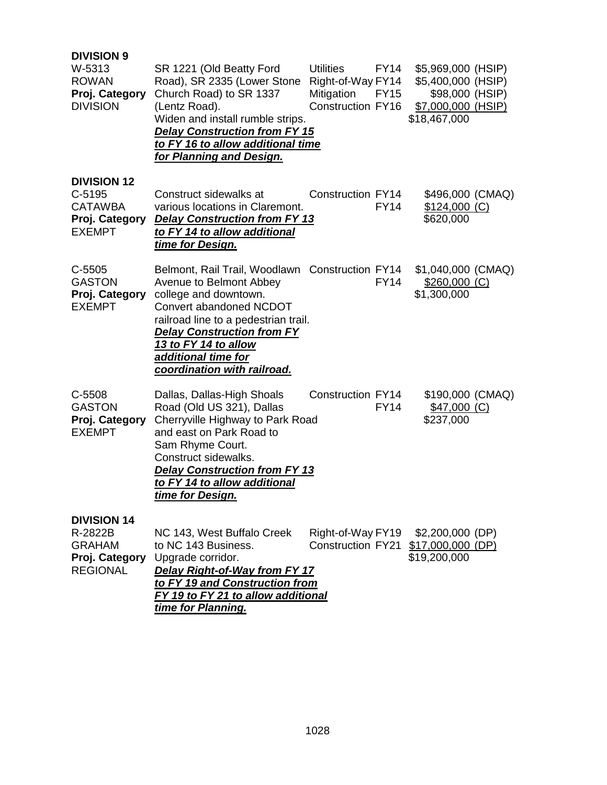| <b>DIVISION 9</b><br>W-5313<br><b>ROWAN</b><br>Proj. Category<br><b>DIVISION</b>    | SR 1221 (Old Beatty Ford<br>Road), SR 2335 (Lower Stone<br>Church Road) to SR 1337<br>(Lentz Road).<br>Widen and install rumble strips.<br><b>Delay Construction from FY 15</b><br>to FY 16 to allow additional time<br>for Planning and Design.                                          | <b>Utilities</b><br>FY14<br>Right-of-Way FY14<br>Mitigation<br><b>FY15</b><br>Construction FY16 | \$5,969,000 (HSIP)<br>\$5,400,000 (HSIP)<br>\$98,000 (HSIP)<br>\$7,000,000 (HSIP)<br>\$18,467,000 |  |
|-------------------------------------------------------------------------------------|-------------------------------------------------------------------------------------------------------------------------------------------------------------------------------------------------------------------------------------------------------------------------------------------|-------------------------------------------------------------------------------------------------|---------------------------------------------------------------------------------------------------|--|
| <b>DIVISION 12</b><br>$C-5195$<br><b>CATAWBA</b><br>Proj. Category<br><b>EXEMPT</b> | Construct sidewalks at<br>various locations in Claremont.<br><b>Delay Construction from FY 13</b><br>to FY 14 to allow additional<br>time for Design.                                                                                                                                     | Construction FY14<br><b>FY14</b>                                                                | \$496,000 (CMAQ)<br>$$124,000$ (C)<br>\$620,000                                                   |  |
| $C-5505$<br><b>GASTON</b><br>Proj. Category<br><b>EXEMPT</b>                        | Belmont, Rail Trail, Woodlawn Construction FY14<br>Avenue to Belmont Abbey<br>college and downtown.<br>Convert abandoned NCDOT<br>railroad line to a pedestrian trail.<br><b>Delay Construction from FY</b><br>13 to FY 14 to allow<br>additional time for<br>coordination with railroad. | <b>FY14</b>                                                                                     | \$1,040,000 (CMAQ)<br>$$260,000$ (C)<br>\$1,300,000                                               |  |
| C-5508<br><b>GASTON</b><br>Proj. Category<br><b>EXEMPT</b>                          | Dallas, Dallas-High Shoals<br>Road (Old US 321), Dallas<br>Cherryville Highway to Park Road<br>and east on Park Road to<br>Sam Rhyme Court.<br>Construct sidewalks.<br><b>Delay Construction from FY 13</b><br>to FY 14 to allow additional<br>time for Design.                           | Construction FY14<br><b>FY14</b>                                                                | \$190,000 (CMAQ)<br>$$47,000$ (C)<br>\$237,000                                                    |  |
| <b>DIVISION 14</b><br>R-2822B<br><b>GRAHAM</b><br>Proj. Category<br><b>REGIONAL</b> | NC 143, West Buffalo Creek<br>to NC 143 Business.<br>Upgrade corridor.<br>Delay Right-of-Way from FY 17<br>to FY 19 and Construction from<br>FY 19 to FY 21 to allow additional<br>time for Planning.                                                                                     | Right-of-Way FY19<br><b>Construction FY21</b>                                                   | \$2,200,000 (DP)<br>\$17,000,000 (DP)<br>\$19,200,000                                             |  |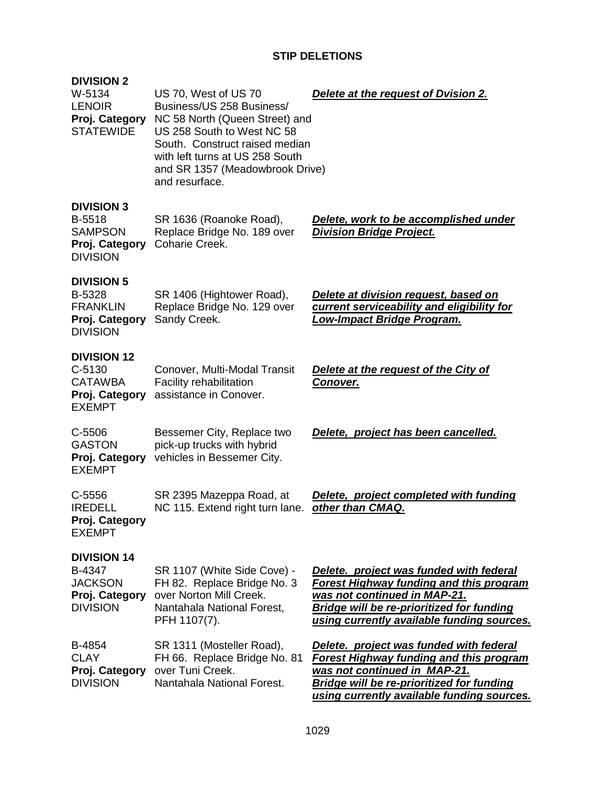### **STIP DELETIONS**

| <b>DIVISION 2</b><br>W-5134<br><b>LENOIR</b><br>Proj. Category<br><b>STATEWIDE</b>  | US 70, West of US 70<br>Business/US 258 Business/<br>NC 58 North (Queen Street) and<br>US 258 South to West NC 58<br>South. Construct raised median<br>with left turns at US 258 South<br>and SR 1357 (Meadowbrook Drive)<br>and resurface. | Delete at the request of Dvision 2.                                                                                                                                                                                         |
|-------------------------------------------------------------------------------------|---------------------------------------------------------------------------------------------------------------------------------------------------------------------------------------------------------------------------------------------|-----------------------------------------------------------------------------------------------------------------------------------------------------------------------------------------------------------------------------|
| <b>DIVISION 3</b><br>B-5518<br><b>SAMPSON</b><br>Proj. Category<br><b>DIVISION</b>  | SR 1636 (Roanoke Road),<br>Replace Bridge No. 189 over<br>Coharie Creek.                                                                                                                                                                    | Delete, work to be accomplished under<br><b>Division Bridge Project.</b>                                                                                                                                                    |
| <b>DIVISION 5</b><br>B-5328<br><b>FRANKLIN</b><br>Proj. Category<br><b>DIVISION</b> | SR 1406 (Hightower Road),<br>Replace Bridge No. 129 over<br>Sandy Creek.                                                                                                                                                                    | Delete at division request, based on<br>current serviceability and eligibility for<br><u> Low-Impact Bridge Program.</u>                                                                                                    |
| <b>DIVISION 12</b><br>$C-5130$<br><b>CATAWBA</b><br>Proj. Category<br><b>EXEMPT</b> | Conover, Multi-Modal Transit<br>Facility rehabilitation<br>assistance in Conover.                                                                                                                                                           | Delete at the request of the City of<br>Conover.                                                                                                                                                                            |
| C-5506<br><b>GASTON</b><br>Proj. Category<br><b>EXEMPT</b>                          | Bessemer City, Replace two<br>pick-up trucks with hybrid<br>vehicles in Bessemer City.                                                                                                                                                      | Delete, project has been cancelled.                                                                                                                                                                                         |
| $C - 5556$<br><b>IREDELL</b><br>Proj. Category<br><b>EXEMPT</b>                     | SR 2395 Mazeppa Road, at<br>NC 115. Extend right turn lane.                                                                                                                                                                                 | Delete, project completed with funding<br>other than CMAQ.                                                                                                                                                                  |
| <b>DIVISION 14</b><br>B-4347<br><b>JACKSON</b><br>Proj. Category<br><b>DIVISION</b> | SR 1107 (White Side Cove) -<br>FH 82. Replace Bridge No. 3<br>over Norton Mill Creek.<br>Nantahala National Forest,<br>PFH 1107(7).                                                                                                         | Delete. project was funded with federal<br><b>Forest Highway funding and this program</b><br>was not continued in MAP-21.<br><b>Bridge will be re-prioritized for funding</b><br>using currently available funding sources. |
| B-4854<br><b>CLAY</b><br>Proj. Category<br><b>DIVISION</b>                          | SR 1311 (Mosteller Road),<br>FH 66. Replace Bridge No. 81<br>over Tuni Creek.<br>Nantahala National Forest.                                                                                                                                 | Delete. project was funded with federal<br><b>Forest Highway funding and this program</b><br>was not continued in MAP-21.<br><b>Bridge will be re-prioritized for funding</b><br>using currently available funding sources. |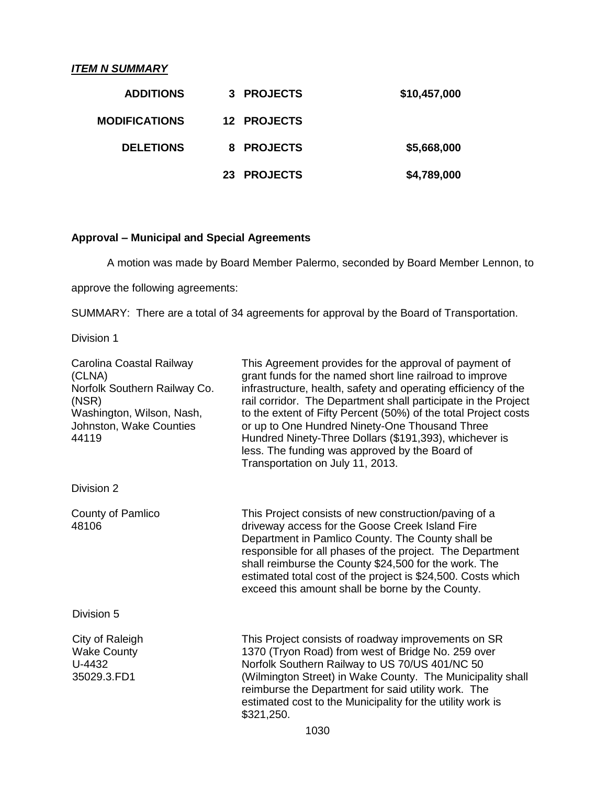### *ITEM N SUMMARY*

| \$10,457,000 | 3 PROJECTS  | <b>ADDITIONS</b>     |
|--------------|-------------|----------------------|
|              | 12 PROJECTS | <b>MODIFICATIONS</b> |
| \$5,668,000  | 8 PROJECTS  | <b>DELETIONS</b>     |
| \$4,789,000  | 23 PROJECTS |                      |

## **Approval – Municipal and Special Agreements**

A motion was made by Board Member Palermo, seconded by Board Member Lennon, to

approve the following agreements:

SUMMARY: There are a total of 34 agreements for approval by the Board of Transportation.

Division 1

| Carolina Coastal Railway<br>(CLNA)<br>Norfolk Southern Railway Co.<br>(NSR)<br>Washington, Wilson, Nash,<br>Johnston, Wake Counties<br>44119 | This Agreement provides for the approval of payment of<br>grant funds for the named short line railroad to improve<br>infrastructure, health, safety and operating efficiency of the<br>rail corridor. The Department shall participate in the Project<br>to the extent of Fifty Percent (50%) of the total Project costs<br>or up to One Hundred Ninety-One Thousand Three<br>Hundred Ninety-Three Dollars (\$191,393), whichever is<br>less. The funding was approved by the Board of<br>Transportation on July 11, 2013. |
|----------------------------------------------------------------------------------------------------------------------------------------------|-----------------------------------------------------------------------------------------------------------------------------------------------------------------------------------------------------------------------------------------------------------------------------------------------------------------------------------------------------------------------------------------------------------------------------------------------------------------------------------------------------------------------------|
| Division 2                                                                                                                                   |                                                                                                                                                                                                                                                                                                                                                                                                                                                                                                                             |
| County of Pamlico<br>48106                                                                                                                   | This Project consists of new construction/paving of a<br>driveway access for the Goose Creek Island Fire<br>Department in Pamlico County. The County shall be<br>responsible for all phases of the project. The Department<br>shall reimburse the County \$24,500 for the work. The<br>estimated total cost of the project is \$24,500. Costs which<br>exceed this amount shall be borne by the County.                                                                                                                     |
| Division 5                                                                                                                                   |                                                                                                                                                                                                                                                                                                                                                                                                                                                                                                                             |
| City of Raleigh<br><b>Wake County</b><br>U-4432<br>35029.3.FD1                                                                               | This Project consists of roadway improvements on SR<br>1370 (Tryon Road) from west of Bridge No. 259 over<br>Norfolk Southern Railway to US 70/US 401/NC 50<br>(Wilmington Street) in Wake County. The Municipality shall<br>reimburse the Department for said utility work. The<br>estimated cost to the Municipality for the utility work is<br>\$321,250.                                                                                                                                                                |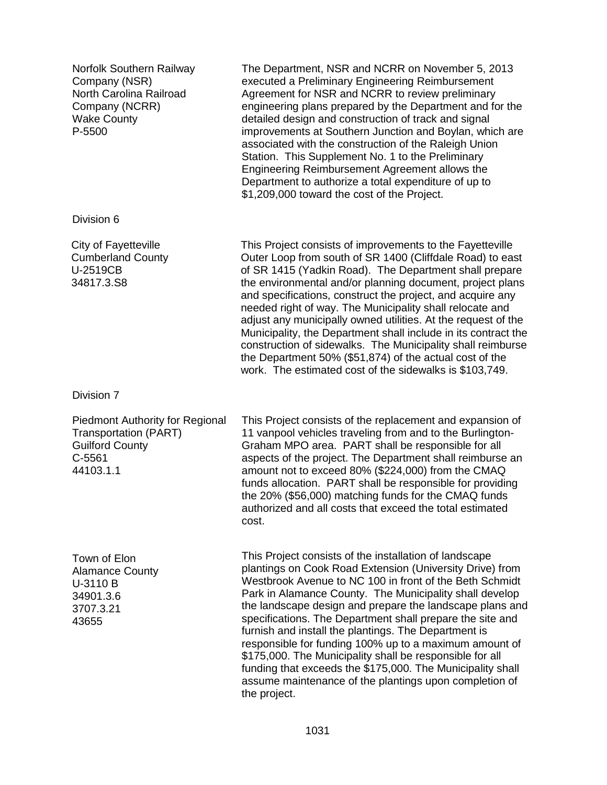Norfolk Southern Railway Company (NSR) North Carolina Railroad Company (NCRR) Wake County P-5500 The Department, NSR and NCRR on November 5, 2013 executed a Preliminary Engineering Reimbursement Agreement for NSR and NCRR to review preliminary engineering plans prepared by the Department and for the detailed design and construction of track and signal improvements at Southern Junction and Boylan, which are associated with the construction of the Raleigh Union Station. This Supplement No. 1 to the Preliminary Engineering Reimbursement Agreement allows the Department to authorize a total expenditure of up to \$1,209,000 toward the cost of the Project. Division 6 City of Fayetteville Cumberland County U-2519CB 34817.3.S8 This Project consists of improvements to the Fayetteville Outer Loop from south of SR 1400 (Cliffdale Road) to east of SR 1415 (Yadkin Road). The Department shall prepare the environmental and/or planning document, project plans and specifications, construct the project, and acquire any needed right of way. The Municipality shall relocate and adjust any municipally owned utilities. At the request of the Municipality, the Department shall include in its contract the construction of sidewalks. The Municipality shall reimburse the Department 50% (\$51,874) of the actual cost of the work. The estimated cost of the sidewalks is \$103,749. Division 7 Piedmont Authority for Regional Transportation (PART) Guilford County C-5561 44103.1.1 This Project consists of the replacement and expansion of 11 vanpool vehicles traveling from and to the Burlington-Graham MPO area. PART shall be responsible for all aspects of the project. The Department shall reimburse an amount not to exceed 80% (\$224,000) from the CMAQ funds allocation. PART shall be responsible for providing the 20% (\$56,000) matching funds for the CMAQ funds authorized and all costs that exceed the total estimated cost. Town of Elon Alamance County U-3110 B 34901.3.6 3707.3.21 43655 This Project consists of the installation of landscape plantings on Cook Road Extension (University Drive) from Westbrook Avenue to NC 100 in front of the Beth Schmidt Park in Alamance County. The Municipality shall develop the landscape design and prepare the landscape plans and specifications. The Department shall prepare the site and furnish and install the plantings. The Department is responsible for funding 100% up to a maximum amount of \$175,000. The Municipality shall be responsible for all funding that exceeds the \$175,000. The Municipality shall assume maintenance of the plantings upon completion of

the project.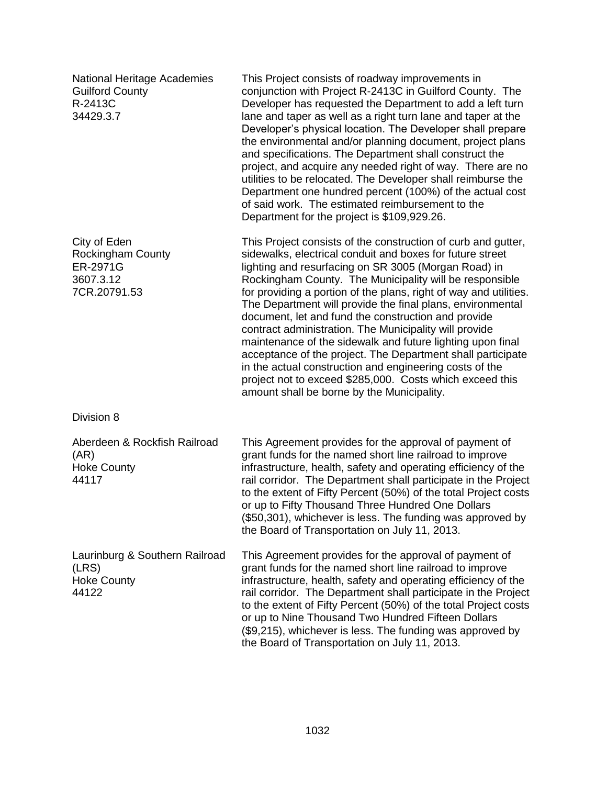| <b>National Heritage Academies</b><br><b>Guilford County</b><br>R-2413C<br>34429.3.7 | This Project consists of roadway improvements in<br>conjunction with Project R-2413C in Guilford County. The<br>Developer has requested the Department to add a left turn<br>lane and taper as well as a right turn lane and taper at the<br>Developer's physical location. The Developer shall prepare<br>the environmental and/or planning document, project plans<br>and specifications. The Department shall construct the<br>project, and acquire any needed right of way. There are no<br>utilities to be relocated. The Developer shall reimburse the<br>Department one hundred percent (100%) of the actual cost<br>of said work. The estimated reimbursement to the<br>Department for the project is \$109,929.26.                                                                         |
|--------------------------------------------------------------------------------------|-----------------------------------------------------------------------------------------------------------------------------------------------------------------------------------------------------------------------------------------------------------------------------------------------------------------------------------------------------------------------------------------------------------------------------------------------------------------------------------------------------------------------------------------------------------------------------------------------------------------------------------------------------------------------------------------------------------------------------------------------------------------------------------------------------|
| City of Eden<br><b>Rockingham County</b><br>ER-2971G<br>3607.3.12<br>7CR.20791.53    | This Project consists of the construction of curb and gutter,<br>sidewalks, electrical conduit and boxes for future street<br>lighting and resurfacing on SR 3005 (Morgan Road) in<br>Rockingham County. The Municipality will be responsible<br>for providing a portion of the plans, right of way and utilities.<br>The Department will provide the final plans, environmental<br>document, let and fund the construction and provide<br>contract administration. The Municipality will provide<br>maintenance of the sidewalk and future lighting upon final<br>acceptance of the project. The Department shall participate<br>in the actual construction and engineering costs of the<br>project not to exceed \$285,000. Costs which exceed this<br>amount shall be borne by the Municipality. |
| Division 8                                                                           |                                                                                                                                                                                                                                                                                                                                                                                                                                                                                                                                                                                                                                                                                                                                                                                                     |
| Aberdeen & Rockfish Railroad<br>(AR)<br><b>Hoke County</b><br>44117                  | This Agreement provides for the approval of payment of<br>grant funds for the named short line railroad to improve<br>infrastructure, health, safety and operating efficiency of the<br>rail corridor. The Department shall participate in the Project<br>to the extent of Fifty Percent (50%) of the total Project costs<br>or up to Fifty Thousand Three Hundred One Dollars<br>(\$50,301), whichever is less. The funding was approved by<br>the Board of Transportation on July 11, 2013.                                                                                                                                                                                                                                                                                                       |
| Laurinburg & Southern Railroad<br>(LRS)<br><b>Hoke County</b><br>44122               | This Agreement provides for the approval of payment of<br>grant funds for the named short line railroad to improve<br>infrastructure, health, safety and operating efficiency of the<br>rail corridor. The Department shall participate in the Project<br>to the extent of Fifty Percent (50%) of the total Project costs<br>or up to Nine Thousand Two Hundred Fifteen Dollars<br>(\$9,215), whichever is less. The funding was approved by<br>the Board of Transportation on July 11, 2013.                                                                                                                                                                                                                                                                                                       |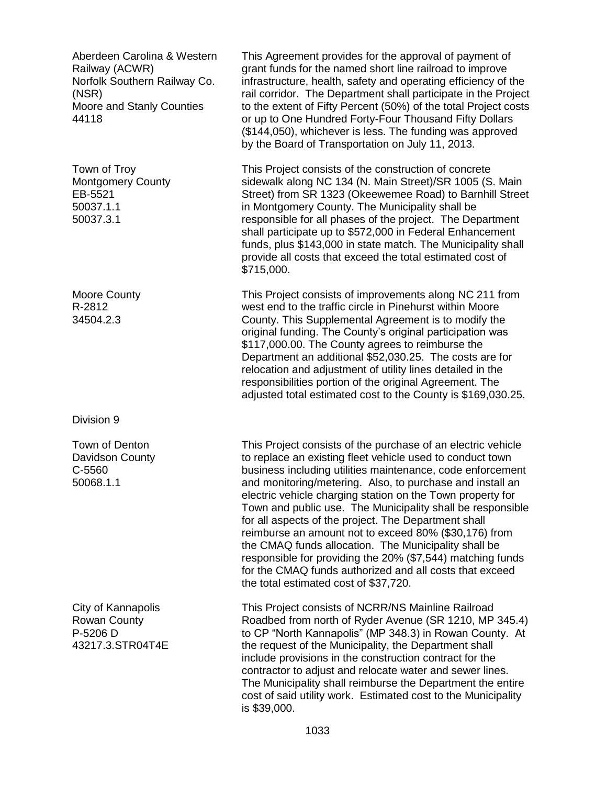| Aberdeen Carolina & Western<br>Railway (ACWR)<br>Norfolk Southern Railway Co.<br>(NSR)<br>Moore and Stanly Counties<br>44118 | This Agreement provides for the approval of payment of<br>grant funds for the named short line railroad to improve<br>infrastructure, health, safety and operating efficiency of the<br>rail corridor. The Department shall participate in the Project<br>to the extent of Fifty Percent (50%) of the total Project costs<br>or up to One Hundred Forty-Four Thousand Fifty Dollars<br>(\$144,050), whichever is less. The funding was approved<br>by the Board of Transportation on July 11, 2013.                                                                                                                                                                                                                         |
|------------------------------------------------------------------------------------------------------------------------------|-----------------------------------------------------------------------------------------------------------------------------------------------------------------------------------------------------------------------------------------------------------------------------------------------------------------------------------------------------------------------------------------------------------------------------------------------------------------------------------------------------------------------------------------------------------------------------------------------------------------------------------------------------------------------------------------------------------------------------|
| Town of Troy<br><b>Montgomery County</b><br>EB-5521<br>50037.1.1<br>50037.3.1                                                | This Project consists of the construction of concrete<br>sidewalk along NC 134 (N. Main Street)/SR 1005 (S. Main<br>Street) from SR 1323 (Okeewemee Road) to Barnhill Street<br>in Montgomery County. The Municipality shall be<br>responsible for all phases of the project. The Department<br>shall participate up to \$572,000 in Federal Enhancement<br>funds, plus \$143,000 in state match. The Municipality shall<br>provide all costs that exceed the total estimated cost of<br>\$715,000.                                                                                                                                                                                                                         |
| <b>Moore County</b><br>R-2812<br>34504.2.3                                                                                   | This Project consists of improvements along NC 211 from<br>west end to the traffic circle in Pinehurst within Moore<br>County. This Supplemental Agreement is to modify the<br>original funding. The County's original participation was<br>\$117,000.00. The County agrees to reimburse the<br>Department an additional \$52,030.25. The costs are for<br>relocation and adjustment of utility lines detailed in the<br>responsibilities portion of the original Agreement. The<br>adjusted total estimated cost to the County is \$169,030.25.                                                                                                                                                                            |
| Division 9                                                                                                                   |                                                                                                                                                                                                                                                                                                                                                                                                                                                                                                                                                                                                                                                                                                                             |
| Town of Denton<br>Davidson County<br>C-5560<br>50068.1.1                                                                     | This Project consists of the purchase of an electric vehicle<br>to replace an existing fleet vehicle used to conduct town<br>business including utilities maintenance, code enforcement<br>and monitoring/metering. Also, to purchase and install an<br>electric vehicle charging station on the Town property for<br>Town and public use. The Municipality shall be responsible<br>for all aspects of the project. The Department shall<br>reimburse an amount not to exceed 80% (\$30,176) from<br>the CMAQ funds allocation. The Municipality shall be<br>responsible for providing the 20% (\$7,544) matching funds<br>for the CMAQ funds authorized and all costs that exceed<br>the total estimated cost of \$37,720. |
| City of Kannapolis<br><b>Rowan County</b><br>P-5206 D<br>43217.3.STR04T4E                                                    | This Project consists of NCRR/NS Mainline Railroad<br>Roadbed from north of Ryder Avenue (SR 1210, MP 345.4)<br>to CP "North Kannapolis" (MP 348.3) in Rowan County. At<br>the request of the Municipality, the Department shall<br>include provisions in the construction contract for the<br>contractor to adjust and relocate water and sewer lines.<br>The Municipality shall reimburse the Department the entire<br>cost of said utility work. Estimated cost to the Municipality<br>is \$39,000.                                                                                                                                                                                                                      |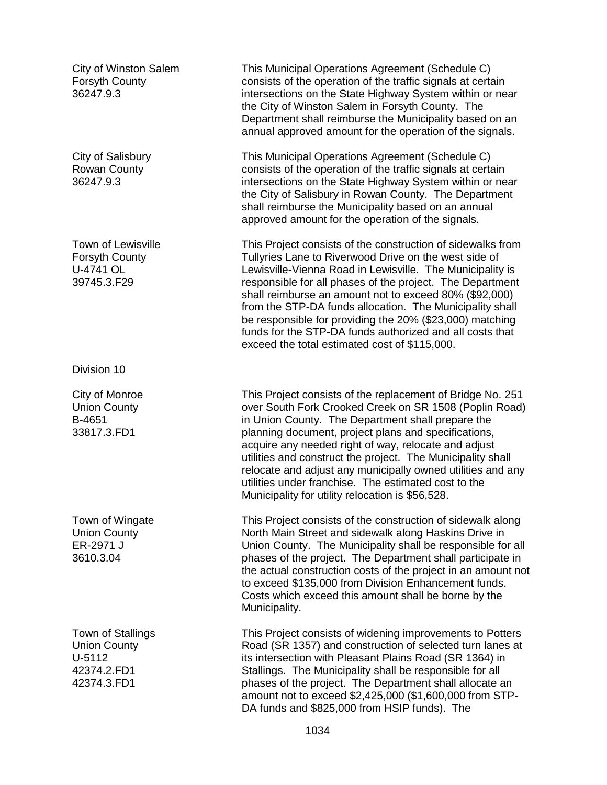City of Winston Salem Forsyth County 36247.9.3

City of Salisbury Rowan County 36247.9.3

Town of Lewisville Forsyth County U-4741 OL 39745.3.F29

Division 10

City of Monroe Union County B-4651 33817.3.FD1

Town of Wingate Union County ER-2971 J 3610.3.04

Town of Stallings Union County U-5112 42374.2.FD1 42374.3.FD1

This Municipal Operations Agreement (Schedule C) consists of the operation of the traffic signals at certain intersections on the State Highway System within or near the City of Winston Salem in Forsyth County. The Department shall reimburse the Municipality based on an annual approved amount for the operation of the signals.

This Municipal Operations Agreement (Schedule C) consists of the operation of the traffic signals at certain intersections on the State Highway System within or near the City of Salisbury in Rowan County. The Department shall reimburse the Municipality based on an annual approved amount for the operation of the signals.

This Project consists of the construction of sidewalks from Tullyries Lane to Riverwood Drive on the west side of Lewisville-Vienna Road in Lewisville. The Municipality is responsible for all phases of the project. The Department shall reimburse an amount not to exceed 80% (\$92,000) from the STP-DA funds allocation. The Municipality shall be responsible for providing the 20% (\$23,000) matching funds for the STP-DA funds authorized and all costs that exceed the total estimated cost of \$115,000.

This Project consists of the replacement of Bridge No. 251 over South Fork Crooked Creek on SR 1508 (Poplin Road) in Union County. The Department shall prepare the planning document, project plans and specifications, acquire any needed right of way, relocate and adjust utilities and construct the project. The Municipality shall relocate and adjust any municipally owned utilities and any utilities under franchise. The estimated cost to the Municipality for utility relocation is \$56,528.

This Project consists of the construction of sidewalk along North Main Street and sidewalk along Haskins Drive in Union County. The Municipality shall be responsible for all phases of the project. The Department shall participate in the actual construction costs of the project in an amount not to exceed \$135,000 from Division Enhancement funds. Costs which exceed this amount shall be borne by the Municipality.

This Project consists of widening improvements to Potters Road (SR 1357) and construction of selected turn lanes at its intersection with Pleasant Plains Road (SR 1364) in Stallings. The Municipality shall be responsible for all phases of the project. The Department shall allocate an amount not to exceed \$2,425,000 (\$1,600,000 from STP-DA funds and \$825,000 from HSIP funds). The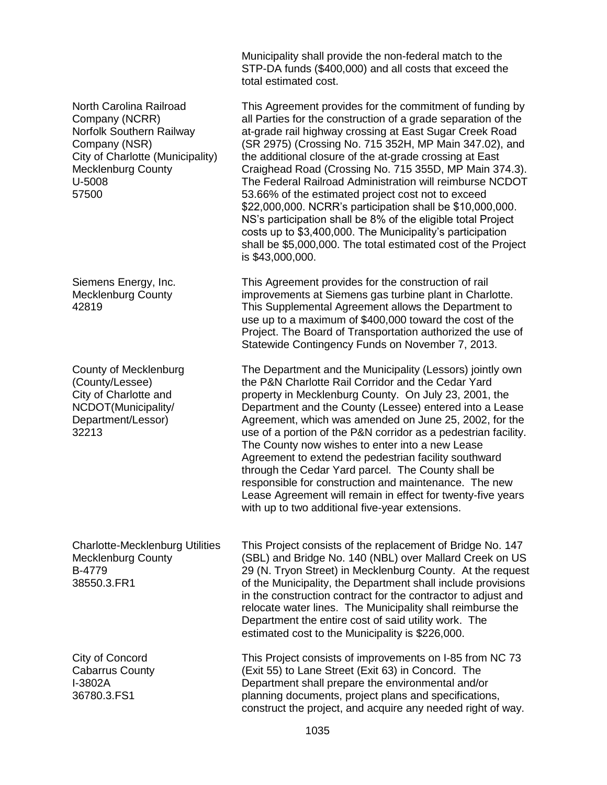|                                                                                                                                                                            | Municipality shall provide the non-federal match to the<br>STP-DA funds (\$400,000) and all costs that exceed the<br>total estimated cost.                                                                                                                                                                                                                                                                                                                                                                                                                                                                                                                                                                                                                           |
|----------------------------------------------------------------------------------------------------------------------------------------------------------------------------|----------------------------------------------------------------------------------------------------------------------------------------------------------------------------------------------------------------------------------------------------------------------------------------------------------------------------------------------------------------------------------------------------------------------------------------------------------------------------------------------------------------------------------------------------------------------------------------------------------------------------------------------------------------------------------------------------------------------------------------------------------------------|
| North Carolina Railroad<br>Company (NCRR)<br>Norfolk Southern Railway<br>Company (NSR)<br>City of Charlotte (Municipality)<br><b>Mecklenburg County</b><br>U-5008<br>57500 | This Agreement provides for the commitment of funding by<br>all Parties for the construction of a grade separation of the<br>at-grade rail highway crossing at East Sugar Creek Road<br>(SR 2975) (Crossing No. 715 352H, MP Main 347.02), and<br>the additional closure of the at-grade crossing at East<br>Craighead Road (Crossing No. 715 355D, MP Main 374.3).<br>The Federal Railroad Administration will reimburse NCDOT<br>53.66% of the estimated project cost not to exceed<br>\$22,000,000. NCRR's participation shall be \$10,000,000.<br>NS's participation shall be 8% of the eligible total Project<br>costs up to \$3,400,000. The Municipality's participation<br>shall be \$5,000,000. The total estimated cost of the Project<br>is \$43,000,000. |
| Siemens Energy, Inc.<br><b>Mecklenburg County</b><br>42819                                                                                                                 | This Agreement provides for the construction of rail<br>improvements at Siemens gas turbine plant in Charlotte.<br>This Supplemental Agreement allows the Department to<br>use up to a maximum of \$400,000 toward the cost of the<br>Project. The Board of Transportation authorized the use of<br>Statewide Contingency Funds on November 7, 2013.                                                                                                                                                                                                                                                                                                                                                                                                                 |
| County of Mecklenburg<br>(County/Lessee)<br>City of Charlotte and<br>NCDOT(Municipality/<br>Department/Lessor)<br>32213                                                    | The Department and the Municipality (Lessors) jointly own<br>the P&N Charlotte Rail Corridor and the Cedar Yard<br>property in Mecklenburg County. On July 23, 2001, the<br>Department and the County (Lessee) entered into a Lease<br>Agreement, which was amended on June 25, 2002, for the<br>use of a portion of the P&N corridor as a pedestrian facility.<br>The County now wishes to enter into a new Lease<br>Agreement to extend the pedestrian facility southward<br>through the Cedar Yard parcel. The County shall be<br>responsible for construction and maintenance. The new<br>Lease Agreement will remain in effect for twenty-five years<br>with up to two additional five-year extensions.                                                         |
| <b>Charlotte-Mecklenburg Utilities</b><br><b>Mecklenburg County</b><br>B-4779<br>38550.3.FR1                                                                               | This Project consists of the replacement of Bridge No. 147<br>(SBL) and Bridge No. 140 (NBL) over Mallard Creek on US<br>29 (N. Tryon Street) in Mecklenburg County. At the request<br>of the Municipality, the Department shall include provisions<br>in the construction contract for the contractor to adjust and<br>relocate water lines. The Municipality shall reimburse the<br>Department the entire cost of said utility work. The<br>estimated cost to the Municipality is \$226,000.                                                                                                                                                                                                                                                                       |
| City of Concord<br><b>Cabarrus County</b><br>I-3802A<br>36780.3.FS1                                                                                                        | This Project consists of improvements on I-85 from NC 73<br>(Exit 55) to Lane Street (Exit 63) in Concord. The<br>Department shall prepare the environmental and/or<br>planning documents, project plans and specifications,<br>construct the project, and acquire any needed right of way.                                                                                                                                                                                                                                                                                                                                                                                                                                                                          |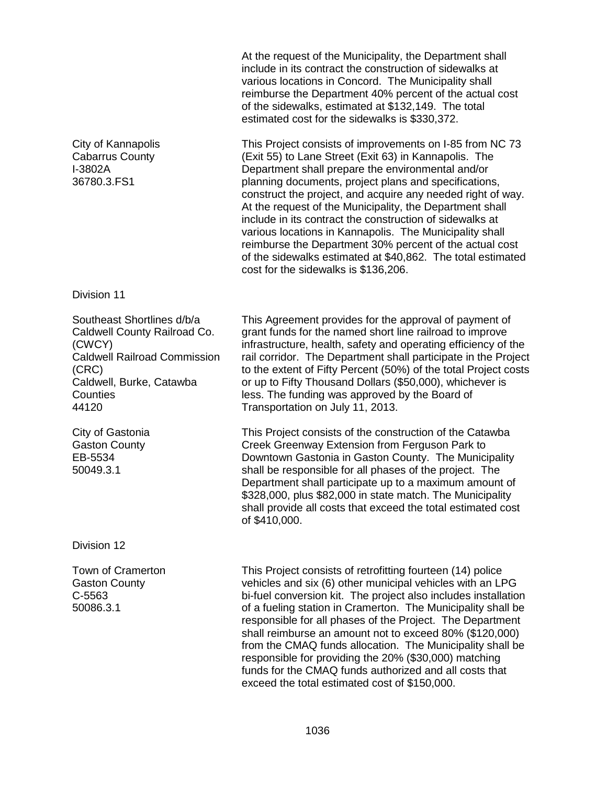At the request of the Municipality, the Department shall include in its contract the construction of sidewalks at various locations in Concord. The Municipality shall reimburse the Department 40% percent of the actual cost of the sidewalks, estimated at \$132,149. The total estimated cost for the sidewalks is \$330,372.

This Project consists of improvements on I-85 from NC 73 (Exit 55) to Lane Street (Exit 63) in Kannapolis. The Department shall prepare the environmental and/or planning documents, project plans and specifications, construct the project, and acquire any needed right of way. At the request of the Municipality, the Department shall include in its contract the construction of sidewalks at various locations in Kannapolis. The Municipality shall reimburse the Department 30% percent of the actual cost of the sidewalks estimated at \$40,862. The total estimated cost for the sidewalks is \$136,206.

#### Division 11

City of Kannapolis Cabarrus County

I-3802A 36780.3.FS1

Southeast Shortlines d/b/a Caldwell County Railroad Co. (CWCY) Caldwell Railroad Commission (CRC) Caldwell, Burke, Catawba Counties 44120

City of Gastonia Gaston County EB-5534 50049.3.1

Division 12

Town of Cramerton Gaston County C-5563 50086.3.1

This Agreement provides for the approval of payment of grant funds for the named short line railroad to improve infrastructure, health, safety and operating efficiency of the rail corridor. The Department shall participate in the Project to the extent of Fifty Percent (50%) of the total Project costs or up to Fifty Thousand Dollars (\$50,000), whichever is less. The funding was approved by the Board of Transportation on July 11, 2013.

This Project consists of the construction of the Catawba Creek Greenway Extension from Ferguson Park to Downtown Gastonia in Gaston County. The Municipality shall be responsible for all phases of the project. The Department shall participate up to a maximum amount of \$328,000, plus \$82,000 in state match. The Municipality shall provide all costs that exceed the total estimated cost of \$410,000.

This Project consists of retrofitting fourteen (14) police vehicles and six (6) other municipal vehicles with an LPG bi-fuel conversion kit. The project also includes installation of a fueling station in Cramerton. The Municipality shall be responsible for all phases of the Project. The Department shall reimburse an amount not to exceed 80% (\$120,000) from the CMAQ funds allocation. The Municipality shall be responsible for providing the 20% (\$30,000) matching funds for the CMAQ funds authorized and all costs that exceed the total estimated cost of \$150,000.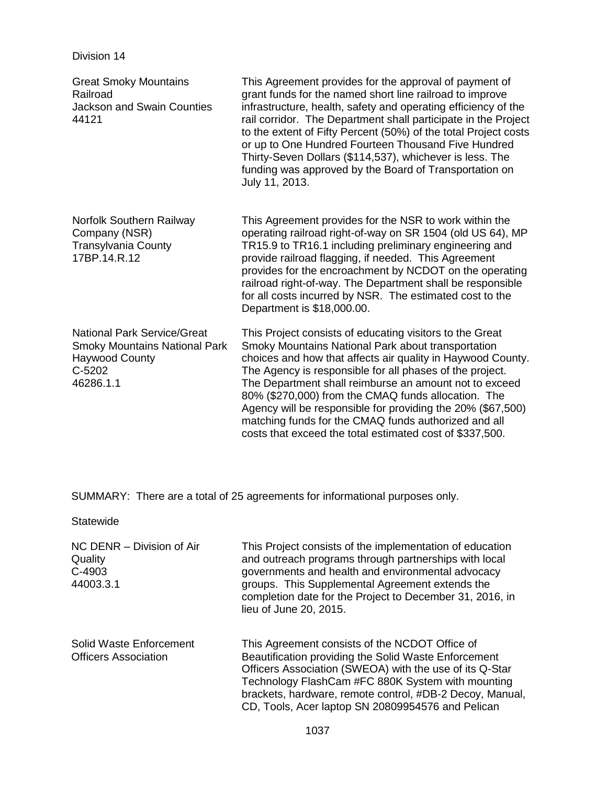Division 14

| <b>Great Smoky Mountains</b><br>Railroad<br><b>Jackson and Swain Counties</b><br>44121                                     | This Agreement provides for the approval of payment of<br>grant funds for the named short line railroad to improve<br>infrastructure, health, safety and operating efficiency of the<br>rail corridor. The Department shall participate in the Project<br>to the extent of Fifty Percent (50%) of the total Project costs<br>or up to One Hundred Fourteen Thousand Five Hundred<br>Thirty-Seven Dollars (\$114,537), whichever is less. The<br>funding was approved by the Board of Transportation on<br>July 11, 2013.                      |
|----------------------------------------------------------------------------------------------------------------------------|-----------------------------------------------------------------------------------------------------------------------------------------------------------------------------------------------------------------------------------------------------------------------------------------------------------------------------------------------------------------------------------------------------------------------------------------------------------------------------------------------------------------------------------------------|
| Norfolk Southern Railway<br>Company (NSR)<br><b>Transylvania County</b><br>17BP.14.R.12                                    | This Agreement provides for the NSR to work within the<br>operating railroad right-of-way on SR 1504 (old US 64), MP<br>TR15.9 to TR16.1 including preliminary engineering and<br>provide railroad flagging, if needed. This Agreement<br>provides for the encroachment by NCDOT on the operating<br>railroad right-of-way. The Department shall be responsible<br>for all costs incurred by NSR. The estimated cost to the<br>Department is \$18,000.00.                                                                                     |
| <b>National Park Service/Great</b><br><b>Smoky Mountains National Park</b><br><b>Haywood County</b><br>C-5202<br>46286.1.1 | This Project consists of educating visitors to the Great<br>Smoky Mountains National Park about transportation<br>choices and how that affects air quality in Haywood County.<br>The Agency is responsible for all phases of the project.<br>The Department shall reimburse an amount not to exceed<br>80% (\$270,000) from the CMAQ funds allocation. The<br>Agency will be responsible for providing the 20% (\$67,500)<br>matching funds for the CMAQ funds authorized and all<br>costs that exceed the total estimated cost of \$337,500. |

SUMMARY: There are a total of 25 agreements for informational purposes only.

**Statewide** 

| NC DENR - Division of Air<br>Quality<br>C-4903<br>44003.3.1 | This Project consists of the implementation of education<br>and outreach programs through partnerships with local<br>governments and health and environmental advocacy<br>groups. This Supplemental Agreement extends the<br>completion date for the Project to December 31, 2016, in<br>lieu of June 20, 2015.                         |
|-------------------------------------------------------------|-----------------------------------------------------------------------------------------------------------------------------------------------------------------------------------------------------------------------------------------------------------------------------------------------------------------------------------------|
| Solid Waste Enforcement<br><b>Officers Association</b>      | This Agreement consists of the NCDOT Office of<br>Beautification providing the Solid Waste Enforcement<br>Officers Association (SWEOA) with the use of its Q-Star<br>Technology FlashCam #FC 880K System with mounting<br>brackets, hardware, remote control, #DB-2 Decoy, Manual,<br>CD, Tools, Acer laptop SN 20809954576 and Pelican |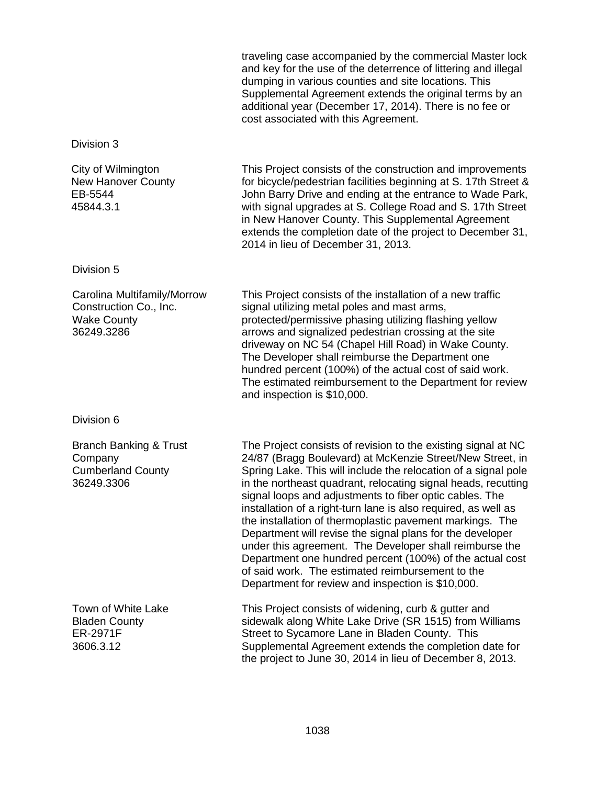|                                                                                           | traveling case accompanied by the commercial Master lock<br>and key for the use of the deterrence of littering and illegal<br>dumping in various counties and site locations. This<br>Supplemental Agreement extends the original terms by an<br>additional year (December 17, 2014). There is no fee or<br>cost associated with this Agreement.                                                                                                                                                                                                                                                                                                                                                                                                    |  |
|-------------------------------------------------------------------------------------------|-----------------------------------------------------------------------------------------------------------------------------------------------------------------------------------------------------------------------------------------------------------------------------------------------------------------------------------------------------------------------------------------------------------------------------------------------------------------------------------------------------------------------------------------------------------------------------------------------------------------------------------------------------------------------------------------------------------------------------------------------------|--|
| Division 3                                                                                |                                                                                                                                                                                                                                                                                                                                                                                                                                                                                                                                                                                                                                                                                                                                                     |  |
| City of Wilmington<br><b>New Hanover County</b><br>EB-5544<br>45844.3.1                   | This Project consists of the construction and improvements<br>for bicycle/pedestrian facilities beginning at S. 17th Street &<br>John Barry Drive and ending at the entrance to Wade Park,<br>with signal upgrades at S. College Road and S. 17th Street<br>in New Hanover County. This Supplemental Agreement<br>extends the completion date of the project to December 31,<br>2014 in lieu of December 31, 2013.                                                                                                                                                                                                                                                                                                                                  |  |
| Division 5                                                                                |                                                                                                                                                                                                                                                                                                                                                                                                                                                                                                                                                                                                                                                                                                                                                     |  |
| Carolina Multifamily/Morrow<br>Construction Co., Inc.<br><b>Wake County</b><br>36249.3286 | This Project consists of the installation of a new traffic<br>signal utilizing metal poles and mast arms,<br>protected/permissive phasing utilizing flashing yellow<br>arrows and signalized pedestrian crossing at the site<br>driveway on NC 54 (Chapel Hill Road) in Wake County.<br>The Developer shall reimburse the Department one<br>hundred percent (100%) of the actual cost of said work.<br>The estimated reimbursement to the Department for review<br>and inspection is \$10,000.                                                                                                                                                                                                                                                      |  |
| Division 6                                                                                |                                                                                                                                                                                                                                                                                                                                                                                                                                                                                                                                                                                                                                                                                                                                                     |  |
| <b>Branch Banking &amp; Trust</b><br>Company<br><b>Cumberland County</b><br>36249.3306    | The Project consists of revision to the existing signal at NC<br>24/87 (Bragg Boulevard) at McKenzie Street/New Street, in<br>Spring Lake. This will include the relocation of a signal pole<br>in the northeast quadrant, relocating signal heads, recutting<br>signal loops and adjustments to fiber optic cables. The<br>installation of a right-turn lane is also required, as well as<br>the installation of thermoplastic pavement markings. The<br>Department will revise the signal plans for the developer<br>under this agreement. The Developer shall reimburse the<br>Department one hundred percent (100%) of the actual cost<br>of said work. The estimated reimbursement to the<br>Department for review and inspection is \$10,000. |  |
| Town of White Lake<br><b>Bladen County</b><br>ER-2971F<br>3606.3.12                       | This Project consists of widening, curb & gutter and<br>sidewalk along White Lake Drive (SR 1515) from Williams<br>Street to Sycamore Lane in Bladen County. This<br>Supplemental Agreement extends the completion date for<br>the project to June 30, 2014 in lieu of December 8, 2013.                                                                                                                                                                                                                                                                                                                                                                                                                                                            |  |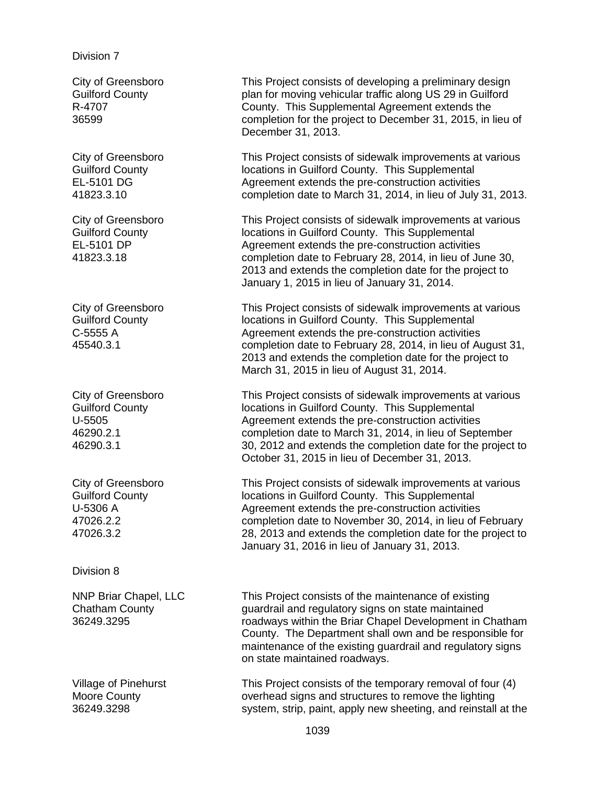#### Division 7

City of Greensboro Guilford County R-4707 36599

City of Greensboro Guilford County EL-5101 DG 41823.3.10

City of Greensboro Guilford County EL-5101 DP 41823.3.18

City of Greensboro Guilford County C-5555 A 45540.3.1

City of Greensboro Guilford County U-5505 46290.2.1 46290.3.1

City of Greensboro Guilford County U-5306 A 47026.2.2 47026.3.2

Division 8

NNP Briar Chapel, LLC Chatham County 36249.3295

Village of Pinehurst Moore County 36249.3298

This Project consists of developing a preliminary design plan for moving vehicular traffic along US 29 in Guilford County. This Supplemental Agreement extends the completion for the project to December 31, 2015, in lieu of December 31, 2013.

This Project consists of sidewalk improvements at various locations in Guilford County. This Supplemental Agreement extends the pre-construction activities completion date to March 31, 2014, in lieu of July 31, 2013.

This Project consists of sidewalk improvements at various locations in Guilford County. This Supplemental Agreement extends the pre-construction activities completion date to February 28, 2014, in lieu of June 30, 2013 and extends the completion date for the project to January 1, 2015 in lieu of January 31, 2014.

This Project consists of sidewalk improvements at various locations in Guilford County. This Supplemental Agreement extends the pre-construction activities completion date to February 28, 2014, in lieu of August 31, 2013 and extends the completion date for the project to March 31, 2015 in lieu of August 31, 2014.

This Project consists of sidewalk improvements at various locations in Guilford County. This Supplemental Agreement extends the pre-construction activities completion date to March 31, 2014, in lieu of September 30, 2012 and extends the completion date for the project to October 31, 2015 in lieu of December 31, 2013.

This Project consists of sidewalk improvements at various locations in Guilford County. This Supplemental Agreement extends the pre-construction activities completion date to November 30, 2014, in lieu of February 28, 2013 and extends the completion date for the project to January 31, 2016 in lieu of January 31, 2013.

This Project consists of the maintenance of existing guardrail and regulatory signs on state maintained roadways within the Briar Chapel Development in Chatham County. The Department shall own and be responsible for maintenance of the existing guardrail and regulatory signs on state maintained roadways.

This Project consists of the temporary removal of four (4) overhead signs and structures to remove the lighting system, strip, paint, apply new sheeting, and reinstall at the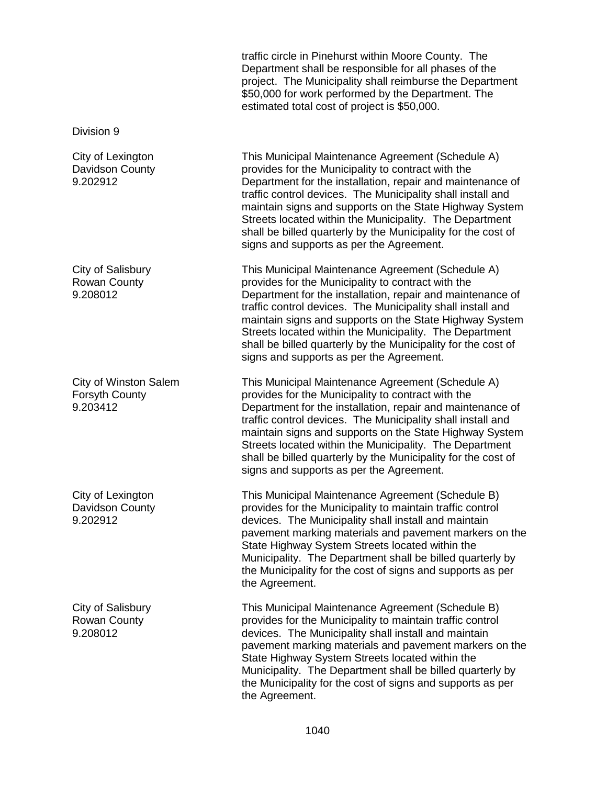traffic circle in Pinehurst within Moore County. The Department shall be responsible for all phases of the project. The Municipality shall reimburse the Department \$50,000 for work performed by the Department. The estimated total cost of project is \$50,000. Division 9 City of Lexington Davidson County 9.202912 This Municipal Maintenance Agreement (Schedule A) provides for the Municipality to contract with the Department for the installation, repair and maintenance of traffic control devices. The Municipality shall install and maintain signs and supports on the State Highway System Streets located within the Municipality. The Department shall be billed quarterly by the Municipality for the cost of signs and supports as per the Agreement. City of Salisbury Rowan County 9.208012 This Municipal Maintenance Agreement (Schedule A) provides for the Municipality to contract with the Department for the installation, repair and maintenance of traffic control devices. The Municipality shall install and maintain signs and supports on the State Highway System Streets located within the Municipality. The Department shall be billed quarterly by the Municipality for the cost of signs and supports as per the Agreement. City of Winston Salem Forsyth County 9.203412 This Municipal Maintenance Agreement (Schedule A) provides for the Municipality to contract with the Department for the installation, repair and maintenance of traffic control devices. The Municipality shall install and maintain signs and supports on the State Highway System Streets located within the Municipality. The Department shall be billed quarterly by the Municipality for the cost of signs and supports as per the Agreement. City of Lexington Davidson County 9.202912 This Municipal Maintenance Agreement (Schedule B) provides for the Municipality to maintain traffic control devices. The Municipality shall install and maintain pavement marking materials and pavement markers on the State Highway System Streets located within the Municipality. The Department shall be billed quarterly by the Municipality for the cost of signs and supports as per the Agreement. City of Salisbury Rowan County 9.208012 This Municipal Maintenance Agreement (Schedule B) provides for the Municipality to maintain traffic control devices. The Municipality shall install and maintain pavement marking materials and pavement markers on the State Highway System Streets located within the Municipality. The Department shall be billed quarterly by the Municipality for the cost of signs and supports as per the Agreement.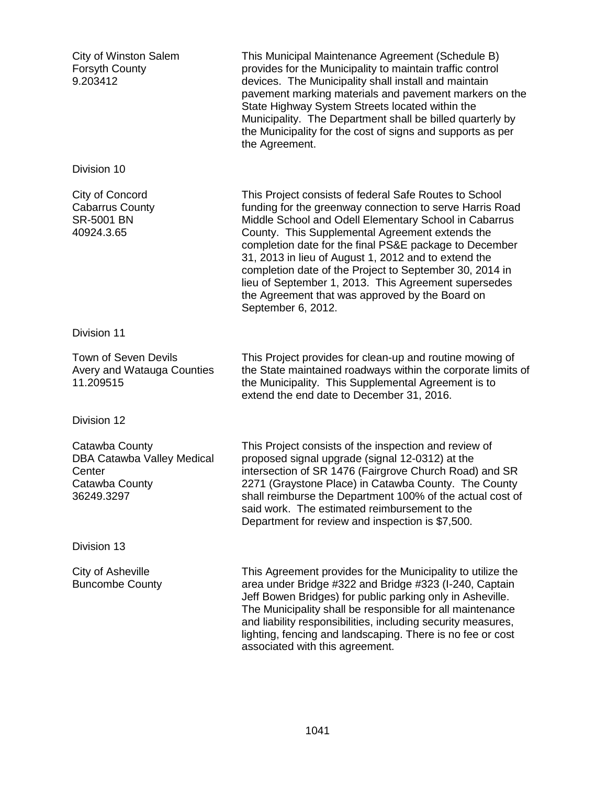| <b>City of Winston Salem</b><br><b>Forsyth County</b><br>9.203412                      | This Municipal Maintenance Agreement (Schedule B)<br>provides for the Municipality to maintain traffic control<br>devices. The Municipality shall install and maintain<br>pavement marking materials and pavement markers on the<br>State Highway System Streets located within the<br>Municipality. The Department shall be billed quarterly by<br>the Municipality for the cost of signs and supports as per<br>the Agreement.                                                                                                             |
|----------------------------------------------------------------------------------------|----------------------------------------------------------------------------------------------------------------------------------------------------------------------------------------------------------------------------------------------------------------------------------------------------------------------------------------------------------------------------------------------------------------------------------------------------------------------------------------------------------------------------------------------|
| Division 10                                                                            |                                                                                                                                                                                                                                                                                                                                                                                                                                                                                                                                              |
| City of Concord<br><b>Cabarrus County</b><br>SR-5001 BN<br>40924.3.65                  | This Project consists of federal Safe Routes to School<br>funding for the greenway connection to serve Harris Road<br>Middle School and Odell Elementary School in Cabarrus<br>County. This Supplemental Agreement extends the<br>completion date for the final PS&E package to December<br>31, 2013 in lieu of August 1, 2012 and to extend the<br>completion date of the Project to September 30, 2014 in<br>lieu of September 1, 2013. This Agreement supersedes<br>the Agreement that was approved by the Board on<br>September 6, 2012. |
| Division 11                                                                            |                                                                                                                                                                                                                                                                                                                                                                                                                                                                                                                                              |
| <b>Town of Seven Devils</b><br><b>Avery and Watauga Counties</b><br>11.209515          | This Project provides for clean-up and routine mowing of<br>the State maintained roadways within the corporate limits of<br>the Municipality. This Supplemental Agreement is to<br>extend the end date to December 31, 2016.                                                                                                                                                                                                                                                                                                                 |
| Division 12                                                                            |                                                                                                                                                                                                                                                                                                                                                                                                                                                                                                                                              |
| Catawba County<br>DBA Catawba Valley Medical<br>Center<br>Catawba County<br>36249.3297 | This Project consists of the inspection and review of<br>proposed signal upgrade (signal 12-0312) at the<br>intersection of SR 1476 (Fairgrove Church Road) and SR<br>2271 (Graystone Place) in Catawba County. The County<br>shall reimburse the Department 100% of the actual cost of<br>said work. The estimated reimbursement to the<br>Department for review and inspection is \$7,500.                                                                                                                                                 |
| Division 13                                                                            |                                                                                                                                                                                                                                                                                                                                                                                                                                                                                                                                              |
| City of Asheville<br><b>Buncombe County</b>                                            | This Agreement provides for the Municipality to utilize the<br>area under Bridge #322 and Bridge #323 (I-240, Captain<br>Jeff Bowen Bridges) for public parking only in Asheville.<br>The Municipality shall be responsible for all maintenance<br>and liability responsibilities, including security measures,<br>lighting, fencing and landscaping. There is no fee or cost<br>associated with this agreement.                                                                                                                             |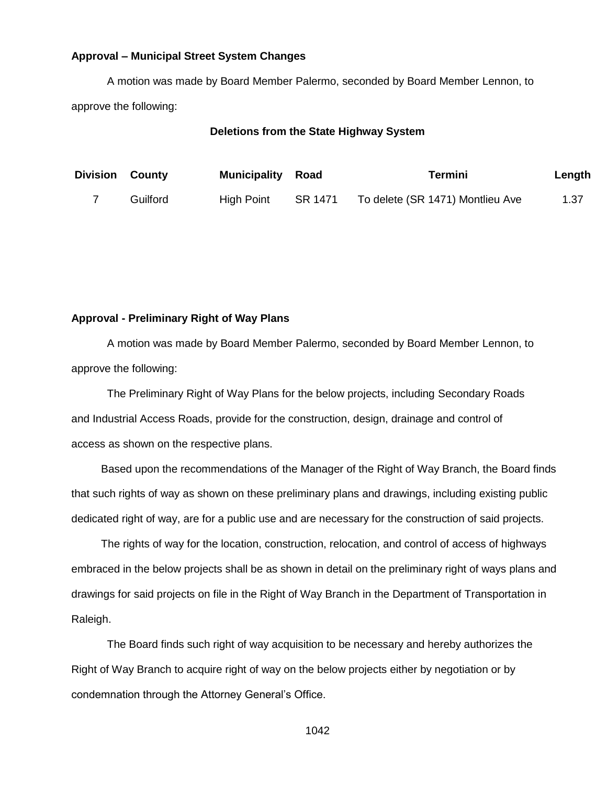#### **Approval – Municipal Street System Changes**

A motion was made by Board Member Palermo, seconded by Board Member Lennon, to approve the following:

#### **Deletions from the State Highway System**

| <b>Division County</b> |          | <b>Municipality Road</b> |         | Termini                          | Length |
|------------------------|----------|--------------------------|---------|----------------------------------|--------|
|                        | Guilford | High Point               | SR 1471 | To delete (SR 1471) Montlieu Ave | 1.37   |

### **Approval - Preliminary Right of Way Plans**

A motion was made by Board Member Palermo, seconded by Board Member Lennon, to approve the following:

The Preliminary Right of Way Plans for the below projects, including Secondary Roads and Industrial Access Roads, provide for the construction, design, drainage and control of access as shown on the respective plans.

Based upon the recommendations of the Manager of the Right of Way Branch, the Board finds that such rights of way as shown on these preliminary plans and drawings, including existing public dedicated right of way, are for a public use and are necessary for the construction of said projects.

The rights of way for the location, construction, relocation, and control of access of highways embraced in the below projects shall be as shown in detail on the preliminary right of ways plans and drawings for said projects on file in the Right of Way Branch in the Department of Transportation in Raleigh.

The Board finds such right of way acquisition to be necessary and hereby authorizes the Right of Way Branch to acquire right of way on the below projects either by negotiation or by condemnation through the Attorney General's Office.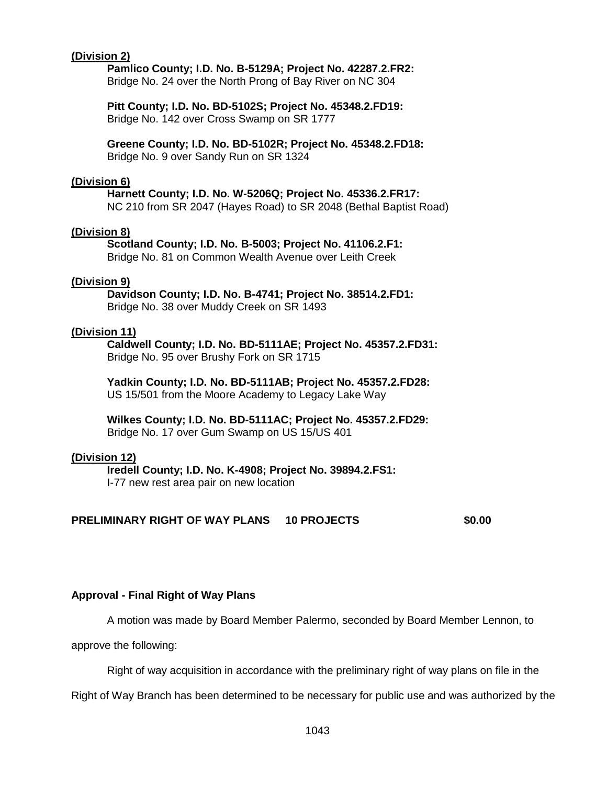### **(Division 2)**

**Pamlico County; I.D. No. B-5129A; Project No. 42287.2.FR2:** Bridge No. 24 over the North Prong of Bay River on NC 304

**Pitt County; I.D. No. BD-5102S; Project No. 45348.2.FD19:** Bridge No. 142 over Cross Swamp on SR 1777

**Greene County; I.D. No. BD-5102R; Project No. 45348.2.FD18:** Bridge No. 9 over Sandy Run on SR 1324

#### **(Division 6)**

**Harnett County; I.D. No. W-5206Q; Project No. 45336.2.FR17:** NC 210 from SR 2047 (Hayes Road) to SR 2048 (Bethal Baptist Road)

#### **(Division 8)**

**Scotland County; I.D. No. B-5003; Project No. 41106.2.F1:** Bridge No. 81 on Common Wealth Avenue over Leith Creek

#### **(Division 9)**

**Davidson County; I.D. No. B-4741; Project No. 38514.2.FD1:** Bridge No. 38 over Muddy Creek on SR 1493

#### **(Division 11)**

**Caldwell County; I.D. No. BD-5111AE; Project No. 45357.2.FD31:** Bridge No. 95 over Brushy Fork on SR 1715

**Yadkin County; I.D. No. BD-5111AB; Project No. 45357.2.FD28:** US 15/501 from the Moore Academy to Legacy Lake Way

**Wilkes County; I.D. No. BD-5111AC; Project No. 45357.2.FD29:** Bridge No. 17 over Gum Swamp on US 15/US 401

#### **(Division 12)**

**Iredell County; I.D. No. K-4908; Project No. 39894.2.FS1:** I-77 new rest area pair on new location

#### **PRELIMINARY RIGHT OF WAY PLANS 10 PROJECTS \$0.00**

#### **Approval - Final Right of Way Plans**

A motion was made by Board Member Palermo, seconded by Board Member Lennon, to

approve the following:

Right of way acquisition in accordance with the preliminary right of way plans on file in the

Right of Way Branch has been determined to be necessary for public use and was authorized by the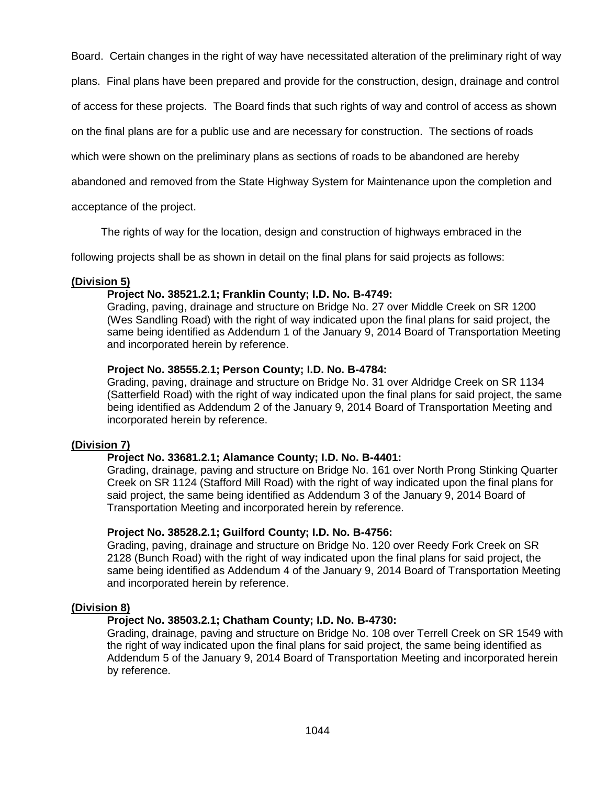Board. Certain changes in the right of way have necessitated alteration of the preliminary right of way

plans. Final plans have been prepared and provide for the construction, design, drainage and control

of access for these projects. The Board finds that such rights of way and control of access as shown

on the final plans are for a public use and are necessary for construction. The sections of roads

which were shown on the preliminary plans as sections of roads to be abandoned are hereby

abandoned and removed from the State Highway System for Maintenance upon the completion and

acceptance of the project.

The rights of way for the location, design and construction of highways embraced in the

following projects shall be as shown in detail on the final plans for said projects as follows:

#### **(Division 5)**

#### **Project No. 38521.2.1; Franklin County; I.D. No. B-4749:**

Grading, paving, drainage and structure on Bridge No. 27 over Middle Creek on SR 1200 (Wes Sandling Road) with the right of way indicated upon the final plans for said project, the same being identified as Addendum 1 of the January 9, 2014 Board of Transportation Meeting and incorporated herein by reference.

#### **Project No. 38555.2.1; Person County; I.D. No. B-4784:**

Grading, paving, drainage and structure on Bridge No. 31 over Aldridge Creek on SR 1134 (Satterfield Road) with the right of way indicated upon the final plans for said project, the same being identified as Addendum 2 of the January 9, 2014 Board of Transportation Meeting and incorporated herein by reference.

#### **(Division 7)**

#### **Project No. 33681.2.1; Alamance County; I.D. No. B-4401:**

Grading, drainage, paving and structure on Bridge No. 161 over North Prong Stinking Quarter Creek on SR 1124 (Stafford Mill Road) with the right of way indicated upon the final plans for said project, the same being identified as Addendum 3 of the January 9, 2014 Board of Transportation Meeting and incorporated herein by reference.

#### **Project No. 38528.2.1; Guilford County; I.D. No. B-4756:**

Grading, paving, drainage and structure on Bridge No. 120 over Reedy Fork Creek on SR 2128 (Bunch Road) with the right of way indicated upon the final plans for said project, the same being identified as Addendum 4 of the January 9, 2014 Board of Transportation Meeting and incorporated herein by reference.

#### **(Division 8)**

### **Project No. 38503.2.1; Chatham County; I.D. No. B-4730:**

Grading, drainage, paving and structure on Bridge No. 108 over Terrell Creek on SR 1549 with the right of way indicated upon the final plans for said project, the same being identified as Addendum 5 of the January 9, 2014 Board of Transportation Meeting and incorporated herein by reference.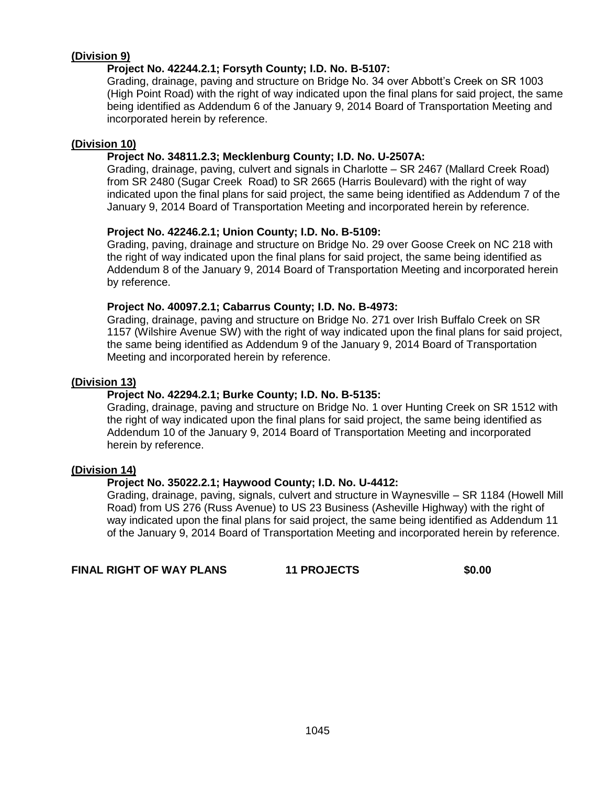### **(Division 9)**

### **Project No. 42244.2.1; Forsyth County; I.D. No. B-5107:**

Grading, drainage, paving and structure on Bridge No. 34 over Abbott's Creek on SR 1003 (High Point Road) with the right of way indicated upon the final plans for said project, the same being identified as Addendum 6 of the January 9, 2014 Board of Transportation Meeting and incorporated herein by reference.

#### **(Division 10)**

#### **Project No. 34811.2.3; Mecklenburg County; I.D. No. U-2507A:**

Grading, drainage, paving, culvert and signals in Charlotte – SR 2467 (Mallard Creek Road) from SR 2480 (Sugar Creek Road) to SR 2665 (Harris Boulevard) with the right of way indicated upon the final plans for said project, the same being identified as Addendum 7 of the January 9, 2014 Board of Transportation Meeting and incorporated herein by reference.

#### **Project No. 42246.2.1; Union County; I.D. No. B-5109:**

Grading, paving, drainage and structure on Bridge No. 29 over Goose Creek on NC 218 with the right of way indicated upon the final plans for said project, the same being identified as Addendum 8 of the January 9, 2014 Board of Transportation Meeting and incorporated herein by reference.

#### **Project No. 40097.2.1; Cabarrus County; I.D. No. B-4973:**

Grading, drainage, paving and structure on Bridge No. 271 over Irish Buffalo Creek on SR 1157 (Wilshire Avenue SW) with the right of way indicated upon the final plans for said project, the same being identified as Addendum 9 of the January 9, 2014 Board of Transportation Meeting and incorporated herein by reference.

#### **(Division 13)**

### **Project No. 42294.2.1; Burke County; I.D. No. B-5135:**

Grading, drainage, paving and structure on Bridge No. 1 over Hunting Creek on SR 1512 with the right of way indicated upon the final plans for said project, the same being identified as Addendum 10 of the January 9, 2014 Board of Transportation Meeting and incorporated herein by reference.

#### **(Division 14)**

#### **Project No. 35022.2.1; Haywood County; I.D. No. U-4412:**

Grading, drainage, paving, signals, culvert and structure in Waynesville – SR 1184 (Howell Mill Road) from US 276 (Russ Avenue) to US 23 Business (Asheville Highway) with the right of way indicated upon the final plans for said project, the same being identified as Addendum 11 of the January 9, 2014 Board of Transportation Meeting and incorporated herein by reference.

## **FINAL RIGHT OF WAY PLANS 11 PROJECTS \$0.00**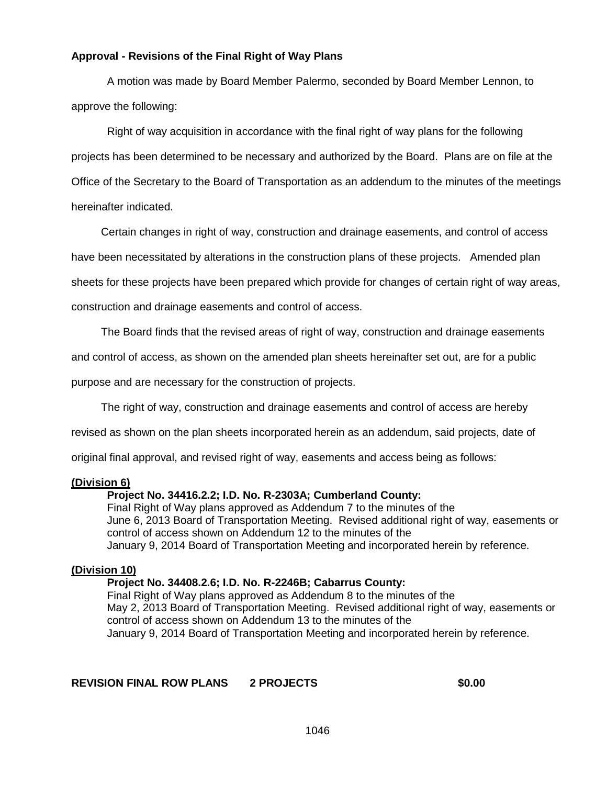### **Approval - Revisions of the Final Right of Way Plans**

A motion was made by Board Member Palermo, seconded by Board Member Lennon, to approve the following:

Right of way acquisition in accordance with the final right of way plans for the following projects has been determined to be necessary and authorized by the Board. Plans are on file at the Office of the Secretary to the Board of Transportation as an addendum to the minutes of the meetings hereinafter indicated.

Certain changes in right of way, construction and drainage easements, and control of access

have been necessitated by alterations in the construction plans of these projects. Amended plan

sheets for these projects have been prepared which provide for changes of certain right of way areas,

construction and drainage easements and control of access.

The Board finds that the revised areas of right of way, construction and drainage easements

and control of access, as shown on the amended plan sheets hereinafter set out, are for a public

purpose and are necessary for the construction of projects.

The right of way, construction and drainage easements and control of access are hereby

revised as shown on the plan sheets incorporated herein as an addendum, said projects, date of

original final approval, and revised right of way, easements and access being as follows:

#### **(Division 6)**

#### **Project No. 34416.2.2; I.D. No. R-2303A; Cumberland County:**

Final Right of Way plans approved as Addendum 7 to the minutes of the June 6, 2013 Board of Transportation Meeting. Revised additional right of way, easements or control of access shown on Addendum 12 to the minutes of the January 9, 2014 Board of Transportation Meeting and incorporated herein by reference.

#### **(Division 10)**

#### **Project No. 34408.2.6; I.D. No. R-2246B; Cabarrus County:**

Final Right of Way plans approved as Addendum 8 to the minutes of the May 2, 2013 Board of Transportation Meeting. Revised additional right of way, easements or control of access shown on Addendum 13 to the minutes of the January 9, 2014 Board of Transportation Meeting and incorporated herein by reference.

**REVISION FINAL ROW PLANS 2 PROJECTS \$0.00**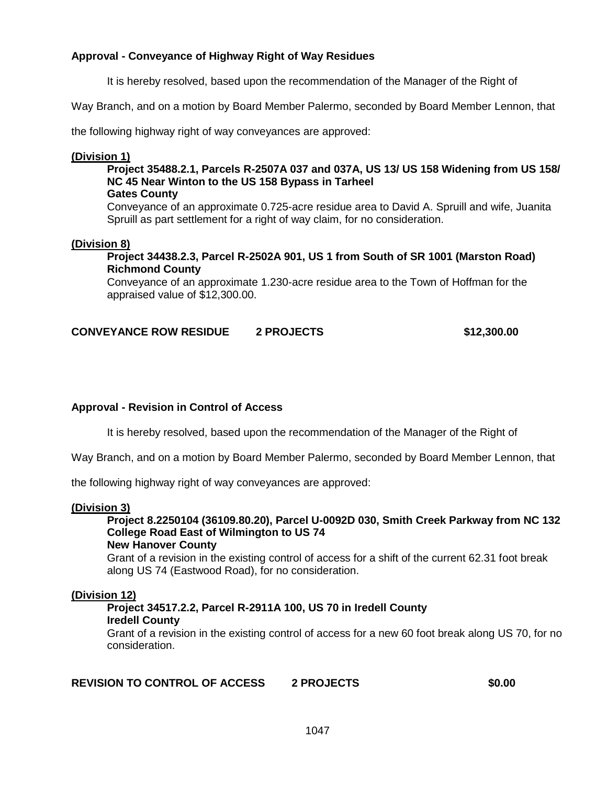### **Approval - Conveyance of Highway Right of Way Residues**

It is hereby resolved, based upon the recommendation of the Manager of the Right of

Way Branch, and on a motion by Board Member Palermo, seconded by Board Member Lennon, that

the following highway right of way conveyances are approved:

#### **(Division 1)**

## **Project 35488.2.1, Parcels R-2507A 037 and 037A, US 13/ US 158 Widening from US 158/ NC 45 Near Winton to the US 158 Bypass in Tarheel**

#### **Gates County**

Conveyance of an approximate 0.725-acre residue area to David A. Spruill and wife, Juanita Spruill as part settlement for a right of way claim, for no consideration.

#### **(Division 8)**

**Project 34438.2.3, Parcel R-2502A 901, US 1 from South of SR 1001 (Marston Road) Richmond County**

Conveyance of an approximate 1.230-acre residue area to the Town of Hoffman for the appraised value of \$12,300.00.

### **CONVEYANCE ROW RESIDUE 2 PROJECTS \$12,300.00**

### **Approval - Revision in Control of Access**

It is hereby resolved, based upon the recommendation of the Manager of the Right of

Way Branch, and on a motion by Board Member Palermo, seconded by Board Member Lennon, that

the following highway right of way conveyances are approved:

#### **(Division 3)**

**Project 8.2250104 (36109.80.20), Parcel U-0092D 030, Smith Creek Parkway from NC 132 College Road East of Wilmington to US 74**

#### **New Hanover County**

Grant of a revision in the existing control of access for a shift of the current 62.31 foot break along US 74 (Eastwood Road), for no consideration.

#### **(Division 12)**

#### **Project 34517.2.2, Parcel R-2911A 100, US 70 in Iredell County Iredell County**

Grant of a revision in the existing control of access for a new 60 foot break along US 70, for no consideration.

### **REVISION TO CONTROL OF ACCESS 2 PROJECTS \$0.00**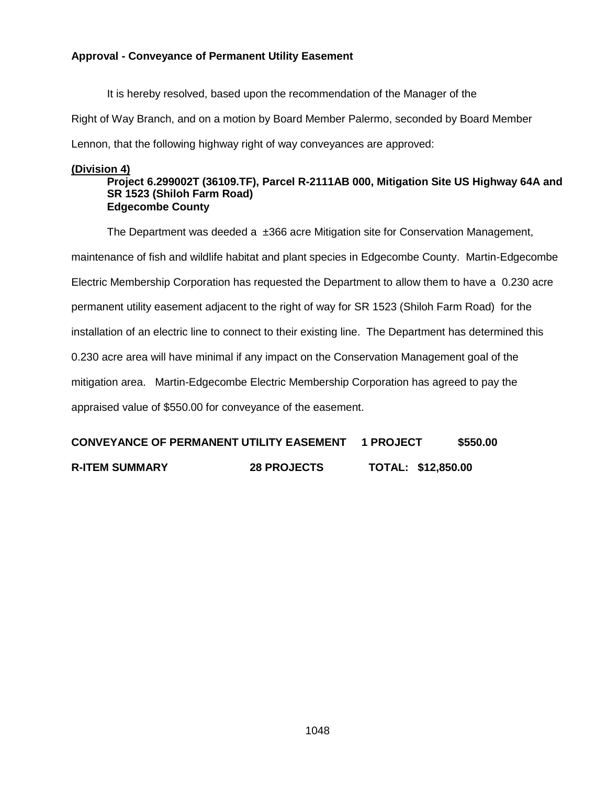### **Approval - Conveyance of Permanent Utility Easement**

It is hereby resolved, based upon the recommendation of the Manager of the

Right of Way Branch, and on a motion by Board Member Palermo, seconded by Board Member

Lennon, that the following highway right of way conveyances are approved:

#### **(Division 4)**

#### **Project 6.299002T (36109.TF), Parcel R-2111AB 000, Mitigation Site US Highway 64A and SR 1523 (Shiloh Farm Road) Edgecombe County**

The Department was deeded a  $\pm 366$  acre Mitigation site for Conservation Management, maintenance of fish and wildlife habitat and plant species in Edgecombe County. Martin-Edgecombe Electric Membership Corporation has requested the Department to allow them to have a 0.230 acre permanent utility easement adjacent to the right of way for SR 1523 (Shiloh Farm Road) for the installation of an electric line to connect to their existing line. The Department has determined this 0.230 acre area will have minimal if any impact on the Conservation Management goal of the mitigation area. Martin-Edgecombe Electric Membership Corporation has agreed to pay the appraised value of \$550.00 for conveyance of the easement.

| <b>CONVEYANCE OF PERMANENT UTILITY EASEMENT</b> | <b>1 PROJECT</b> | \$550.00 |
|-------------------------------------------------|------------------|----------|
|                                                 |                  |          |

**R-ITEM SUMMARY 28 PROJECTS TOTAL: \$12,850.00**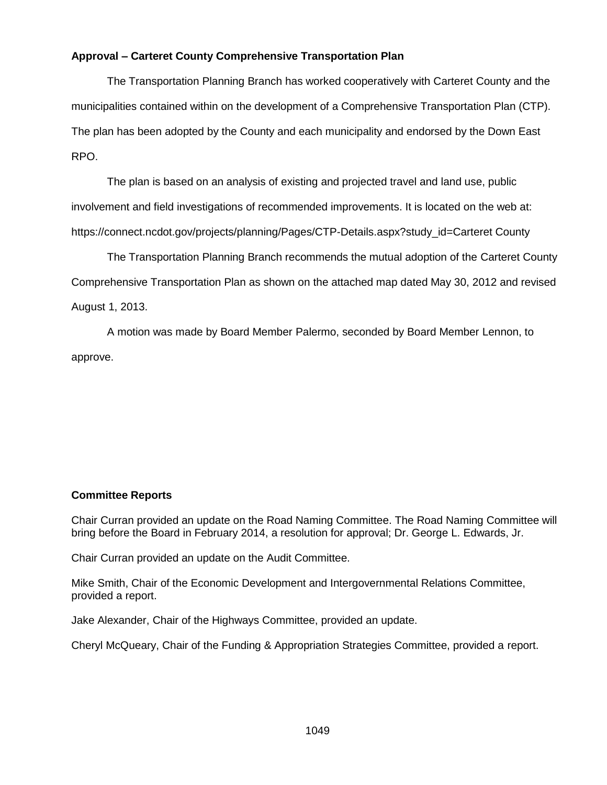## **Approval – Carteret County Comprehensive Transportation Plan**

The Transportation Planning Branch has worked cooperatively with Carteret County and the municipalities contained within on the development of a Comprehensive Transportation Plan (CTP). The plan has been adopted by the County and each municipality and endorsed by the Down East RPO.

The plan is based on an analysis of existing and projected travel and land use, public involvement and field investigations of recommended improvements. It is located on the web at: https://connect.ncdot.gov/projects/planning/Pages/CTP-Details.aspx?study\_id=Carteret County

The Transportation Planning Branch recommends the mutual adoption of the Carteret County Comprehensive Transportation Plan as shown on the attached map dated May 30, 2012 and revised August 1, 2013.

A motion was made by Board Member Palermo, seconded by Board Member Lennon, to approve.

### **Committee Reports**

Chair Curran provided an update on the Road Naming Committee. The Road Naming Committee will bring before the Board in February 2014, a resolution for approval; Dr. George L. Edwards, Jr.

Chair Curran provided an update on the Audit Committee.

Mike Smith, Chair of the Economic Development and Intergovernmental Relations Committee, provided a report.

Jake Alexander, Chair of the Highways Committee, provided an update.

Cheryl McQueary, Chair of the Funding & Appropriation Strategies Committee, provided a report.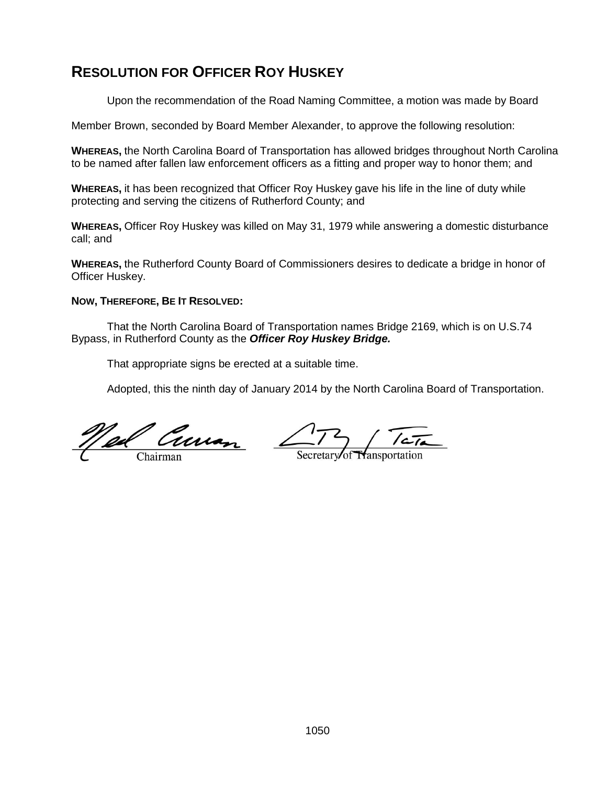# **RESOLUTION FOR OFFICER ROY HUSKEY**

Upon the recommendation of the Road Naming Committee, a motion was made by Board

Member Brown, seconded by Board Member Alexander, to approve the following resolution:

**WHEREAS,** the North Carolina Board of Transportation has allowed bridges throughout North Carolina to be named after fallen law enforcement officers as a fitting and proper way to honor them; and

**WHEREAS,** it has been recognized that Officer Roy Huskey gave his life in the line of duty while protecting and serving the citizens of Rutherford County; and

**WHEREAS,** Officer Roy Huskey was killed on May 31, 1979 while answering a domestic disturbance call; and

**WHEREAS,** the Rutherford County Board of Commissioners desires to dedicate a bridge in honor of Officer Huskey.

### **NOW, THEREFORE, BE IT RESOLVED:**

That the North Carolina Board of Transportation names Bridge 2169, which is on U.S.74 Bypass, in Rutherford County as the *Officer Roy Huskey Bridge.*

That appropriate signs be erected at a suitable time.

Adopted, this the ninth day of January 2014 by the North Carolina Board of Transportation.

<u>Nel Curran</u>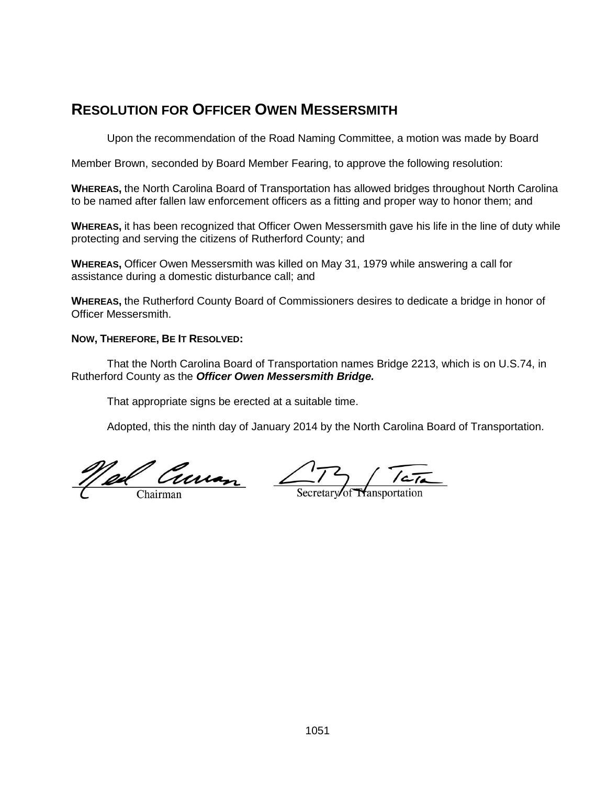# **RESOLUTION FOR OFFICER OWEN MESSERSMITH**

Upon the recommendation of the Road Naming Committee, a motion was made by Board

Member Brown, seconded by Board Member Fearing, to approve the following resolution:

**WHEREAS,** the North Carolina Board of Transportation has allowed bridges throughout North Carolina to be named after fallen law enforcement officers as a fitting and proper way to honor them; and

**WHEREAS,** it has been recognized that Officer Owen Messersmith gave his life in the line of duty while protecting and serving the citizens of Rutherford County; and

**WHEREAS,** Officer Owen Messersmith was killed on May 31, 1979 while answering a call for assistance during a domestic disturbance call; and

**WHEREAS,** the Rutherford County Board of Commissioners desires to dedicate a bridge in honor of Officer Messersmith.

#### **NOW, THEREFORE, BE IT RESOLVED:**

That the North Carolina Board of Transportation names Bridge 2213, which is on U.S.74, in Rutherford County as the *Officer Owen Messersmith Bridge.*

That appropriate signs be erected at a suitable time.

Adopted, this the ninth day of January 2014 by the North Carolina Board of Transportation.

Well Curren 173 TETA